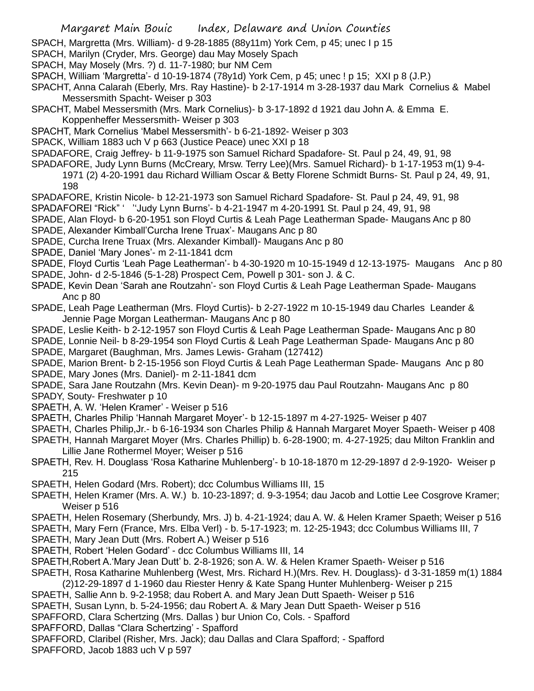SPACH, Margretta (Mrs. William)- d 9-28-1885 (88y11m) York Cem, p 45; unec I p 15

- SPACH, Marilyn (Cryder, Mrs. George) dau May Mosely Spach
- SPACH, May Mosely (Mrs. ?) d. 11-7-1980; bur NM Cem
- SPACH, William 'Margretta'- d 10-19-1874 (78y1d) York Cem, p 45; unec ! p 15; XXI p 8 (J.P.)
- SPACHT, Anna Calarah (Eberly, Mrs. Ray Hastine)- b 2-17-1914 m 3-28-1937 dau Mark Cornelius & Mabel Messersmith Spacht- Weiser p 303
- SPACHT, Mabel Messersmith (Mrs. Mark Cornelius)- b 3-17-1892 d 1921 dau John A. & Emma E. Koppenheffer Messersmith- Weiser p 303
- SPACHT, Mark Cornelius 'Mabel Messersmith'- b 6-21-1892- Weiser p 303
- SPACK, William 1883 uch V p 663 (Justice Peace) unec XXI p 18

SPADAFORE, Craig Jeffrey- b 11-9-1975 son Samuel Richard Spadafore- St. Paul p 24, 49, 91, 98

- SPADAFORE, Judy Lynn Burns (McCreary, Mrsw. Terry Lee)(Mrs. Samuel Richard)- b 1-17-1953 m(1) 9-4-
	- 1971 (2) 4-20-1991 dau Richard William Oscar & Betty Florene Schmidt Burns- St. Paul p 24, 49, 91, 198
- SPADAFORE, Kristin Nicole- b 12-21-1973 son Samuel Richard Spadafore- St. Paul p 24, 49, 91, 98
- SPADAFOREl "Rick" ' ''Judy Lynn Burns'- b 4-21-1947 m 4-20-1991 St. Paul p 24, 49, 91, 98
- SPADE, Alan Floyd- b 6-20-1951 son Floyd Curtis & Leah Page Leatherman Spade- Maugans Anc p 80
- SPADE, Alexander Kimball'Curcha Irene Truax'- Maugans Anc p 80
- SPADE, Curcha Irene Truax (Mrs. Alexander Kimball)- Maugans Anc p 80
- SPADE, Daniel 'Mary Jones'- m 2-11-1841 dcm
- SPADE, Floyd Curtis 'Leah Page Leatherman'- b 4-30-1920 m 10-15-1949 d 12-13-1975- Maugans Anc p 80
- SPADE, John- d 2-5-1846 (5-1-28) Prospect Cem, Powell p 301- son J. & C.
- SPADE, Kevin Dean 'Sarah ane Routzahn'- son Floyd Curtis & Leah Page Leatherman Spade- Maugans Anc p 80
- SPADE, Leah Page Leatherman (Mrs. Floyd Curtis)- b 2-27-1922 m 10-15-1949 dau Charles Leander & Jennie Page Morgan Leatherman- Maugans Anc p 80
- SPADE, Leslie Keith- b 2-12-1957 son Floyd Curtis & Leah Page Leatherman Spade- Maugans Anc p 80
- SPADE, Lonnie Neil- b 8-29-1954 son Floyd Curtis & Leah Page Leatherman Spade- Maugans Anc p 80 SPADE, Margaret (Baughman, Mrs. James Lewis- Graham (127412)
- SPADE, Marion Brent- b 2-15-1956 son Floyd Curtis & Leah Page Leatherman Spade- Maugans Anc p 80 SPADE, Mary Jones (Mrs. Daniel)- m 2-11-1841 dcm
- SPADE, Sara Jane Routzahn (Mrs. Kevin Dean)- m 9-20-1975 dau Paul Routzahn- Maugans Anc p 80 SPADY, Souty- Freshwater p 10
- SPAETH, A. W. 'Helen Kramer' Weiser p 516
- SPAETH, Charles Philip 'Hannah Margaret Moyer'- b 12-15-1897 m 4-27-1925- Weiser p 407
- SPAETH, Charles Philip,Jr.- b 6-16-1934 son Charles Philip & Hannah Margaret Moyer Spaeth- Weiser p 408
- SPAETH, Hannah Margaret Moyer (Mrs. Charles Phillip) b. 6-28-1900; m. 4-27-1925; dau Milton Franklin and Lillie Jane Rothermel Moyer; Weiser p 516
- SPAETH, Rev. H. Douglass 'Rosa Katharine Muhlenberg'- b 10-18-1870 m 12-29-1897 d 2-9-1920- Weiser p 215
- SPAETH, Helen Godard (Mrs. Robert); dcc Columbus Williams III, 15
- SPAETH, Helen Kramer (Mrs. A. W.) b. 10-23-1897; d. 9-3-1954; dau Jacob and Lottie Lee Cosgrove Kramer; Weiser p 516
- SPAETH, Helen Rosemary (Sherbundy, Mrs. J) b. 4-21-1924; dau A. W. & Helen Kramer Spaeth; Weiser p 516
- SPAETH, Mary Fern (France, Mrs. Elba Verl) b. 5-17-1923; m. 12-25-1943; dcc Columbus Williams III, 7
- SPAETH, Mary Jean Dutt (Mrs. Robert A.) Weiser p 516
- SPAETH, Robert 'Helen Godard' dcc Columbus Williams III, 14
- SPAETH,Robert A.'Mary Jean Dutt' b. 2-8-1926; son A. W. & Helen Kramer Spaeth- Weiser p 516
- SPAETH, Rosa Katharine Muhlenberg (West, Mrs. Richard H.)(Mrs. Rev. H. Douglass)- d 3-31-1859 m(1) 1884
- (2)12-29-1897 d 1-1960 dau Riester Henry & Kate Spang Hunter Muhlenberg- Weiser p 215
- SPAETH, Sallie Ann b. 9-2-1958; dau Robert A. and Mary Jean Dutt Spaeth- Weiser p 516
- SPAETH, Susan Lynn, b. 5-24-1956; dau Robert A. & Mary Jean Dutt Spaeth- Weiser p 516
- SPAFFORD, Clara Schertzing (Mrs. Dallas ) bur Union Co, Cols. Spafford
- SPAFFORD, Dallas "Clara Schertzing' Spafford
- SPAFFORD, Claribel (Risher, Mrs. Jack); dau Dallas and Clara Spafford; Spafford
- SPAFFORD, Jacob 1883 uch V p 597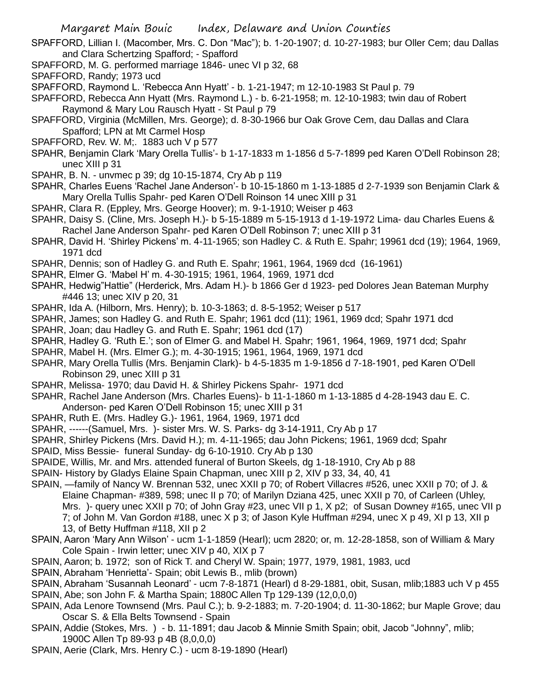- SPAFFORD, Lillian I. (Macomber, Mrs. C. Don "Mac"); b. 1-20-1907; d. 10-27-1983; bur Oller Cem; dau Dallas and Clara Schertzing Spafford; - Spafford
- SPAFFORD, M. G. performed marriage 1846- unec VI p 32, 68
- SPAFFORD, Randy; 1973 ucd
- SPAFFORD, Raymond L. 'Rebecca Ann Hyatt' b. 1-21-1947; m 12-10-1983 St Paul p. 79
- SPAFFORD, Rebecca Ann Hyatt (Mrs. Raymond L.) b. 6-21-1958; m. 12-10-1983; twin dau of Robert Raymond & Mary Lou Rausch Hyatt - St Paul p 79
- SPAFFORD, Virginia (McMillen, Mrs. George); d. 8-30-1966 bur Oak Grove Cem, dau Dallas and Clara Spafford; LPN at Mt Carmel Hosp
- SPAFFORD, Rev. W. M;. 1883 uch V p 577
- SPAHR, Benjamin Clark 'Mary Orella Tullis'- b 1-17-1833 m 1-1856 d 5-7-1899 ped Karen O'Dell Robinson 28; unec XIII p 31
- SPAHR, B. N. unvmec p 39; dg 10-15-1874, Cry Ab p 119
- SPAHR, Charles Euens 'Rachel Jane Anderson'- b 10-15-1860 m 1-13-1885 d 2-7-1939 son Benjamin Clark & Mary Orella Tullis Spahr- ped Karen O'Dell Roinson 14 unec XIII p 31
- SPAHR, Clara R. (Eppley, Mrs. George Hoover); m. 9-1-1910; Weiser p 463
- SPAHR, Daisy S. (Cline, Mrs. Joseph H.)- b 5-15-1889 m 5-15-1913 d 1-19-1972 Lima- dau Charles Euens & Rachel Jane Anderson Spahr- ped Karen O'Dell Robinson 7; unec XIII p 31
- SPAHR, David H. 'Shirley Pickens' m. 4-11-1965; son Hadley C. & Ruth E. Spahr; 19961 dcd (19); 1964, 1969, 1971 dcd
- SPAHR, Dennis; son of Hadley G. and Ruth E. Spahr; 1961, 1964, 1969 dcd (16-1961)
- SPAHR, Elmer G. 'Mabel H' m. 4-30-1915; 1961, 1964, 1969, 1971 dcd
- SPAHR, Hedwig"Hattie" (Herderick, Mrs. Adam H.)- b 1866 Ger d 1923- ped Dolores Jean Bateman Murphy #446 13; unec XIV p 20, 31
- SPAHR, Ida A. (Hilborn, Mrs. Henry); b. 10-3-1863; d. 8-5-1952; Weiser p 517
- SPAHR, James; son Hadley G. and Ruth E. Spahr; 1961 dcd (11); 1961, 1969 dcd; Spahr 1971 dcd
- SPAHR, Joan; dau Hadley G. and Ruth E. Spahr; 1961 dcd (17)
- SPAHR, Hadley G. 'Ruth E.'; son of Elmer G. and Mabel H. Spahr; 1961, 1964, 1969, 1971 dcd; Spahr
- SPAHR, Mabel H. (Mrs. Elmer G.); m. 4-30-1915; 1961, 1964, 1969, 1971 dcd
- SPAHR, Mary Orella Tullis (Mrs. Benjamin Clark)- b 4-5-1835 m 1-9-1856 d 7-18-1901, ped Karen O'Dell Robinson 29, unec XIII p 31
- SPAHR, Melissa- 1970; dau David H. & Shirley Pickens Spahr- 1971 dcd
- SPAHR, Rachel Jane Anderson (Mrs. Charles Euens)- b 11-1-1860 m 1-13-1885 d 4-28-1943 dau E. C. Anderson- ped Karen O'Dell Robinson 15; unec XIII p 31
- SPAHR, Ruth E. (Mrs. Hadley G.)- 1961, 1964, 1969, 1971 dcd
- SPAHR, ------(Samuel, Mrs. )- sister Mrs. W. S. Parks- dg 3-14-1911, Cry Ab p 17
- SPAHR, Shirley Pickens (Mrs. David H.); m. 4-11-1965; dau John Pickens; 1961, 1969 dcd; Spahr
- SPAID, Miss Bessie- funeral Sunday- dg 6-10-1910. Cry Ab p 130
- SPAIDE, Willis, Mr. and Mrs. attended funeral of Burton Skeels, dg 1-18-1910, Cry Ab p 88
- SPAIN- History by Gladys Elaine Spain Chapman, unec XIII p 2, XIV p 33, 34, 40, 41
- SPAIN, -family of Nancy W. Brennan 532, unec XXII p 70; of Robert Villacres #526, unec XXII p 70; of J. & Elaine Chapman- #389, 598; unec II p 70; of Marilyn Dziana 425, unec XXII p 70, of Carleen (Uhley, Mrs. )- query unec XXII p 70; of John Gray #23, unec VII p 1, X p2; of Susan Downey #165, unec VII p 7; of John M. Van Gordon #188, unec X p 3; of Jason Kyle Huffman #294, unec X p 49, XI p 13, XII p 13, of Betty Huffman #118, XII p 2
- SPAIN, Aaron 'Mary Ann Wilson' ucm 1-1-1859 (Hearl); ucm 2820; or, m. 12-28-1858, son of William & Mary Cole Spain - Irwin letter; unec XIV p 40, XIX p 7
- SPAIN, Aaron; b. 1972; son of Rick T. and Cheryl W. Spain; 1977, 1979, 1981, 1983, ucd
- SPAIN, Abraham 'Henrietta'- Spain; obit Lewis B., mlib (brown)
- SPAIN, Abraham 'Susannah Leonard' ucm 7-8-1871 (Hearl) d 8-29-1881, obit, Susan, mlib;1883 uch V p 455 SPAIN, Abe; son John F. & Martha Spain; 1880C Allen Tp 129-139 (12,0,0,0)
- SPAIN, Ada Lenore Townsend (Mrs. Paul C.); b. 9-2-1883; m. 7-20-1904; d. 11-30-1862; bur Maple Grove; dau Oscar S. & Ella Belts Townsend - Spain
- SPAIN, Addie (Stokes, Mrs. ) b. 11-1891; dau Jacob & Minnie Smith Spain; obit, Jacob "Johnny", mlib; 1900C Allen Tp 89-93 p 4B (8,0,0,0)
- SPAIN, Aerie (Clark, Mrs. Henry C.) ucm 8-19-1890 (Hearl)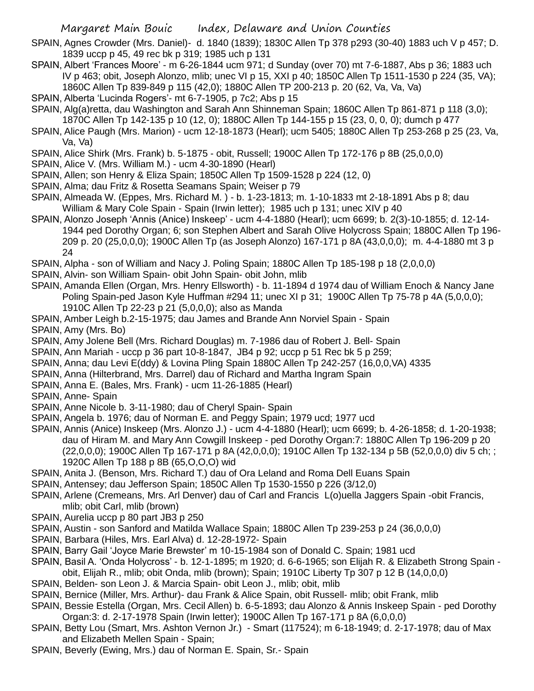- SPAIN, Agnes Crowder (Mrs. Daniel)- d. 1840 (1839); 1830C Allen Tp 378 p293 (30-40) 1883 uch V p 457; D. 1839 uccp p 45, 49 rec bk p 319; 1985 uch p 131
- SPAIN, Albert 'Frances Moore' m 6-26-1844 ucm 971; d Sunday (over 70) mt 7-6-1887, Abs p 36; 1883 uch IV p 463; obit, Joseph Alonzo, mlib; unec VI p 15, XXI p 40; 1850C Allen Tp 1511-1530 p 224 (35, VA); 1860C Allen Tp 839-849 p 115 (42,0); 1880C Allen TP 200-213 p. 20 (62, Va, Va, Va)
- SPAIN, Alberta 'Lucinda Rogers'- mt 6-7-1905, p 7c2; Abs p 15
- SPAIN, Alg(a)retta, dau Washington and Sarah Ann Shinneman Spain; 1860C Allen Tp 861-871 p 118 (3,0); 1870C Allen Tp 142-135 p 10 (12, 0); 1880C Allen Tp 144-155 p 15 (23, 0, 0, 0); dumch p 477
- SPAIN, Alice Paugh (Mrs. Marion) ucm 12-18-1873 (Hearl); ucm 5405; 1880C Allen Tp 253-268 p 25 (23, Va, Va, Va)
- SPAIN, Alice Shirk (Mrs. Frank) b. 5-1875 obit, Russell; 1900C Allen Tp 172-176 p 8B (25,0,0,0)
- SPAIN, Alice V. (Mrs. William M.) ucm 4-30-1890 (Hearl)
- SPAIN, Allen; son Henry & Eliza Spain; 1850C Allen Tp 1509-1528 p 224 (12, 0)
- SPAIN, Alma; dau Fritz & Rosetta Seamans Spain; Weiser p 79
- SPAIN, Almeada W. (Eppes, Mrs. Richard M. ) b. 1-23-1813; m. 1-10-1833 mt 2-18-1891 Abs p 8; dau William & Mary Cole Spain - Spain (Irwin letter); 1985 uch p 131; unec XIV p 40
- SPAIN, Alonzo Joseph 'Annis (Anice) Inskeep' ucm 4-4-1880 (Hearl); ucm 6699; b. 2(3)-10-1855; d. 12-14- 1944 ped Dorothy Organ; 6; son Stephen Albert and Sarah Olive Holycross Spain; 1880C Allen Tp 196- 209 p. 20 (25,0,0,0); 1900C Allen Tp (as Joseph Alonzo) 167-171 p 8A (43,0,0,0); m. 4-4-1880 mt 3 p 24
- SPAIN, Alpha son of William and Nacy J. Poling Spain; 1880C Allen Tp 185-198 p 18 (2,0,0,0)
- SPAIN, Alvin- son William Spain- obit John Spain- obit John, mlib
- SPAIN, Amanda Ellen (Organ, Mrs. Henry Ellsworth) b. 11-1894 d 1974 dau of William Enoch & Nancy Jane Poling Spain-ped Jason Kyle Huffman #294 11; unec XI p 31; 1900C Allen Tp 75-78 p 4A (5,0,0,0); 1910C Allen Tp 22-23 p 21 (5,0,0,0); also as Manda
- SPAIN, Amber Leigh b.2-15-1975; dau James and Brande Ann Norviel Spain Spain

SPAIN, Amy (Mrs. Bo)

- SPAIN, Amy Jolene Bell (Mrs. Richard Douglas) m. 7-1986 dau of Robert J. Bell- Spain
- SPAIN, Ann Mariah uccp p 36 part 10-8-1847, JB4 p 92; uccp p 51 Rec bk 5 p 259;
- SPAIN, Anna; dau Levi E(ddy) & Lovina Pling Spain 1880C Allen Tp 242-257 (16,0,0,VA) 4335
- SPAIN, Anna (Hilterbrand, Mrs. Darrel) dau of Richard and Martha Ingram Spain
- SPAIN, Anna E. (Bales, Mrs. Frank) ucm 11-26-1885 (Hearl)
- SPAIN, Anne- Spain
- SPAIN, Anne Nicole b. 3-11-1980; dau of Cheryl Spain- Spain
- SPAIN, Angela b. 1976; dau of Norman E. and Peggy Spain; 1979 ucd; 1977 ucd
- SPAIN, Annis (Anice) Inskeep (Mrs. Alonzo J.) ucm 4-4-1880 (Hearl); ucm 6699; b. 4-26-1858; d. 1-20-1938; dau of Hiram M. and Mary Ann Cowgill Inskeep - ped Dorothy Organ:7: 1880C Allen Tp 196-209 p 20 (22,0,0,0); 1900C Allen Tp 167-171 p 8A (42,0,0,0); 1910C Allen Tp 132-134 p 5B (52,0,0,0) div 5 ch; ; 1920C Allen Tp 188 p 8B (65,O,O,O) wid
- SPAIN, Anita J. (Benson, Mrs. Richard T.) dau of Ora Leland and Roma Dell Euans Spain
- SPAIN, Antensey; dau Jefferson Spain; 1850C Allen Tp 1530-1550 p 226 (3/12,0)
- SPAIN, Arlene (Cremeans, Mrs. Arl Denver) dau of Carl and Francis L(o)uella Jaggers Spain -obit Francis, mlib; obit Carl, mlib (brown)
- SPAIN, Aurelia uccp p 80 part JB3 p 250
- SPAIN, Austin son Sanford and Matilda Wallace Spain; 1880C Allen Tp 239-253 p 24 (36,0,0,0)
- SPAIN, Barbara (Hiles, Mrs. Earl Alva) d. 12-28-1972- Spain
- SPAIN, Barry Gail 'Joyce Marie Brewster' m 10-15-1984 son of Donald C. Spain; 1981 ucd
- SPAIN, Basil A. 'Onda Holycross' b. 12-1-1895; m 1920; d. 6-6-1965; son Elijah R. & Elizabeth Strong Spain obit, Elijah R., mlib; obit Onda, mlib (brown); Spain; 1910C Liberty Tp 307 p 12 B (14,0,0,0)
- SPAIN, Belden- son Leon J. & Marcia Spain- obit Leon J., mlib; obit, mlib
- SPAIN, Bernice (Miller, Mrs. Arthur)- dau Frank & Alice Spain, obit Russell- mlib; obit Frank, mlib
- SPAIN, Bessie Estella (Organ, Mrs. Cecil Allen) b. 6-5-1893; dau Alonzo & Annis Inskeep Spain ped Dorothy Organ:3: d. 2-17-1978 Spain (Irwin letter); 1900C Allen Tp 167-171 p 8A (6,0,0,0)
- SPAIN, Betty Lou (Smart, Mrs. Ashton Vernon Jr.) Smart (117524); m 6-18-1949; d. 2-17-1978; dau of Max and Elizabeth Mellen Spain - Spain;
- SPAIN, Beverly (Ewing, Mrs.) dau of Norman E. Spain, Sr.- Spain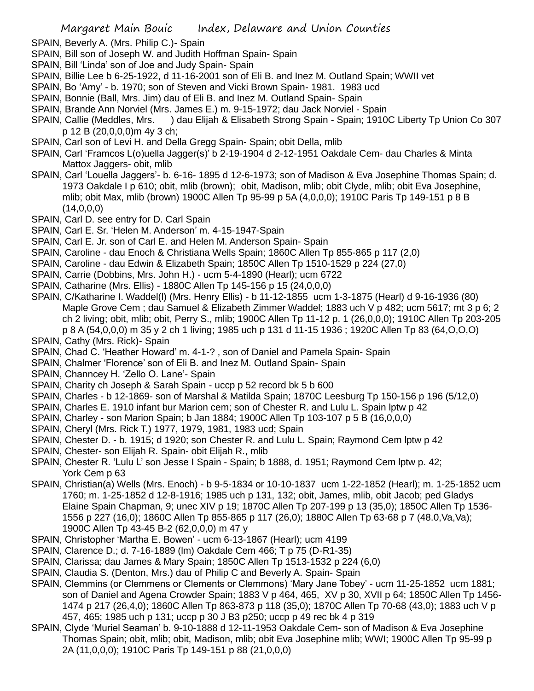- SPAIN, Beverly A. (Mrs. Philip C.)- Spain
- SPAIN, Bill son of Joseph W. and Judith Hoffman Spain- Spain
- SPAIN, Bill 'Linda' son of Joe and Judy Spain- Spain
- SPAIN, Billie Lee b 6-25-1922, d 11-16-2001 son of Eli B. and Inez M. Outland Spain; WWII vet
- SPAIN, Bo 'Amy' b. 1970; son of Steven and Vicki Brown Spain- 1981. 1983 ucd
- SPAIN, Bonnie (Ball, Mrs. Jim) dau of Eli B. and Inez M. Outland Spain- Spain
- SPAIN, Brande Ann Norviel (Mrs. James E.) m. 9-15-1972; dau Jack Norviel Spain
- SPAIN, Callie (Meddles, Mrs. ) dau Elijah & Elisabeth Strong Spain Spain; 1910C Liberty Tp Union Co 307 p 12 B (20,0,0,0)m 4y 3 ch;
- SPAIN, Carl son of Levi H. and Della Gregg Spain- Spain; obit Della, mlib
- SPAIN, Carl 'Framcos L(o)uella Jagger(s)' b 2-19-1904 d 2-12-1951 Oakdale Cem- dau Charles & Minta Mattox Jaggers- obit, mlib
- SPAIN, Carl 'Louella Jaggers'- b. 6-16- 1895 d 12-6-1973; son of Madison & Eva Josephine Thomas Spain; d. 1973 Oakdale I p 610; obit, mlib (brown); obit, Madison, mlib; obit Clyde, mlib; obit Eva Josephine, mlib; obit Max, mlib (brown) 1900C Allen Tp 95-99 p 5A (4,0,0,0); 1910C Paris Tp 149-151 p 8 B  $(14,0,0,0)$
- SPAIN, Carl D. see entry for D. Carl Spain
- SPAIN, Carl E. Sr. 'Helen M. Anderson' m. 4-15-1947-Spain
- SPAIN, Carl E. Jr. son of Carl E. and Helen M. Anderson Spain- Spain
- SPAIN, Caroline dau Enoch & Christiana Wells Spain; 1860C Allen Tp 855-865 p 117 (2,0)
- SPAIN, Caroline dau Edwin & Elizabeth Spain; 1850C Allen Tp 1510-1529 p 224 (27,0)
- SPAIN, Carrie (Dobbins, Mrs. John H.) ucm 5-4-1890 (Hearl); ucm 6722
- SPAIN, Catharine (Mrs. Ellis) 1880C Allen Tp 145-156 p 15 (24,0,0,0)
- SPAIN, C/Katharine I. Waddel(l) (Mrs. Henry Ellis) b 11-12-1855 ucm 1-3-1875 (Hearl) d 9-16-1936 (80) Maple Grove Cem ; dau Samuel & Elizabeth Zimmer Waddel; 1883 uch V p 482; ucm 5617; mt 3 p 6; 2 ch 2 living; obit, mlib; obit, Perry S., mlib; 1900C Allen Tp 11-12 p. 1 (26,0,0,0); 1910C Allen Tp 203-205 p 8 A (54,0,0,0) m 35 y 2 ch 1 living; 1985 uch p 131 d 11-15 1936 ; 1920C Allen Tp 83 (64,O,O,O)
- SPAIN, Cathy (Mrs. Rick)- Spain
- SPAIN, Chad C. 'Heather Howard' m. 4-1-? , son of Daniel and Pamela Spain- Spain
- SPAIN, Chalmer 'Florence' son of Eli B. and Inez M. Outland Spain- Spain
- SPAIN, Channcey H. 'Zello O. Lane'- Spain
- SPAIN, Charity ch Joseph & Sarah Spain uccp p 52 record bk 5 b 600
- SPAIN, Charles b 12-1869- son of Marshal & Matilda Spain; 1870C Leesburg Tp 150-156 p 196 (5/12,0)
- SPAIN, Charles E. 1910 infant bur Marion cem; son of Chester R. and Lulu L. Spain lptw p 42
- SPAIN, Charley son Marion Spain; b Jan 1884; 1900C Allen Tp 103-107 p 5 B (16,0,0,0)
- SPAIN, Cheryl (Mrs. Rick T.) 1977, 1979, 1981, 1983 ucd; Spain
- SPAIN, Chester D. b. 1915; d 1920; son Chester R. and Lulu L. Spain; Raymond Cem lptw p 42
- SPAIN, Chester- son Elijah R. Spain- obit Elijah R., mlib
- SPAIN, Chester R. 'Lulu L' son Jesse I Spain Spain; b 1888, d. 1951; Raymond Cem lptw p. 42; York Cem p 63
- SPAIN, Christian(a) Wells (Mrs. Enoch) b 9-5-1834 or 10-10-1837 ucm 1-22-1852 (Hearl); m. 1-25-1852 ucm 1760; m. 1-25-1852 d 12-8-1916; 1985 uch p 131, 132; obit, James, mlib, obit Jacob; ped Gladys Elaine Spain Chapman, 9; unec XIV p 19; 1870C Allen Tp 207-199 p 13 (35,0); 1850C Allen Tp 1536- 1556 p 227 (16,0); 1860C Allen Tp 855-865 p 117 (26,0); 1880C Allen Tp 63-68 p 7 (48.0,Va,Va); 1900C Allen Tp 43-45 B-2 (62,0,0,0) m 47 y
- SPAIN, Christopher 'Martha E. Bowen' ucm 6-13-1867 (Hearl); ucm 4199
- SPAIN, Clarence D.; d. 7-16-1889 (lm) Oakdale Cem 466; T p 75 (D-R1-35)
- SPAIN, Clarissa; dau James & Mary Spain; 1850C Allen Tp 1513-1532 p 224 (6,0)
- SPAIN, Claudia S. (Denton, Mrs.) dau of Philip C and Beverly A. Spain- Spain
- SPAIN, Clemmins (or Clemmens or Clements or Clemmons) 'Mary Jane Tobey' ucm 11-25-1852 ucm 1881; son of Daniel and Agena Crowder Spain; 1883 V p 464, 465, XV p 30, XVII p 64; 1850C Allen Tp 1456- 1474 p 217 (26,4,0); 1860C Allen Tp 863-873 p 118 (35,0); 1870C Allen Tp 70-68 (43,0); 1883 uch V p 457, 465; 1985 uch p 131; uccp p 30 J B3 p250; uccp p 49 rec bk 4 p 319
- SPAIN, Clyde 'Muriel Seaman' b. 9-10-1888 d 12-11-1953 Oakdale Cem- son of Madison & Eva Josephine Thomas Spain; obit, mlib; obit, Madison, mlib; obit Eva Josephine mlib; WWI; 1900C Allen Tp 95-99 p 2A (11,0,0,0); 1910C Paris Tp 149-151 p 88 (21,0,0,0)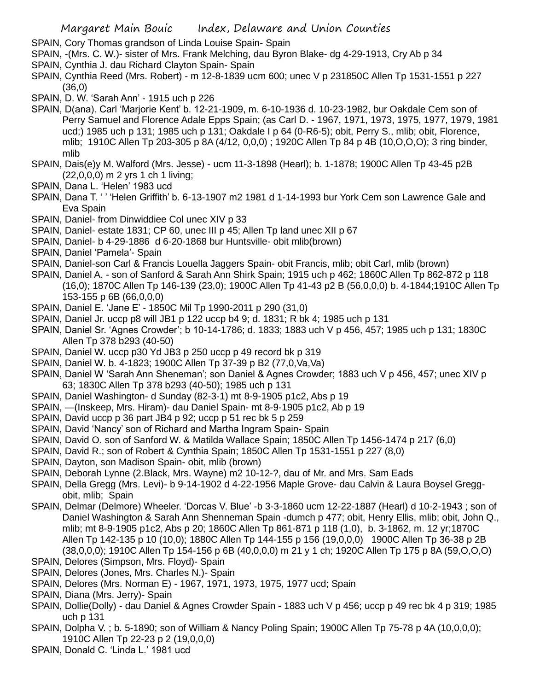- SPAIN, Cory Thomas grandson of Linda Louise Spain- Spain
- SPAIN, -(Mrs. C. W.)- sister of Mrs. Frank Melching, dau Byron Blake- dg 4-29-1913, Cry Ab p 34
- SPAIN, Cynthia J. dau Richard Clayton Spain- Spain
- SPAIN, Cynthia Reed (Mrs. Robert) m 12-8-1839 ucm 600; unec V p 231850C Allen Tp 1531-1551 p 227 (36,0)
- SPAIN, D. W. 'Sarah Ann' 1915 uch p 226
- SPAIN, D(ana). Carl 'Marjorie Kent' b. 12-21-1909, m. 6-10-1936 d. 10-23-1982, bur Oakdale Cem son of Perry Samuel and Florence Adale Epps Spain; (as Carl D. - 1967, 1971, 1973, 1975, 1977, 1979, 1981 ucd;) 1985 uch p 131; 1985 uch p 131; Oakdale I p 64 (0-R6-5); obit, Perry S., mlib; obit, Florence, mlib; 1910C Allen Tp 203-305 p 8A (4/12, 0,0,0) ; 1920C Allen Tp 84 p 4B (10,O,O,O); 3 ring binder, mlib
- SPAIN, Dais(e)y M. Walford (Mrs. Jesse) ucm 11-3-1898 (Hearl); b. 1-1878; 1900C Allen Tp 43-45 p2B (22,0,0,0) m 2 yrs 1 ch 1 living;
- SPAIN, Dana L. 'Helen' 1983 ucd
- SPAIN, Dana T. ' ' 'Helen Griffith' b. 6-13-1907 m2 1981 d 1-14-1993 bur York Cem son Lawrence Gale and Eva Spain
- SPAIN, Daniel- from Dinwiddiee Col unec XIV p 33
- SPAIN, Daniel- estate 1831; CP 60, unec III p 45; Allen Tp land unec XII p 67
- SPAIN, Daniel- b 4-29-1886 d 6-20-1868 bur Huntsville- obit mlib(brown)
- SPAIN, Daniel 'Pamela'- Spain
- SPAIN, Daniel-son Carl & Francis Louella Jaggers Spain- obit Francis, mlib; obit Carl, mlib (brown)
- SPAIN, Daniel A. son of Sanford & Sarah Ann Shirk Spain; 1915 uch p 462; 1860C Allen Tp 862-872 p 118 (16,0); 1870C Allen Tp 146-139 (23,0); 1900C Allen Tp 41-43 p2 B (56,0,0,0) b. 4-1844;1910C Allen Tp 153-155 p 6B (66,0,0,0)
- SPAIN, Daniel E. 'Jane E' 1850C Mil Tp 1990-2011 p 290 (31,0)
- SPAIN, Daniel Jr. uccp p8 will JB1 p 122 uccp b4 9; d. 1831; R bk 4; 1985 uch p 131
- SPAIN, Daniel Sr. 'Agnes Crowder'; b 10-14-1786; d. 1833; 1883 uch V p 456, 457; 1985 uch p 131; 1830C Allen Tp 378 b293 (40-50)
- SPAIN, Daniel W. uccp p30 Yd JB3 p 250 uccp p 49 record bk p 319
- SPAIN, Daniel W. b. 4-1823; 1900C Allen Tp 37-39 p B2 (77,0,Va,Va)
- SPAIN, Daniel W 'Sarah Ann Sheneman'; son Daniel & Agnes Crowder; 1883 uch V p 456, 457; unec XIV p 63; 1830C Allen Tp 378 b293 (40-50); 1985 uch p 131
- SPAIN, Daniel Washington- d Sunday (82-3-1) mt 8-9-1905 p1c2, Abs p 19
- SPAIN, —(Inskeep, Mrs. Hiram)- dau Daniel Spain- mt 8-9-1905 p1c2, Ab p 19
- SPAIN, David uccp p 36 part JB4 p 92; uccp p 51 rec bk 5 p 259
- SPAIN, David 'Nancy' son of Richard and Martha Ingram Spain- Spain
- SPAIN, David O. son of Sanford W. & Matilda Wallace Spain; 1850C Allen Tp 1456-1474 p 217 (6,0)
- SPAIN, David R.; son of Robert & Cynthia Spain; 1850C Allen Tp 1531-1551 p 227 (8,0)
- SPAIN, Dayton, son Madison Spain- obit, mlib (brown)
- SPAIN, Deborah Lynne (2.Black, Mrs. Wayne) m2 10-12-?, dau of Mr. and Mrs. Sam Eads
- SPAIN, Della Gregg (Mrs. Levi)- b 9-14-1902 d 4-22-1956 Maple Grove- dau Calvin & Laura Boysel Greggobit, mlib; Spain
- SPAIN, Delmar (Delmore) Wheeler. 'Dorcas V. Blue' -b 3-3-1860 ucm 12-22-1887 (Hearl) d 10-2-1943 ; son of Daniel Washington & Sarah Ann Shenneman Spain -dumch p 477; obit, Henry Ellis, mlib; obit, John Q., mlib; mt 8-9-1905 p1c2, Abs p 20; 1860C Allen Tp 861-871 p 118 (1,0), b. 3-1862, m. 12 yr;1870C Allen Tp 142-135 p 10 (10,0); 1880C Allen Tp 144-155 p 156 (19,0,0,0) 1900C Allen Tp 36-38 p 2B (38,0,0,0); 1910C Allen Tp 154-156 p 6B (40,0,0,0) m 21 y 1 ch; 1920C Allen Tp 175 p 8A (59,O,O,O)
- SPAIN, Delores (Simpson, Mrs. Floyd)- Spain
- SPAIN, Delores (Jones, Mrs. Charles N.)- Spain
- SPAIN, Delores (Mrs. Norman E) 1967, 1971, 1973, 1975, 1977 ucd; Spain
- SPAIN, Diana (Mrs. Jerry)- Spain
- SPAIN, Dollie(Dolly) dau Daniel & Agnes Crowder Spain 1883 uch V p 456; uccp p 49 rec bk 4 p 319; 1985 uch p 131
- SPAIN, Dolpha V. ; b. 5-1890; son of William & Nancy Poling Spain; 1900C Allen Tp 75-78 p 4A (10,0,0,0); 1910C Allen Tp 22-23 p 2 (19,0,0,0)
- SPAIN, Donald C. 'Linda L.' 1981 ucd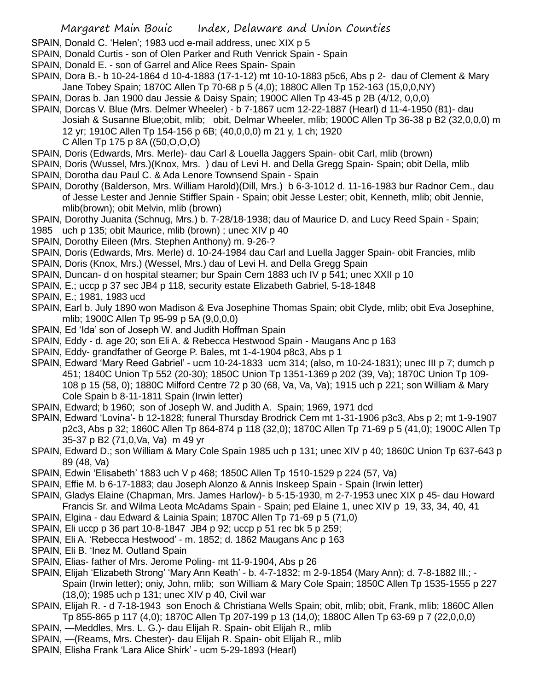- SPAIN, Donald C. 'Helen'; 1983 ucd e-mail address, unec XIX p 5
- SPAIN, Donald Curtis son of Olen Parker and Ruth Venrick Spain Spain
- SPAIN, Donald E. son of Garrel and Alice Rees Spain- Spain
- SPAIN, Dora B.- b 10-24-1864 d 10-4-1883 (17-1-12) mt 10-10-1883 p5c6, Abs p 2- dau of Clement & Mary Jane Tobey Spain; 1870C Allen Tp 70-68 p 5 (4,0); 1880C Allen Tp 152-163 (15,0,0,NY)
- SPAIN, Doras b. Jan 1900 dau Jessie & Daisy Spain; 1900C Allen Tp 43-45 p 2B (4/12, 0,0,0)
- SPAIN, Dorcas V. Blue (Mrs. Delmer Wheeler) b 7-1867 ucm 12-22-1887 (Hearl) d 11-4-1950 (81)- dau Josiah & Susanne Blue;obit, mlib; obit, Delmar Wheeler, mlib; 1900C Allen Tp 36-38 p B2 (32,0,0,0) m 12 yr; 1910C Allen Tp 154-156 p 6B; (40,0,0,0) m 21 y, 1 ch; 1920 C Allen Tp 175 p 8A ((50,O,O,O)
- SPAIN, Doris (Edwards, Mrs. Merle)- dau Carl & Louella Jaggers Spain- obit Carl, mlib (brown)
- SPAIN, Doris (Wussel, Mrs.)(Knox, Mrs. ) dau of Levi H. and Della Gregg Spain- Spain; obit Della, mlib
- SPAIN, Dorotha dau Paul C. & Ada Lenore Townsend Spain Spain
- SPAIN, Dorothy (Balderson, Mrs. William Harold)(Dill, Mrs.) b 6-3-1012 d. 11-16-1983 bur Radnor Cem., dau of Jesse Lester and Jennie Stiffler Spain - Spain; obit Jesse Lester; obit, Kenneth, mlib; obit Jennie, mlib(brown); obit Melvin, mlib (brown)
- SPAIN, Dorothy Juanita (Schnug, Mrs.) b. 7-28/18-1938; dau of Maurice D. and Lucy Reed Spain Spain;
- 1985 uch p 135; obit Maurice, mlib (brown) ; unec XIV p 40
- SPAIN, Dorothy Eileen (Mrs. Stephen Anthony) m. 9-26-?
- SPAIN, Doris (Edwards, Mrs. Merle) d. 10-24-1984 dau Carl and Luella Jagger Spain- obit Francies, mlib
- SPAIN, Doris (Knox, Mrs.) (Wessel, Mrs.) dau of Levi H. and Della Gregg Spain
- SPAIN, Duncan- d on hospital steamer; bur Spain Cem 1883 uch IV p 541; unec XXII p 10
- SPAIN, E.; uccp p 37 sec JB4 p 118, security estate Elizabeth Gabriel, 5-18-1848
- SPAIN, E.; 1981, 1983 ucd
- SPAIN, Earl b. July 1890 won Madison & Eva Josephine Thomas Spain; obit Clyde, mlib; obit Eva Josephine, mlib; 1900C Allen Tp 95-99 p 5A (9,0,0,0)
- SPAIN, Ed 'Ida' son of Joseph W. and Judith Hoffman Spain
- SPAIN, Eddy d. age 20; son Eli A. & Rebecca Hestwood Spain Maugans Anc p 163
- SPAIN, Eddy- grandfather of George P. Bales, mt 1-4-1904 p8c3, Abs p 1
- SPAIN, Edward 'Mary Reed Gabriel' ucm 10-24-1833 ucm 314; (also, m 10-24-1831); unec III p 7; dumch p 451; 1840C Union Tp 552 (20-30); 1850C Union Tp 1351-1369 p 202 (39, Va); 1870C Union Tp 109- 108 p 15 (58, 0); 1880C Milford Centre 72 p 30 (68, Va, Va, Va); 1915 uch p 221; son William & Mary Cole Spain b 8-11-1811 Spain (Irwin letter)
- SPAIN, Edward; b 1960; son of Joseph W. and Judith A. Spain; 1969, 1971 dcd
- SPAIN, Edward 'Lovina'- b 12-1828; funeral Thursday Brodrick Cem mt 1-31-1906 p3c3, Abs p 2; mt 1-9-1907 p2c3, Abs p 32; 1860C Allen Tp 864-874 p 118 (32,0); 1870C Allen Tp 71-69 p 5 (41,0); 1900C Allen Tp 35-37 p B2 (71,0,Va, Va) m 49 yr
- SPAIN, Edward D.; son William & Mary Cole Spain 1985 uch p 131; unec XIV p 40; 1860C Union Tp 637-643 p 89 (48, Va)
- SPAIN, Edwin 'Elisabeth' 1883 uch V p 468; 1850C Allen Tp 1510-1529 p 224 (57, Va)
- SPAIN, Effie M. b 6-17-1883; dau Joseph Alonzo & Annis Inskeep Spain Spain (Irwin letter)
- SPAIN, Gladys Elaine (Chapman, Mrs. James Harlow)- b 5-15-1930, m 2-7-1953 unec XIX p 45- dau Howard Francis Sr. and Wilma Leota McAdams Spain - Spain; ped Elaine 1, unec XIV p 19, 33, 34, 40, 41
- SPAIN, Elgina dau Edward & Lainia Spain; 1870C Allen Tp 71-69 p 5 (71,0)
- SPAIN, Eli uccp p 36 part 10-8-1847 JB4 p 92; uccp p 51 rec bk 5 p 259;
- SPAIN, Eli A. 'Rebecca Hestwood' m. 1852; d. 1862 Maugans Anc p 163
- SPAIN, Eli B. 'Inez M. Outland Spain
- SPAIN, Elias- father of Mrs. Jerome Poling- mt 11-9-1904, Abs p 26
- SPAIN, Elijah 'Elizabeth Strong' 'Mary Ann Keath' b. 4-7-1832; m 2-9-1854 (Mary Ann); d. 7-8-1882 Ill.; Spain (Irwin letter); oniy, John, mlib; son William & Mary Cole Spain; 1850C Allen Tp 1535-1555 p 227 (18,0); 1985 uch p 131; unec XIV p 40, Civil war
- SPAIN, Elijah R. d 7-18-1943 son Enoch & Christiana Wells Spain; obit, mlib; obit, Frank, mlib; 1860C Allen Tp 855-865 p 117 (4,0); 1870C Allen Tp 207-199 p 13 (14,0); 1880C Allen Tp 63-69 p 7 (22,0,0,0)
- SPAIN, —Meddles, Mrs. L. G.)- dau Elijah R. Spain- obit Elijah R., mlib
- SPAIN, —(Reams, Mrs. Chester)- dau Elijah R. Spain- obit Elijah R., mlib
- SPAIN, Elisha Frank 'Lara Alice Shirk' ucm 5-29-1893 (Hearl)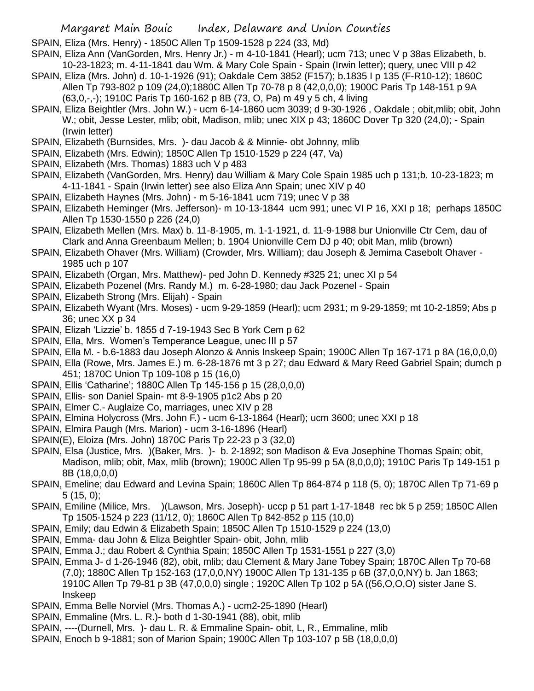SPAIN, Eliza (Mrs. Henry) - 1850C Allen Tp 1509-1528 p 224 (33, Md)

- SPAIN, Eliza Ann (VanGorden, Mrs. Henry Jr.) m 4-10-1841 (Hearl); ucm 713; unec V p 38as Elizabeth, b. 10-23-1823; m. 4-11-1841 dau Wm. & Mary Cole Spain - Spain (Irwin letter); query, unec VIII p 42
- SPAIN, Eliza (Mrs. John) d. 10-1-1926 (91); Oakdale Cem 3852 (F157); b.1835 I p 135 (F-R10-12); 1860C Allen Tp 793-802 p 109 (24,0);1880C Allen Tp 70-78 p 8 (42,0,0,0); 1900C Paris Tp 148-151 p 9A (63,0,-,-); 1910C Paris Tp 160-162 p 8B (73, O, Pa) m 49 y 5 ch, 4 living
- SPAIN, Eliza Beightler (Mrs. John W.) ucm 6-14-1860 ucm 3039; d 9-30-1926 , Oakdale ; obit,mlib; obit, John W.; obit, Jesse Lester, mlib; obit, Madison, mlib; unec XIX p 43; 1860C Dover Tp 320 (24,0); - Spain (Irwin letter)
- SPAIN, Elizabeth (Burnsides, Mrs. )- dau Jacob & & Minnie- obt Johnny, mlib
- SPAIN, Elizabeth (Mrs. Edwin); 1850C Allen Tp 1510-1529 p 224 (47, Va)
- SPAIN, Elizabeth (Mrs. Thomas) 1883 uch V p 483
- SPAIN, Elizabeth (VanGorden, Mrs. Henry) dau William & Mary Cole Spain 1985 uch p 131;b. 10-23-1823; m 4-11-1841 - Spain (Irwin letter) see also Eliza Ann Spain; unec XIV p 40
- SPAIN, Elizabeth Haynes (Mrs. John) m 5-16-1841 ucm 719; unec V p 38
- SPAIN, Elizabeth Heminger (Mrs. Jefferson)- m 10-13-1844 ucm 991; unec VI P 16, XXI p 18; perhaps 1850C Allen Tp 1530-1550 p 226 (24,0)
- SPAIN, Elizabeth Mellen (Mrs. Max) b. 11-8-1905, m. 1-1-1921, d. 11-9-1988 bur Unionville Ctr Cem, dau of Clark and Anna Greenbaum Mellen; b. 1904 Unionville Cem DJ p 40; obit Man, mlib (brown)
- SPAIN, Elizabeth Ohaver (Mrs. William) (Crowder, Mrs. William); dau Joseph & Jemima Casebolt Ohaver 1985 uch p 107
- SPAIN, Elizabeth (Organ, Mrs. Matthew)- ped John D. Kennedy #325 21; unec XI p 54
- SPAIN, Elizabeth Pozenel (Mrs. Randy M.) m. 6-28-1980; dau Jack Pozenel Spain
- SPAIN, Elizabeth Strong (Mrs. Elijah) Spain
- SPAIN, Elizabeth Wyant (Mrs. Moses) ucm 9-29-1859 (Hearl); ucm 2931; m 9-29-1859; mt 10-2-1859; Abs p 36; unec XX p 34
- SPAIN, Elizah 'Lizzie' b. 1855 d 7-19-1943 Sec B York Cem p 62
- SPAIN, Ella, Mrs. Women's Temperance League, unec III p 57
- SPAIN, Ella M. b.6-1883 dau Joseph Alonzo & Annis Inskeep Spain; 1900C Allen Tp 167-171 p 8A (16,0,0,0)
- SPAIN, Ella (Rowe, Mrs. James E.) m. 6-28-1876 mt 3 p 27; dau Edward & Mary Reed Gabriel Spain; dumch p 451; 1870C Union Tp 109-108 p 15 (16,0)
- SPAIN, Ellis 'Catharine'; 1880C Allen Tp 145-156 p 15 (28,0,0,0)
- SPAIN, Ellis- son Daniel Spain- mt 8-9-1905 p1c2 Abs p 20
- SPAIN, Elmer C.- Auglaize Co, marriages, unec XIV p 28
- SPAIN, Elmina Holycross (Mrs. John F.) ucm 6-13-1864 (Hearl); ucm 3600; unec XXI p 18
- SPAIN, Elmira Paugh (Mrs. Marion) ucm 3-16-1896 (Hearl)
- SPAIN(E), Eloiza (Mrs. John) 1870C Paris Tp 22-23 p 3 (32,0)
- SPAIN, Elsa (Justice, Mrs. )(Baker, Mrs. )- b. 2-1892; son Madison & Eva Josephine Thomas Spain; obit, Madison, mlib; obit, Max, mlib (brown); 1900C Allen Tp 95-99 p 5A (8,0,0,0); 1910C Paris Tp 149-151 p 8B (18,0,0,0)
- SPAIN, Emeline; dau Edward and Levina Spain; 1860C Allen Tp 864-874 p 118 (5, 0); 1870C Allen Tp 71-69 p 5 (15, 0);
- SPAIN, Emiline (Milice, Mrs. )(Lawson, Mrs. Joseph)- uccp p 51 part 1-17-1848 rec bk 5 p 259; 1850C Allen Tp 1505-1524 p 223 (11/12, 0); 1860C Allen Tp 842-852 p 115 (10,0)
- SPAIN, Emily; dau Edwin & Elizabeth Spain; 1850C Allen Tp 1510-1529 p 224 (13,0)
- SPAIN, Emma- dau John & Eliza Beightler Spain- obit, John, mlib
- SPAIN, Emma J.; dau Robert & Cynthia Spain; 1850C Allen Tp 1531-1551 p 227 (3,0)
- SPAIN, Emma J- d 1-26-1946 (82), obit, mlib; dau Clement & Mary Jane Tobey Spain; 1870C Allen Tp 70-68 (7,0); 1880C Allen Tp 152-163 (17,0,0,NY) 1900C Allen Tp 131-135 p 6B (37,0,0,NY) b. Jan 1863; 1910C Allen Tp 79-81 p 3B (47,0,0,0) single ; 1920C Allen Tp 102 p 5A ((56,O,O,O) sister Jane S. Inskeep
- SPAIN, Emma Belle Norviel (Mrs. Thomas A.) ucm2-25-1890 (Hearl)
- SPAIN, Emmaline (Mrs. L. R.)- both d 1-30-1941 (88), obit, mlib
- SPAIN, ----(Durnell, Mrs. )- dau L. R. & Emmaline Spain- obit, L, R., Emmaline, mlib
- SPAIN, Enoch b 9-1881; son of Marion Spain; 1900C Allen Tp 103-107 p 5B (18,0,0,0)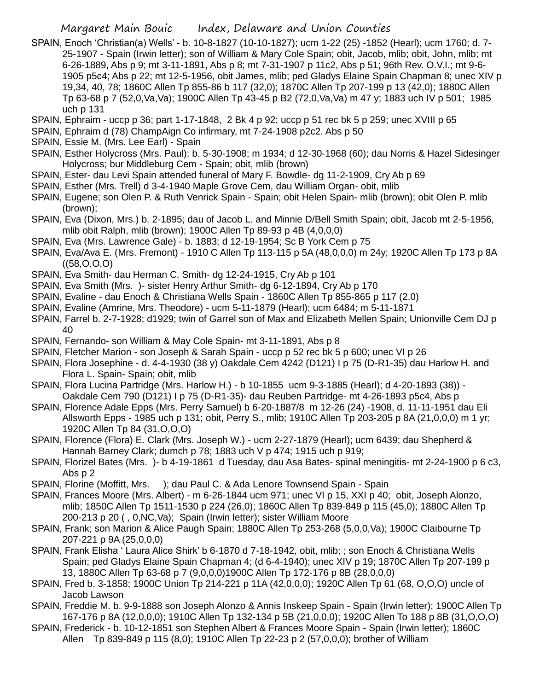- SPAIN, Enoch 'Christian(a) Wells' b. 10-8-1827 (10-10-1827); ucm 1-22 (25) -1852 (Hearl); ucm 1760; d. 7- 25-1907 - Spain (Irwin letter); son of William & Mary Cole Spain; obit, Jacob, mlib; obit, John, mlib; mt 6-26-1889, Abs p 9; mt 3-11-1891, Abs p 8; mt 7-31-1907 p 11c2, Abs p 51; 96th Rev. O.V.I.; mt 9-6- 1905 p5c4; Abs p 22; mt 12-5-1956, obit James, mlib; ped Gladys Elaine Spain Chapman 8; unec XIV p 19,34, 40, 78; 1860C Allen Tp 855-86 b 117 (32,0); 1870C Allen Tp 207-199 p 13 (42,0); 1880C Allen Tp 63-68 p 7 (52,0,Va,Va); 1900C Allen Tp 43-45 p B2 (72,0,Va,Va) m 47 y; 1883 uch IV p 501; 1985 uch p 131
- SPAIN, Ephraim uccp p 36; part 1-17-1848, 2 Bk 4 p 92; uccp p 51 rec bk 5 p 259; unec XVIII p 65
- SPAIN, Ephraim d (78) ChampAign Co infirmary, mt 7-24-1908 p2c2. Abs p 50
- SPAIN, Essie M. (Mrs. Lee Earl) Spain
- SPAIN, Esther Holycross (Mrs. Paul); b. 5-30-1908; m 1934; d 12-30-1968 (60); dau Norris & Hazel Sidesinger Holycross; bur Middleburg Cem - Spain; obit, mlib (brown)
- SPAIN, Ester- dau Levi Spain attended funeral of Mary F. Bowdle- dg 11-2-1909, Cry Ab p 69
- SPAIN, Esther (Mrs. Trell) d 3-4-1940 Maple Grove Cem, dau William Organ- obit, mlib
- SPAIN, Eugene; son Olen P. & Ruth Venrick Spain Spain; obit Helen Spain- mlib (brown); obit Olen P. mlib (brown);
- SPAIN, Eva (Dixon, Mrs.) b. 2-1895; dau of Jacob L. and Minnie D/Bell Smith Spain; obit, Jacob mt 2-5-1956, mlib obit Ralph, mlib (brown); 1900C Allen Tp 89-93 p 4B (4,0,0,0)
- SPAIN, Eva (Mrs. Lawrence Gale) b. 1883; d 12-19-1954; Sc B York Cem p 75
- SPAIN, Eva/Ava E. (Mrs. Fremont) 1910 C Allen Tp 113-115 p 5A (48,0,0,0) m 24y; 1920C Allen Tp 173 p 8A  $((58, O, O, O))$
- SPAIN, Eva Smith- dau Herman C. Smith- dg 12-24-1915, Cry Ab p 101
- SPAIN, Eva Smith (Mrs. )- sister Henry Arthur Smith- dg 6-12-1894, Cry Ab p 170
- SPAIN, Evaline dau Enoch & Christiana Wells Spain 1860C Allen Tp 855-865 p 117 (2,0)
- SPAIN, Evaline (Amrine, Mrs. Theodore) ucm 5-11-1879 (Hearl); ucm 6484; m 5-11-1871
- SPAIN, Farrel b. 2-7-1928; d1929; twin of Garrel son of Max and Elizabeth Mellen Spain; Unionville Cem DJ p 40
- SPAIN, Fernando- son William & May Cole Spain- mt 3-11-1891, Abs p 8
- SPAIN, Fletcher Marion son Joseph & Sarah Spain uccp p 52 rec bk 5 p 600; unec VI p 26
- SPAIN, Flora Josephine d. 4-4-1930 (38 y) Oakdale Cem 4242 (D121) I p 75 (D-R1-35) dau Harlow H. and Flora L. Spain- Spain; obit, mlib
- SPAIN, Flora Lucina Partridge (Mrs. Harlow H.) b 10-1855 ucm 9-3-1885 (Hearl); d 4-20-1893 (38)) Oakdale Cem 790 (D121) I p 75 (D-R1-35)- dau Reuben Partridge- mt 4-26-1893 p5c4, Abs p
- SPAIN, Florence Adale Epps (Mrs. Perry Samuel) b 6-20-1887/8 m 12-26 (24) -1908, d. 11-11-1951 dau Eli Allsworth Epps - 1985 uch p 131; obit, Perry S., mlib; 1910C Allen Tp 203-205 p 8A (21,0,0,0) m 1 yr; 1920C Allen Tp 84 (31,O,O,O)
- SPAIN, Florence (Flora) E. Clark (Mrs. Joseph W.) ucm 2-27-1879 (Hearl); ucm 6439; dau Shepherd & Hannah Barney Clark; dumch p 78; 1883 uch V p 474; 1915 uch p 919;
- SPAIN, Florizel Bates (Mrs. )- b 4-19-1861 d Tuesday, dau Asa Bates- spinal meningitis- mt 2-24-1900 p 6 c3, Abs p 2
- SPAIN, Florine (Moffitt, Mrs. ); dau Paul C. & Ada Lenore Townsend Spain Spain
- SPAIN, Frances Moore (Mrs. Albert) m 6-26-1844 ucm 971; unec VI p 15, XXI p 40; obit, Joseph Alonzo, mlib; 1850C Allen Tp 1511-1530 p 224 (26,0); 1860C Allen Tp 839-849 p 115 (45,0); 1880C Allen Tp 200-213 p 20 ( , 0,NC,Va); Spain (Irwin letter); sister William Moore
- SPAIN, Frank; son Marion & Alice Paugh Spain; 1880C Allen Tp 253-268 (5,0,0,Va); 1900C Claibourne Tp 207-221 p 9A (25,0,0,0)
- SPAIN, Frank Elisha ' Laura Alice Shirk' b 6-1870 d 7-18-1942, obit, mlib; ; son Enoch & Christiana Wells Spain; ped Gladys Elaine Spain Chapman 4; (d 6-4-1940); unec XIV p 19; 1870C Allen Tp 207-199 p 13, 1880C Allen Tp 63-68 p 7 (9,0,0,0)1900C Allen Tp 172-176 p 8B (28,0,0,0)
- SPAIN, Fred b. 3-1858; 1900C Union Tp 214-221 p 11A (42,0,0,0); 1920C Allen Tp 61 (68, O,O,O) uncle of Jacob Lawson
- SPAIN, Freddie M. b. 9-9-1888 son Joseph Alonzo & Annis Inskeep Spain Spain (Irwin letter); 1900C Allen Tp 167-176 p 8A (12,0,0,0); 1910C Allen Tp 132-134 p 5B (21,0,0,0); 1920C Allen To 188 p 8B (31,O,O,O)
- SPAIN, Frederick b. 10-12-1851 son Stephen Albert & Frances Moore Spain Spain (Irwin letter); 1860C Allen Tp 839-849 p 115 (8,0); 1910C Allen Tp 22-23 p 2 (57,0,0,0); brother of William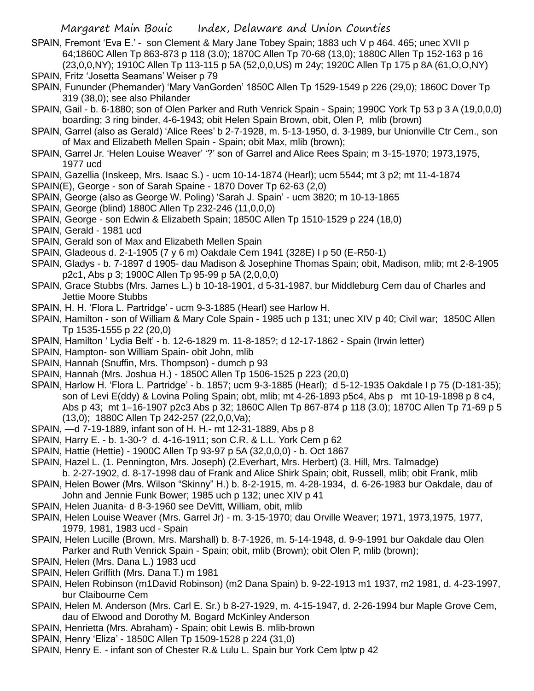- SPAIN, Fremont 'Eva E.' son Clement & Mary Jane Tobey Spain; 1883 uch V p 464. 465; unec XVII p 64;1860C Allen Tp 863-873 p 118 (3.0); 1870C Allen Tp 70-68 (13,0); 1880C Allen Tp 152-163 p 16 (23,0,0,NY); 1910C Allen Tp 113-115 p 5A (52,0,0,US) m 24y; 1920C Allen Tp 175 p 8A (61,O,O,NY)
- SPAIN, Fritz 'Josetta Seamans' Weiser p 79
- SPAIN, Fununder (Phemander) 'Mary VanGorden' 1850C Allen Tp 1529-1549 p 226 (29,0); 1860C Dover Tp 319 (38,0); see also Philander
- SPAIN, Gail b. 6-1880; son of Olen Parker and Ruth Venrick Spain Spain; 1990C York Tp 53 p 3 A (19,0,0,0) boarding; 3 ring binder, 4-6-1943; obit Helen Spain Brown, obit, Olen P, mlib (brown)
- SPAIN, Garrel (also as Gerald) 'Alice Rees' b 2-7-1928, m. 5-13-1950, d. 3-1989, bur Unionville Ctr Cem., son of Max and Elizabeth Mellen Spain - Spain; obit Max, mlib (brown);
- SPAIN, Garrel Jr. 'Helen Louise Weaver' '?' son of Garrel and Alice Rees Spain; m 3-15-1970; 1973,1975, 1977 ucd
- SPAIN, Gazellia (Inskeep, Mrs. Isaac S.) ucm 10-14-1874 (Hearl); ucm 5544; mt 3 p2; mt 11-4-1874
- SPAIN(E), George son of Sarah Spaine 1870 Dover Tp 62-63 (2,0)
- SPAIN, George (also as George W. Poling) 'Sarah J. Spain' ucm 3820; m 10-13-1865
- SPAIN, George (blind) 1880C Allen Tp 232-246 (11,0,0,0)
- SPAIN, George son Edwin & Elizabeth Spain; 1850C Allen Tp 1510-1529 p 224 (18,0)
- SPAIN, Gerald 1981 ucd
- SPAIN, Gerald son of Max and Elizabeth Mellen Spain
- SPAIN, Gladeous d. 2-1-1905 (7 y 6 m) Oakdale Cem 1941 (328E) I p 50 (E-R50-1)
- SPAIN, Gladys b. 7-1897 d 1905- dau Madison & Josephine Thomas Spain; obit, Madison, mlib; mt 2-8-1905 p2c1, Abs p 3; 1900C Allen Tp 95-99 p 5A (2,0,0,0)
- SPAIN, Grace Stubbs (Mrs. James L.) b 10-18-1901, d 5-31-1987, bur Middleburg Cem dau of Charles and Jettie Moore Stubbs
- SPAIN, H. H. 'Flora L. Partridge' ucm 9-3-1885 (Hearl) see Harlow H.
- SPAIN, Hamilton son of William & Mary Cole Spain 1985 uch p 131; unec XIV p 40; Civil war; 1850C Allen Tp 1535-1555 p 22 (20,0)
- SPAIN, Hamilton ' Lydia Belt' b. 12-6-1829 m. 11-8-185?; d 12-17-1862 Spain (Irwin letter)
- SPAIN, Hampton- son William Spain- obit John, mlib
- SPAIN, Hannah (Snuffin, Mrs. Thompson) dumch p 93
- SPAIN, Hannah (Mrs. Joshua H.) 1850C Allen Tp 1506-1525 p 223 (20,0)
- SPAIN, Harlow H. 'Flora L. Partridge' b. 1857; ucm 9-3-1885 (Hearl); d 5-12-1935 Oakdale I p 75 (D-181-35); son of Levi E(ddy) & Lovina Poling Spain; obt, mlib; mt 4-26-1893 p5c4, Abs p mt 10-19-1898 p 8 c4, Abs p 43; mt 1–16-1907 p2c3 Abs p 32; 1860C Allen Tp 867-874 p 118 (3.0); 1870C Allen Tp 71-69 p 5 (13,0); 1880C Allen Tp 242-257 (22,0,0,Va);
- SPAIN, —d 7-19-1889, infant son of H. H.- mt 12-31-1889, Abs p 8
- SPAIN, Harry E. b. 1-30-? d. 4-16-1911; son C.R. & L.L. York Cem p 62
- SPAIN, Hattie (Hettie) 1900C Allen Tp 93-97 p 5A (32,0,0,0) b. Oct 1867
- SPAIN, Hazel L. (1. Pennington, Mrs. Joseph) (2.Everhart, Mrs. Herbert) (3. Hill, Mrs. Talmadge)
- b. 2-27-1902, d. 8-17-1998 dau of Frank and Alice Shirk Spain; obit, Russell, mlib; obit Frank, mlib SPAIN, Helen Bower (Mrs. Wilson "Skinny" H.) b. 8-2-1915, m. 4-28-1934, d. 6-26-1983 bur Oakdale, dau of
- John and Jennie Funk Bower; 1985 uch p 132; unec XIV p 41
- SPAIN, Helen Juanita- d 8-3-1960 see DeVitt, William, obit, mlib
- SPAIN, Helen Louise Weaver (Mrs. Garrel Jr) m. 3-15-1970; dau Orville Weaver; 1971, 1973,1975, 1977, 1979, 1981, 1983 ucd - Spain
- SPAIN, Helen Lucille (Brown, Mrs. Marshall) b. 8-7-1926, m. 5-14-1948, d. 9-9-1991 bur Oakdale dau Olen Parker and Ruth Venrick Spain - Spain; obit, mlib (Brown); obit Olen P, mlib (brown);
- SPAIN, Helen (Mrs. Dana L.) 1983 ucd
- SPAIN, Helen Griffith (Mrs. Dana T.) m 1981
- SPAIN, Helen Robinson (m1David Robinson) (m2 Dana Spain) b. 9-22-1913 m1 1937, m2 1981, d. 4-23-1997, bur Claibourne Cem
- SPAIN, Helen M. Anderson (Mrs. Carl E. Sr.) b 8-27-1929, m. 4-15-1947, d. 2-26-1994 bur Maple Grove Cem, dau of Elwood and Dorothy M. Bogard McKinley Anderson
- SPAIN, Henrietta (Mrs. Abraham) Spain; obit Lewis B. mlib-brown
- SPAIN, Henry 'Eliza' 1850C Allen Tp 1509-1528 p 224 (31,0)
- SPAIN, Henry E. infant son of Chester R.& Lulu L. Spain bur York Cem lptw p 42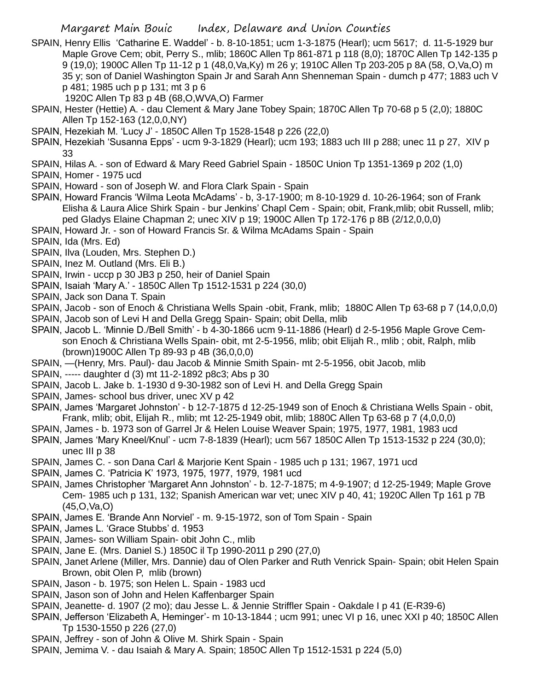- SPAIN, Henry Ellis 'Catharine E. Waddel' b. 8-10-1851; ucm 1-3-1875 (Hearl); ucm 5617; d. 11-5-1929 bur Maple Grove Cem; obit, Perry S., mlib; 1860C Allen Tp 861-871 p 118 (8,0); 1870C Allen Tp 142-135 p 9 (19,0); 1900C Allen Tp 11-12 p 1 (48,0,Va,Ky) m 26 y; 1910C Allen Tp 203-205 p 8A (58, O,Va,O) m 35 y; son of Daniel Washington Spain Jr and Sarah Ann Shenneman Spain - dumch p 477; 1883 uch V p 481; 1985 uch p p 131; mt 3 p 6
	- 1920C Allen Tp 83 p 4B (68,O,WVA,O) Farmer
- SPAIN, Hester (Hettie) A. dau Clement & Mary Jane Tobey Spain; 1870C Allen Tp 70-68 p 5 (2,0); 1880C Allen Tp 152-163 (12,0,0,NY)
- SPAIN, Hezekiah M. 'Lucy J' 1850C Allen Tp 1528-1548 p 226 (22,0)
- SPAIN, Hezekiah 'Susanna Epps' ucm 9-3-1829 (Hearl); ucm 193; 1883 uch III p 288; unec 11 p 27, XIV p 33
- SPAIN, Hilas A. son of Edward & Mary Reed Gabriel Spain 1850C Union Tp 1351-1369 p 202 (1,0)
- SPAIN, Homer 1975 ucd
- SPAIN, Howard son of Joseph W. and Flora Clark Spain Spain
- SPAIN, Howard Francis 'Wilma Leota McAdams' b, 3-17-1900; m 8-10-1929 d. 10-26-1964; son of Frank Elisha & Laura Alice Shirk Spain - bur Jenkins' Chapl Cem - Spain; obit, Frank,mlib; obit Russell, mlib; ped Gladys Elaine Chapman 2; unec XIV p 19; 1900C Allen Tp 172-176 p 8B (2/12,0,0,0)
- SPAIN, Howard Jr. son of Howard Francis Sr. & Wilma McAdams Spain Spain
- SPAIN, Ida (Mrs. Ed)
- SPAIN, Ilva (Louden, Mrs. Stephen D.)
- SPAIN, Inez M. Outland (Mrs. Eli B.)
- SPAIN, Irwin uccp p 30 JB3 p 250, heir of Daniel Spain
- SPAIN, Isaiah 'Mary A.' 1850C Allen Tp 1512-1531 p 224 (30,0)
- SPAIN, Jack son Dana T. Spain
- SPAIN, Jacob son of Enoch & Christiana Wells Spain -obit, Frank, mlib; 1880C Allen Tp 63-68 p 7 (14,0,0,0)
- SPAIN, Jacob son of Levi H and Della Gregg Spain- Spain; obit Della, mlib
- SPAIN, Jacob L. 'Minnie D./Bell Smith' b 4-30-1866 ucm 9-11-1886 (Hearl) d 2-5-1956 Maple Grove Cemson Enoch & Christiana Wells Spain- obit, mt 2-5-1956, mlib; obit Elijah R., mlib ; obit, Ralph, mlib (brown)1900C Allen Tp 89-93 p 4B (36,0,0,0)
- SPAIN, —(Henry, Mrs. Paul)- dau Jacob & Minnie Smith Spain- mt 2-5-1956, obit Jacob, mlib
- SPAIN, ----- daughter d (3) mt 11-2-1892 p8c3; Abs p 30
- SPAIN, Jacob L. Jake b. 1-1930 d 9-30-1982 son of Levi H. and Della Gregg Spain
- SPAIN, James- school bus driver, unec XV p 42
- SPAIN, James 'Margaret Johnston' b 12-7-1875 d 12-25-1949 son of Enoch & Christiana Wells Spain obit, Frank, mlib; obit, Elijah R., mlib; mt 12-25-1949 obit, mlib; 1880C Allen Tp 63-68 p 7 (4,0,0,0)
- SPAIN, James b. 1973 son of Garrel Jr & Helen Louise Weaver Spain; 1975, 1977, 1981, 1983 ucd
- SPAIN, James 'Mary Kneel/Knul' ucm 7-8-1839 (Hearl); ucm 567 1850C Allen Tp 1513-1532 p 224 (30,0); unec III p 38
- SPAIN, James C. son Dana Carl & Marjorie Kent Spain 1985 uch p 131; 1967, 1971 ucd
- SPAIN, James C. 'Patricia K' 1973, 1975, 1977, 1979, 1981 ucd
- SPAIN, James Christopher 'Margaret Ann Johnston' b. 12-7-1875; m 4-9-1907; d 12-25-1949; Maple Grove Cem- 1985 uch p 131, 132; Spanish American war vet; unec XIV p 40, 41; 1920C Allen Tp 161 p 7B (45,O,Va,O)
- SPAIN, James E. 'Brande Ann Norviel' m. 9-15-1972, son of Tom Spain Spain
- SPAIN, James L. 'Grace Stubbs' d. 1953
- SPAIN, James- son William Spain- obit John C., mlib
- SPAIN, Jane E. (Mrs. Daniel S.) 1850C il Tp 1990-2011 p 290 (27,0)
- SPAIN, Janet Arlene (Miller, Mrs. Dannie) dau of Olen Parker and Ruth Venrick Spain- Spain; obit Helen Spain Brown, obit Olen P, mlib (brown)
- SPAIN, Jason b. 1975; son Helen L. Spain 1983 ucd
- SPAIN, Jason son of John and Helen Kaffenbarger Spain
- SPAIN, Jeanette- d. 1907 (2 mo); dau Jesse L. & Jennie Striffler Spain Oakdale I p 41 (E-R39-6)
- SPAIN, Jefferson 'Elizabeth A, Heminger'- m 10-13-1844 ; ucm 991; unec VI p 16, unec XXI p 40; 1850C Allen Tp 1530-1550 p 226 (27,0)
- SPAIN, Jeffrey son of John & Olive M. Shirk Spain Spain
- SPAIN, Jemima V. dau Isaiah & Mary A. Spain; 1850C Allen Tp 1512-1531 p 224 (5,0)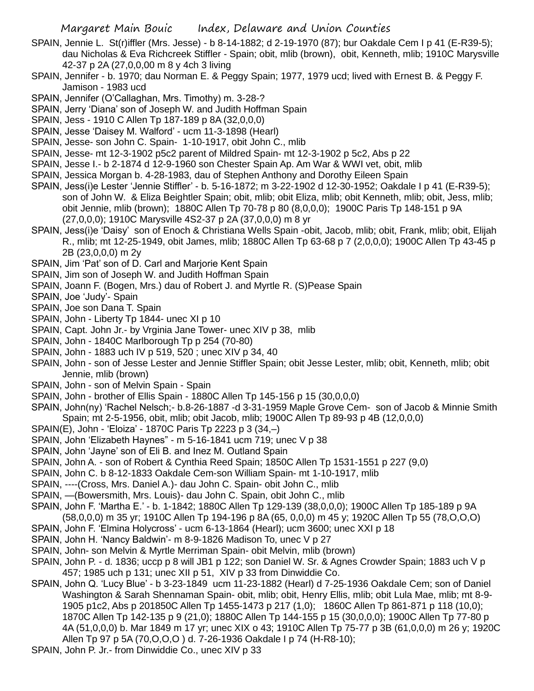- SPAIN, Jennie L. St(r)iffler (Mrs. Jesse) b 8-14-1882; d 2-19-1970 (87); bur Oakdale Cem I p 41 (E-R39-5); dau Nicholas & Eva Richcreek Stiffler - Spain; obit, mlib (brown), obit, Kenneth, mlib; 1910C Marysville 42-37 p 2A (27,0,0,00 m 8 y 4ch 3 living
- SPAIN, Jennifer b. 1970; dau Norman E. & Peggy Spain; 1977, 1979 ucd; lived with Ernest B. & Peggy F. Jamison - 1983 ucd
- SPAIN, Jennifer (O'Callaghan, Mrs. Timothy) m. 3-28-?
- SPAIN, Jerry 'Diana' son of Joseph W. and Judith Hoffman Spain
- SPAIN, Jess 1910 C Allen Tp 187-189 p 8A (32,0,0,0)
- SPAIN, Jesse 'Daisey M. Walford' ucm 11-3-1898 (Hearl)
- SPAIN, Jesse- son John C. Spain- 1-10-1917, obit John C., mlib
- SPAIN, Jesse- mt 12-3-1902 p5c2 parent of Mildred Spain- mt 12-3-1902 p 5c2, Abs p 22
- SPAIN, Jesse I.- b 2-1874 d 12-9-1960 son Chester Spain Ap. Am War & WWI vet, obit, mlib
- SPAIN, Jessica Morgan b. 4-28-1983, dau of Stephen Anthony and Dorothy Eileen Spain
- SPAIN, Jess(i)e Lester 'Jennie Stiffler' b. 5-16-1872; m 3-22-1902 d 12-30-1952; Oakdale I p 41 (E-R39-5); son of John W. & Eliza Beightler Spain; obit, mlib; obit Eliza, mlib; obit Kenneth, mlib; obit, Jess, mlib; obit Jennie, mlib (brown); 1880C Allen Tp 70-78 p 80 (8,0,0,0); 1900C Paris Tp 148-151 p 9A (27,0,0,0); 1910C Marysville 4S2-37 p 2A (37,0,0,0) m 8 yr
- SPAIN, Jess(i)e 'Daisy' son of Enoch & Christiana Wells Spain -obit, Jacob, mlib; obit, Frank, mlib; obit, Elijah R., mlib; mt 12-25-1949, obit James, mlib; 1880C Allen Tp 63-68 p 7 (2,0,0,0); 1900C Allen Tp 43-45 p 2B (23,0,0,0) m 2y
- SPAIN, Jim 'Pat' son of D. Carl and Marjorie Kent Spain
- SPAIN, Jim son of Joseph W. and Judith Hoffman Spain
- SPAIN, Joann F. (Bogen, Mrs.) dau of Robert J. and Myrtle R. (S)Pease Spain
- SPAIN, Joe 'Judy'- Spain
- SPAIN, Joe son Dana T. Spain
- SPAIN, John Liberty Tp 1844- unec XI p 10
- SPAIN, Capt. John Jr.- by Vrginia Jane Tower- unec XIV p 38, mlib
- SPAIN, John 1840C Marlborough Tp p 254 (70-80)
- SPAIN, John 1883 uch IV p 519, 520 ; unec XIV p 34, 40
- SPAIN, John son of Jesse Lester and Jennie Stiffler Spain; obit Jesse Lester, mlib; obit, Kenneth, mlib; obit Jennie, mlib (brown)
- SPAIN, John son of Melvin Spain Spain
- SPAIN, John brother of Ellis Spain 1880C Allen Tp 145-156 p 15 (30,0,0,0)
- SPAIN, John(ny) 'Rachel Nelsch;- b.8-26-1887 -d 3-31-1959 Maple Grove Cem- son of Jacob & Minnie Smith Spain; mt 2-5-1956, obit, mlib; obit Jacob, mlib; 1900C Allen Tp 89-93 p 4B (12,0,0,0)
- SPAIN(E), John 'Eloiza' 1870C Paris Tp 2223 p 3 (34,–)
- SPAIN, John 'Elizabeth Haynes" m 5-16-1841 ucm 719; unec V p 38
- SPAIN, John 'Jayne' son of Eli B. and Inez M. Outland Spain
- SPAIN, John A. son of Robert & Cynthia Reed Spain; 1850C Allen Tp 1531-1551 p 227 (9,0)
- SPAIN, John C. b 8-12-1833 Oakdale Cem-son William Spain- mt 1-10-1917, mlib
- SPAIN, ----(Cross, Mrs. Daniel A.)- dau John C. Spain- obit John C., mlib
- SPAIN, —(Bowersmith, Mrs. Louis)- dau John C. Spain, obit John C., mlib
- SPAIN, John F. 'Martha E.' b. 1-1842; 1880C Allen Tp 129-139 (38,0,0,0); 1900C Allen Tp 185-189 p 9A (58,0,0,0) m 35 yr; 1910C Allen Tp 194-196 p 8A (65, 0,0,0) m 45 y; 1920C Allen Tp 55 (78,O,O,O)
- 
- SPAIN, John F. 'Elmina Holycross' ucm 6-13-1864 (Hearl); ucm 3600; unec XXI p 18
- SPAIN, John H. 'Nancy Baldwin'- m 8-9-1826 Madison To, unec V p 27
- SPAIN, John- son Melvin & Myrtle Merriman Spain- obit Melvin, mlib (brown)
- SPAIN, John P. d. 1836; uccp p 8 will JB1 p 122; son Daniel W. Sr. & Agnes Crowder Spain; 1883 uch V p 457; 1985 uch p 131; unec XII p 51, XIV p 33 from Dinwiddie Co.
- SPAIN, John Q. 'Lucy Blue' b 3-23-1849 ucm 11-23-1882 (Hearl) d 7-25-1936 Oakdale Cem; son of Daniel Washington & Sarah Shennaman Spain- obit, mlib; obit, Henry Ellis, mlib; obit Lula Mae, mlib; mt 8-9- 1905 p1c2, Abs p 201850C Allen Tp 1455-1473 p 217 (1,0); 1860C Allen Tp 861-871 p 118 (10,0); 1870C Allen Tp 142-135 p 9 (21,0); 1880C Allen Tp 144-155 p 15 (30,0,0,0); 1900C Allen Tp 77-80 p 4A (51,0,0,0) b. Mar 1849 m 17 yr; unec XIX o 43; 1910C Allen Tp 75-77 p 3B (61,0,0,0) m 26 y; 1920C Allen Tp 97 p 5A (70,O,O,O ) d. 7-26-1936 Oakdale I p 74 (H-R8-10);
- SPAIN, John P. Jr.- from Dinwiddie Co., unec XIV p 33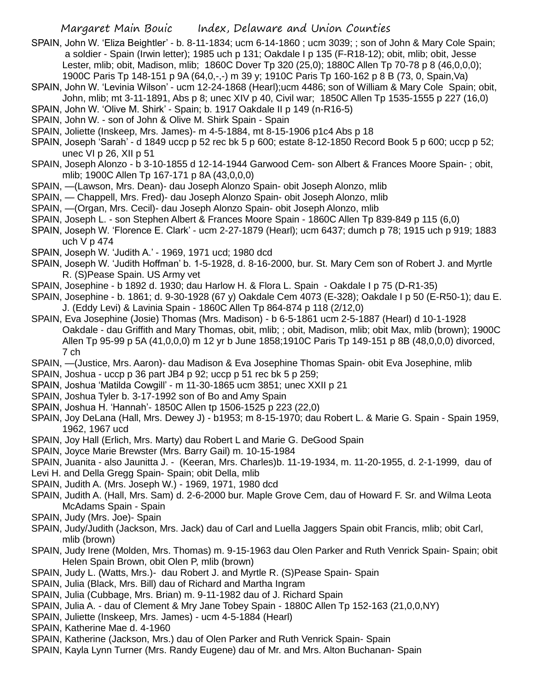- SPAIN, John W. 'Eliza Beightler' b. 8-11-1834; ucm 6-14-1860 ; ucm 3039; ; son of John & Mary Cole Spain; a soldier - Spain (Irwin letter); 1985 uch p 131; Oakdale I p 135 (F-R18-12); obit, mlib; obit, Jesse Lester, mlib; obit, Madison, mlib; 1860C Dover Tp 320 (25,0); 1880C Allen Tp 70-78 p 8 (46,0,0,0); 1900C Paris Tp 148-151 p 9A (64,0,-,-) m 39 y; 1910C Paris Tp 160-162 p 8 B (73, 0, Spain,Va)
- SPAIN, John W. 'Levinia Wilson' ucm 12-24-1868 (Hearl);ucm 4486; son of William & Mary Cole Spain; obit, John, mlib; mt 3-11-1891, Abs p 8; unec XIV p 40, Civil war; 1850C Allen Tp 1535-1555 p 227 (16,0)
- SPAIN, John W. 'Olive M. Shirk' Spain; b. 1917 Oakdale II p 149 (n-R16-5)
- SPAIN, John W. son of John & Olive M. Shirk Spain Spain
- SPAIN, Joliette (Inskeep, Mrs. James)- m 4-5-1884, mt 8-15-1906 p1c4 Abs p 18
- SPAIN, Joseph 'Sarah' d 1849 uccp p 52 rec bk 5 p 600; estate 8-12-1850 Record Book 5 p 600; uccp p 52; unec VI p 26, XII p 51
- SPAIN, Joseph Alonzo b 3-10-1855 d 12-14-1944 Garwood Cem- son Albert & Frances Moore Spain- ; obit, mlib; 1900C Allen Tp 167-171 p 8A (43,0,0,0)
- SPAIN, —(Lawson, Mrs. Dean)- dau Joseph Alonzo Spain- obit Joseph Alonzo, mlib
- SPAIN, Chappell, Mrs. Fred)- dau Joseph Alonzo Spain- obit Joseph Alonzo, mlib
- SPAIN, —(Organ, Mrs. Cecil)- dau Joseph Alonzo Spain- obit Joseph Alonzo, mlib
- SPAIN, Joseph L. son Stephen Albert & Frances Moore Spain 1860C Allen Tp 839-849 p 115 (6,0)
- SPAIN, Joseph W. 'Florence E. Clark' ucm 2-27-1879 (Hearl); ucm 6437; dumch p 78; 1915 uch p 919; 1883 uch V p 474
- SPAIN, Joseph W. 'Judith A.' 1969, 1971 ucd; 1980 dcd
- SPAIN, Joseph W. 'Judith Hoffman' b. 1-5-1928, d. 8-16-2000, bur. St. Mary Cem son of Robert J. and Myrtle R. (S)Pease Spain. US Army vet
- SPAIN, Josephine b 1892 d. 1930; dau Harlow H. & Flora L. Spain Oakdale I p 75 (D-R1-35)
- SPAIN, Josephine b. 1861; d. 9-30-1928 (67 y) Oakdale Cem 4073 (E-328); Oakdale I p 50 (E-R50-1); dau E. J. (Eddy Levi) & Lavinia Spain - 1860C Allen Tp 864-874 p 118 (2/12,0)
- SPAIN, Eva Josephine (Josie) Thomas (Mrs. Madison) b 6-5-1861 ucm 2-5-1887 (Hearl) d 10-1-1928 Oakdale - dau Griffith and Mary Thomas, obit, mlib; ; obit, Madison, mlib; obit Max, mlib (brown); 1900C Allen Tp 95-99 p 5A (41,0,0,0) m 12 yr b June 1858;1910C Paris Tp 149-151 p 8B (48,0,0,0) divorced, 7 ch
- SPAIN, —(Justice, Mrs. Aaron)- dau Madison & Eva Josephine Thomas Spain- obit Eva Josephine, mlib
- SPAIN, Joshua uccp p 36 part JB4 p 92; uccp p 51 rec bk 5 p 259;
- SPAIN, Joshua 'Matilda Cowgill' m 11-30-1865 ucm 3851; unec XXII p 21
- SPAIN, Joshua Tyler b. 3-17-1992 son of Bo and Amy Spain
- SPAIN, Joshua H. 'Hannah'- 1850C Allen tp 1506-1525 p 223 (22,0)
- SPAIN, Joy DeLana (Hall, Mrs. Dewey J) b1953; m 8-15-1970; dau Robert L. & Marie G. Spain Spain 1959, 1962, 1967 ucd
- SPAIN, Joy Hall (Erlich, Mrs. Marty) dau Robert L and Marie G. DeGood Spain
- SPAIN, Joyce Marie Brewster (Mrs. Barry Gail) m. 10-15-1984
- SPAIN, Juanita also Jaunitta J. (Keeran, Mrs. Charles)b. 11-19-1934, m. 11-20-1955, d. 2-1-1999, dau of
- Levi H. and Della Gregg Spain- Spain; obit Della, mlib
- SPAIN, Judith A. (Mrs. Joseph W.) 1969, 1971, 1980 dcd
- SPAIN, Judith A. (Hall, Mrs. Sam) d. 2-6-2000 bur. Maple Grove Cem, dau of Howard F. Sr. and Wilma Leota McAdams Spain - Spain
- SPAIN, Judy (Mrs. Joe)- Spain
- SPAIN, Judy/Judith (Jackson, Mrs. Jack) dau of Carl and Luella Jaggers Spain obit Francis, mlib; obit Carl, mlib (brown)
- SPAIN, Judy Irene (Molden, Mrs. Thomas) m. 9-15-1963 dau Olen Parker and Ruth Venrick Spain- Spain; obit Helen Spain Brown, obit Olen P, mlib (brown)
- SPAIN, Judy L. (Watts, Mrs.)- dau Robert J. and Myrtle R. (S)Pease Spain- Spain
- SPAIN, Julia (Black, Mrs. Bill) dau of Richard and Martha Ingram
- SPAIN, Julia (Cubbage, Mrs. Brian) m. 9-11-1982 dau of J. Richard Spain
- SPAIN, Julia A. dau of Clement & Mry Jane Tobey Spain 1880C Allen Tp 152-163 (21,0,0,NY)
- SPAIN, Juliette (Inskeep, Mrs. James) ucm 4-5-1884 (Hearl)
- SPAIN, Katherine Mae d. 4-1960
- SPAIN, Katherine (Jackson, Mrs.) dau of Olen Parker and Ruth Venrick Spain- Spain
- SPAIN, Kayla Lynn Turner (Mrs. Randy Eugene) dau of Mr. and Mrs. Alton Buchanan- Spain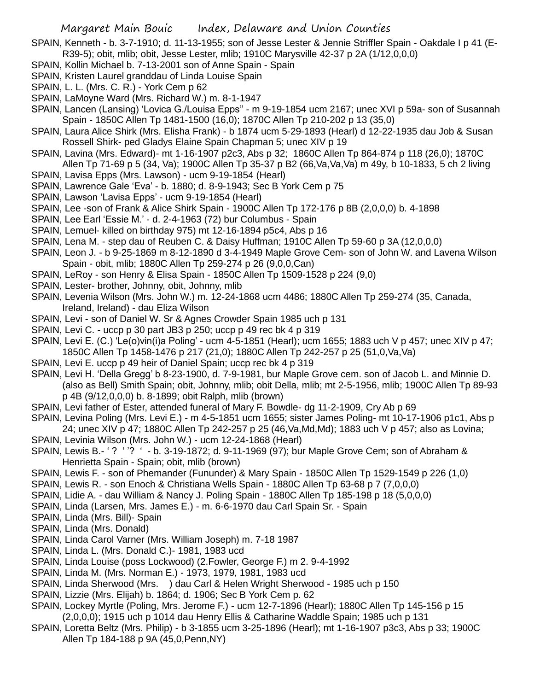SPAIN, Kenneth - b. 3-7-1910; d. 11-13-1955; son of Jesse Lester & Jennie Striffler Spain - Oakdale I p 41 (E-R39-5); obit, mlib; obit, Jesse Lester, mlib; 1910C Marysville 42-37 p 2A (1/12,0,0,0)

- SPAIN, Kollin Michael b. 7-13-2001 son of Anne Spain Spain
- SPAIN, Kristen Laurel granddau of Linda Louise Spain
- SPAIN, L. L. (Mrs. C. R.) York Cem p 62
- SPAIN, LaMoyne Ward (Mrs. Richard W.) m. 8-1-1947
- SPAIN, Lancen (Lansing) 'Lovica G./Louisa Epps'' m 9-19-1854 ucm 2167; unec XVI p 59a- son of Susannah Spain - 1850C Allen Tp 1481-1500 (16,0); 1870C Allen Tp 210-202 p 13 (35,0)
- SPAIN, Laura Alice Shirk (Mrs. Elisha Frank) b 1874 ucm 5-29-1893 (Hearl) d 12-22-1935 dau Job & Susan Rossell Shirk- ped Gladys Elaine Spain Chapman 5; unec XIV p 19
- SPAIN, Lavina (Mrs. Edward)- mt 1-16-1907 p2c3, Abs p 32; 1860C Allen Tp 864-874 p 118 (26,0); 1870C
- Allen Tp 71-69 p 5 (34, Va); 1900C Allen Tp 35-37 p B2 (66,Va,Va,Va) m 49y, b 10-1833, 5 ch 2 living SPAIN, Lavisa Epps (Mrs. Lawson) - ucm 9-19-1854 (Hearl)
- SPAIN, Lawrence Gale 'Eva' b. 1880; d. 8-9-1943; Sec B York Cem p 75
- SPAIN, Lawson 'Lavisa Epps' ucm 9-19-1854 (Hearl)
- SPAIN, Lee -son of Frank & Alice Shirk Spain 1900C Allen Tp 172-176 p 8B (2,0,0,0) b. 4-1898
- SPAIN, Lee Earl 'Essie M.' d. 2-4-1963 (72) bur Columbus Spain
- SPAIN, Lemuel- killed on birthday 975) mt 12-16-1894 p5c4, Abs p 16
- SPAIN, Lena M. step dau of Reuben C. & Daisy Huffman; 1910C Allen Tp 59-60 p 3A (12,0,0,0)
- SPAIN, Leon J. b 9-25-1869 m 8-12-1890 d 3-4-1949 Maple Grove Cem- son of John W. and Lavena Wilson Spain - obit, mlib; 1880C Allen Tp 259-274 p 26 (9,0,0,Can)
- SPAIN, LeRoy son Henry & Elisa Spain 1850C Allen Tp 1509-1528 p 224 (9,0)
- SPAIN, Lester- brother, Johnny, obit, Johnny, mlib
- SPAIN, Levenia Wilson (Mrs. John W.) m. 12-24-1868 ucm 4486; 1880C Allen Tp 259-274 (35, Canada, Ireland, Ireland) - dau Eliza Wilson
- SPAIN, Levi son of Daniel W. Sr & Agnes Crowder Spain 1985 uch p 131
- SPAIN, Levi C. uccp p 30 part JB3 p 250; uccp p 49 rec bk 4 p 319
- SPAIN, Levi E. (C.) 'Le(o)vin(i)a Poling' ucm 4-5-1851 (Hearl); ucm 1655; 1883 uch V p 457; unec XIV p 47; 1850C Allen Tp 1458-1476 p 217 (21,0); 1880C Allen Tp 242-257 p 25 (51,0,Va,Va)
- SPAIN, Levi E. uccp p 49 heir of Daniel Spain; uccp rec bk 4 p 319
- SPAIN, Levi H. 'Della Gregg' b 8-23-1900, d. 7-9-1981, bur Maple Grove cem. son of Jacob L. and Minnie D. (also as Bell) Smith Spain; obit, Johnny, mlib; obit Della, mlib; mt 2-5-1956, mlib; 1900C Allen Tp 89-93 p 4B (9/12,0,0,0) b. 8-1899; obit Ralph, mlib (brown)
- SPAIN, Levi father of Ester, attended funeral of Mary F. Bowdle- dg 11-2-1909, Cry Ab p 69
- SPAIN, Levina Poling (Mrs. Levi E.) m 4-5-1851 ucm 1655; sister James Poling- mt 10-17-1906 p1c1, Abs p 24; unec XIV p 47; 1880C Allen Tp 242-257 p 25 (46,Va,Md,Md); 1883 uch V p 457; also as Lovina;
- SPAIN, Levinia Wilson (Mrs. John W.) ucm 12-24-1868 (Hearl)
- SPAIN, Lewis B.- ' ? ''? ' b. 3-19-1872; d. 9-11-1969 (97); bur Maple Grove Cem; son of Abraham & Henrietta Spain - Spain; obit, mlib (brown)
- SPAIN, Lewis F. son of Phemander (Fununder) & Mary Spain 1850C Allen Tp 1529-1549 p 226 (1,0)
- SPAIN, Lewis R. son Enoch & Christiana Wells Spain 1880C Allen Tp 63-68 p 7 (7,0,0,0)
- SPAIN, Lidie A. dau William & Nancy J. Poling Spain 1880C Allen Tp 185-198 p 18 (5,0,0,0)
- SPAIN, Linda (Larsen, Mrs. James E.) m. 6-6-1970 dau Carl Spain Sr. Spain
- SPAIN, Linda (Mrs. Bill)- Spain
- SPAIN, Linda (Mrs. Donald)
- SPAIN, Linda Carol Varner (Mrs. William Joseph) m. 7-18 1987
- SPAIN, Linda L. (Mrs. Donald C.)- 1981, 1983 ucd
- SPAIN, Linda Louise (poss Lockwood) (2.Fowler, George F.) m 2. 9-4-1992
- SPAIN, Linda M. (Mrs. Norman E.) 1973, 1979, 1981, 1983 ucd
- SPAIN, Linda Sherwood (Mrs. ) dau Carl & Helen Wright Sherwood 1985 uch p 150
- SPAIN, Lizzie (Mrs. Elijah) b. 1864; d. 1906; Sec B York Cem p. 62
- SPAIN, Lockey Myrtle (Poling, Mrs. Jerome F.) ucm 12-7-1896 (Hearl); 1880C Allen Tp 145-156 p 15 (2,0,0,0); 1915 uch p 1014 dau Henry Ellis & Catharine Waddle Spain; 1985 uch p 131
- SPAIN, Loretta Beltz (Mrs. Philip) b 3-1855 ucm 3-25-1896 (Hearl); mt 1-16-1907 p3c3, Abs p 33; 1900C Allen Tp 184-188 p 9A (45,0,Penn,NY)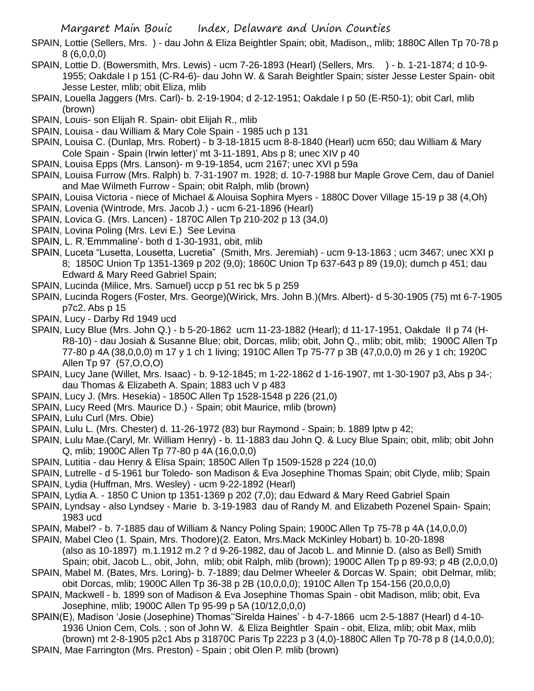- SPAIN, Lottie (Sellers, Mrs. ) dau John & Eliza Beightler Spain; obit, Madison,, mlib; 1880C Allen Tp 70-78 p 8 (6,0,0,0)
- SPAIN, Lottie D. (Bowersmith, Mrs. Lewis) ucm 7-26-1893 (Hearl) (Sellers, Mrs. ) b. 1-21-1874; d 10-9- 1955; Oakdale I p 151 (C-R4-6)- dau John W. & Sarah Beightler Spain; sister Jesse Lester Spain- obit Jesse Lester, mlib; obit Eliza, mlib
- SPAIN, Louella Jaggers (Mrs. Carl)- b. 2-19-1904; d 2-12-1951; Oakdale I p 50 (E-R50-1); obit Carl, mlib (brown)
- SPAIN, Louis- son Elijah R. Spain- obit Elijah R., mlib
- SPAIN, Louisa dau William & Mary Cole Spain 1985 uch p 131
- SPAIN, Louisa C. (Dunlap, Mrs. Robert) b 3-18-1815 ucm 8-8-1840 (Hearl) ucm 650; dau William & Mary Cole Spain - Spain (Irwin letter)' mt 3-11-1891, Abs p 8; unec XIV p 40
- SPAIN, Louisa Epps (Mrs. Lanson)- m 9-19-1854, ucm 2167; unec XVI p 59a
- SPAIN, Louisa Furrow (Mrs. Ralph) b. 7-31-1907 m. 1928; d. 10-7-1988 bur Maple Grove Cem, dau of Daniel and Mae Wilmeth Furrow - Spain; obit Ralph, mlib (brown)
- SPAIN, Louisa Victoria niece of Michael & Alouisa Sophira Myers 1880C Dover Village 15-19 p 38 (4,Oh)
- SPAIN, Lovenia (Wintrode, Mrs. Jacob J.) ucm 6-21-1896 (Hearl)
- SPAIN, Lovica G. (Mrs. Lancen) 1870C Allen Tp 210-202 p 13 (34,0)
- SPAIN, Lovina Poling (Mrs. Levi E.) See Levina
- SPAIN, L. R.'Emmmaline'- both d 1-30-1931, obit, mlib
- SPAIN, Luceta "Lusetta, Lousetta, Lucretia" (Smith, Mrs. Jeremiah) ucm 9-13-1863 ; ucm 3467; unec XXI p 8; 1850C Union Tp 1351-1369 p 202 (9,0); 1860C Union Tp 637-643 p 89 (19,0); dumch p 451; dau Edward & Mary Reed Gabriel Spain;
- SPAIN, Lucinda (Milice, Mrs. Samuel) uccp p 51 rec bk 5 p 259
- SPAIN, Lucinda Rogers (Foster, Mrs. George)(Wirick, Mrs. John B.)(Mrs. Albert)- d 5-30-1905 (75) mt 6-7-1905 p7c2. Abs p 15
- SPAIN, Lucy Darby Rd 1949 ucd
- SPAIN, Lucy Blue (Mrs. John Q.) b 5-20-1862 ucm 11-23-1882 (Hearl); d 11-17-1951, Oakdale II p 74 (H-R8-10) - dau Josiah & Susanne Blue; obit, Dorcas, mlib; obit, John Q., mlib; obit, mlib; 1900C Allen Tp 77-80 p 4A (38,0,0,0) m 17 y 1 ch 1 living; 1910C Allen Tp 75-77 p 3B (47,0,0,0) m 26 y 1 ch; 1920C Allen Tp 97 (57,O,O,O)
- SPAIN, Lucy Jane (Willet, Mrs. Isaac) b. 9-12-1845; m 1-22-1862 d 1-16-1907, mt 1-30-1907 p3, Abs p 34-; dau Thomas & Elizabeth A. Spain; 1883 uch V p 483
- SPAIN, Lucy J. (Mrs. Hesekia) 1850C Allen Tp 1528-1548 p 226 (21,0)
- SPAIN, Lucy Reed (Mrs. Maurice D.) Spain; obit Maurice, mlib (brown)
- SPAIN, Lulu Curl (Mrs. Obie)
- SPAIN, Lulu L. (Mrs. Chester) d. 11-26-1972 (83) bur Raymond Spain; b. 1889 lptw p 42;
- SPAIN, Lulu Mae.(Caryl, Mr. William Henry) b. 11-1883 dau John Q. & Lucy Blue Spain; obit, mlib; obit John Q, mlib; 1900C Allen Tp 77-80 p 4A (16,0,0,0)
- SPAIN, Lutitia dau Henry & Elisa Spain; 1850C Allen Tp 1509-1528 p 224 (10,0)
- SPAIN, Lutrelle d 5-1961 bur Toledo- son Madison & Eva Josephine Thomas Spain; obit Clyde, mlib; Spain
- SPAIN, Lydia (Huffman, Mrs. Wesley) ucm 9-22-1892 (Hearl)
- SPAIN, Lydia A. 1850 C Union tp 1351-1369 p 202 (7,0); dau Edward & Mary Reed Gabriel Spain
- SPAIN, Lyndsay also Lyndsey Marie b. 3-19-1983 dau of Randy M. and Elizabeth Pozenel Spain- Spain; 1983 ucd
- SPAIN, Mabel? b. 7-1885 dau of William & Nancy Poling Spain; 1900C Allen Tp 75-78 p 4A (14,0,0,0)
- SPAIN, Mabel Cleo (1. Spain, Mrs. Thodore)(2. Eaton, Mrs.Mack McKinley Hobart) b. 10-20-1898 (also as 10-1897) m.1.1912 m.2 ? d 9-26-1982, dau of Jacob L. and Minnie D. (also as Bell) Smith Spain; obit, Jacob L., obit, John, mlib; obit Ralph, mlib (brown); 1900C Allen Tp p 89-93; p 4B (2,0,0,0)
- SPAIN, Mabel M. (Bates, Mrs. Loring)- b. 7-1889; dau Delmer Wheeler & Dorcas W. Spain; obit Delmar, mlib; obit Dorcas, mlib; 1900C Allen Tp 36-38 p 2B (10,0,0,0); 1910C Allen Tp 154-156 (20,0,0,0)
- SPAIN, Mackwell b. 1899 son of Madison & Eva Josephine Thomas Spain obit Madison, mlib; obit, Eva Josephine, mlib; 1900C Allen Tp 95-99 p 5A (10/12,0,0,0)
- SPAIN(E), Madison 'Josie (Josephine) Thomas''Sirelda Haines' b 4-7-1866 ucm 2-5-1887 (Hearl) d 4-10- 1936 Union Cem, Cols. ; son of John W. & Eliza Beightler Spain - obit, Eliza, mlib; obit Max, mlib (brown) mt 2-8-1905 p2c1 Abs p 31870C Paris Tp 2223 p 3 (4,0)-1880C Allen Tp 70-78 p 8 (14,0,0,0); SPAIN, Mae Farrington (Mrs. Preston) - Spain ; obit Olen P. mlib (brown)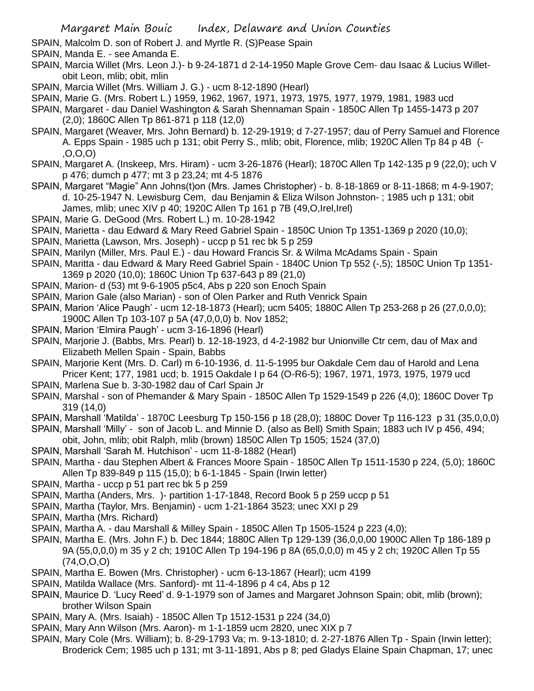- SPAIN, Malcolm D. son of Robert J. and Myrtle R. (S)Pease Spain
- SPAIN, Manda E. see Amanda E.
- SPAIN, Marcia Willet (Mrs. Leon J.)- b 9-24-1871 d 2-14-1950 Maple Grove Cem- dau Isaac & Lucius Willetobit Leon, mlib; obit, mlin
- SPAIN, Marcia Willet (Mrs. William J. G.) ucm 8-12-1890 (Hearl)
- SPAIN, Marie G. (Mrs. Robert L.) 1959, 1962, 1967, 1971, 1973, 1975, 1977, 1979, 1981, 1983 ucd
- SPAIN, Margaret dau Daniel Washington & Sarah Shennaman Spain 1850C Allen Tp 1455-1473 p 207 (2,0); 1860C Allen Tp 861-871 p 118 (12,0)
- SPAIN, Margaret (Weaver, Mrs. John Bernard) b. 12-29-1919; d 7-27-1957; dau of Perry Samuel and Florence A. Epps Spain - 1985 uch p 131; obit Perry S., mlib; obit, Florence, mlib; 1920C Allen Tp 84 p 4B (- ,O,O,O)
- SPAIN, Margaret A. (Inskeep, Mrs. Hiram) ucm 3-26-1876 (Hearl); 1870C Allen Tp 142-135 p 9 (22,0); uch V p 476; dumch p 477; mt 3 p 23,24; mt 4-5 1876
- SPAIN, Margaret "Magie" Ann Johns(t)on (Mrs. James Christopher) b. 8-18-1869 or 8-11-1868; m 4-9-1907; d. 10-25-1947 N. Lewisburg Cem, dau Benjamin & Eliza Wilson Johnston- ; 1985 uch p 131; obit James, mlib; unec XIV p 40; 1920C Allen Tp 161 p 7B (49, O, Irel, Irel)
- SPAIN, Marie G. DeGood (Mrs. Robert L.) m. 10-28-1942
- SPAIN, Marietta dau Edward & Mary Reed Gabriel Spain 1850C Union Tp 1351-1369 p 2020 (10,0);
- SPAIN, Marietta (Lawson, Mrs. Joseph) uccp p 51 rec bk 5 p 259
- SPAIN, Marilyn (Miller, Mrs. Paul E.) dau Howard Francis Sr. & Wilma McAdams Spain Spain
- SPAIN, Maritta dau Edward & Mary Reed Gabriel Spain 1840C Union Tp 552 (-,5); 1850C Union Tp 1351- 1369 p 2020 (10,0); 1860C Union Tp 637-643 p 89 (21,0)
- SPAIN, Marion- d (53) mt 9-6-1905 p5c4, Abs p 220 son Enoch Spain
- SPAIN, Marion Gale (also Marian) son of Olen Parker and Ruth Venrick Spain
- SPAIN, Marion 'Alice Paugh' ucm 12-18-1873 (Hearl); ucm 5405; 1880C Allen Tp 253-268 p 26 (27,0,0,0); 1900C Allen Tp 103-107 p 5A (47,0,0,0) b. Nov 1852;
- SPAIN, Marion 'Elmira Paugh' ucm 3-16-1896 (Hearl)
- SPAIN, Marjorie J. (Babbs, Mrs. Pearl) b. 12-18-1923, d 4-2-1982 bur Unionville Ctr cem, dau of Max and Elizabeth Mellen Spain - Spain, Babbs
- SPAIN, Marjorie Kent (Mrs. D. Carl) m 6-10-1936, d. 11-5-1995 bur Oakdale Cem dau of Harold and Lena Pricer Kent; 177, 1981 ucd; b. 1915 Oakdale I p 64 (O-R6-5); 1967, 1971, 1973, 1975, 1979 ucd
- SPAIN, Marlena Sue b. 3-30-1982 dau of Carl Spain Jr
- SPAIN, Marshal son of Phemander & Mary Spain 1850C Allen Tp 1529-1549 p 226 (4,0); 1860C Dover Tp 319 (14,0)
- SPAIN, Marshall 'Matilda' 1870C Leesburg Tp 150-156 p 18 (28,0); 1880C Dover Tp 116-123 p 31 (35,0,0,0)
- SPAIN, Marshall 'Milly' son of Jacob L. and Minnie D. (also as Bell) Smith Spain; 1883 uch IV p 456, 494;
- obit, John, mlib; obit Ralph, mlib (brown) 1850C Allen Tp 1505; 1524 (37,0)
- SPAIN, Marshall 'Sarah M. Hutchison' ucm 11-8-1882 (Hearl)
- SPAIN, Martha dau Stephen Albert & Frances Moore Spain 1850C Allen Tp 1511-1530 p 224, (5,0); 1860C Allen Tp 839-849 p 115 (15,0); b 6-1-1845 - Spain (Irwin letter)
- SPAIN, Martha uccp p 51 part rec bk 5 p 259
- SPAIN, Martha (Anders, Mrs. )- partition 1-17-1848, Record Book 5 p 259 uccp p 51
- SPAIN, Martha (Taylor, Mrs. Benjamin) ucm 1-21-1864 3523; unec XXI p 29
- SPAIN, Martha (Mrs. Richard)
- SPAIN, Martha A. dau Marshall & Milley Spain 1850C Allen Tp 1505-1524 p 223 (4,0);
- SPAIN, Martha E. (Mrs. John F.) b. Dec 1844; 1880C Allen Tp 129-139 (36,0,0,00 1900C Allen Tp 186-189 p 9A (55,0,0,0) m 35 y 2 ch; 1910C Allen Tp 194-196 p 8A (65,0,0,0) m 45 y 2 ch; 1920C Allen Tp 55 (74,O,O,O)
- SPAIN, Martha E. Bowen (Mrs. Christopher) ucm 6-13-1867 (Hearl); ucm 4199
- SPAIN, Matilda Wallace (Mrs. Sanford)- mt 11-4-1896 p 4 c4, Abs p 12
- SPAIN, Maurice D. 'Lucy Reed' d. 9-1-1979 son of James and Margaret Johnson Spain; obit, mlib (brown); brother Wilson Spain
- SPAIN, Mary A. (Mrs. Isaiah) 1850C Allen Tp 1512-1531 p 224 (34,0)
- SPAIN, Mary Ann Wilson (Mrs. Aaron)- m 1-1-1859 ucm 2820, unec XIX p 7
- SPAIN, Mary Cole (Mrs. William); b. 8-29-1793 Va; m. 9-13-1810; d. 2-27-1876 Allen Tp Spain (Irwin letter); Broderick Cem; 1985 uch p 131; mt 3-11-1891, Abs p 8; ped Gladys Elaine Spain Chapman, 17; unec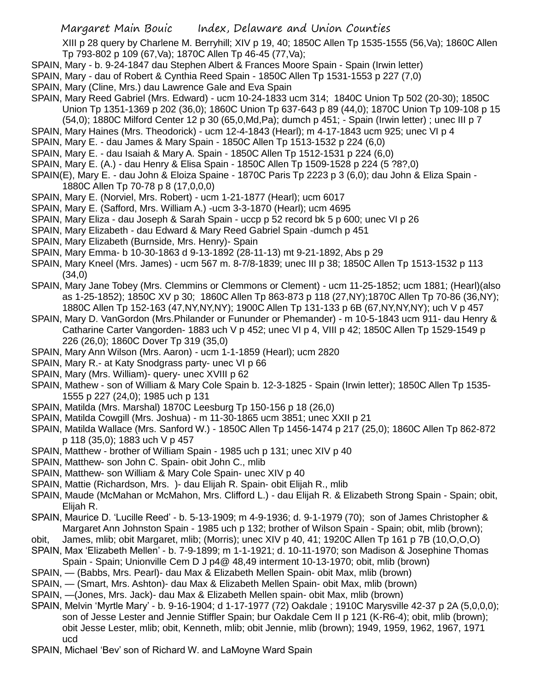XIII p 28 query by Charlene M. Berryhill; XIV p 19, 40; 1850C Allen Tp 1535-1555 (56,Va); 1860C Allen Tp 793-802 p 109 (67,Va); 1870C Allen Tp 46-45 (77,Va);

- SPAIN, Mary b. 9-24-1847 dau Stephen Albert & Frances Moore Spain Spain (Irwin letter)
- SPAIN, Mary dau of Robert & Cynthia Reed Spain 1850C Allen Tp 1531-1553 p 227 (7,0)
- SPAIN, Mary (Cline, Mrs.) dau Lawrence Gale and Eva Spain
- SPAIN, Mary Reed Gabriel (Mrs. Edward) ucm 10-24-1833 ucm 314; 1840C Union Tp 502 (20-30); 1850C Union Tp 1351-1369 p 202 (36,0); 1860C Union Tp 637-643 p 89 (44,0); 1870C Union Tp 109-108 p 15
	- (54,0); 1880C Milford Center 12 p 30 (65,0,Md,Pa); dumch p 451; Spain (Irwin letter) ; unec III p 7
- SPAIN, Mary Haines (Mrs. Theodorick) ucm 12-4-1843 (Hearl); m 4-17-1843 ucm 925; unec VI p 4
- SPAIN, Mary E. dau James & Mary Spain 1850C Allen Tp 1513-1532 p 224 (6,0)
- SPAIN, Mary E. dau Isaiah & Mary A. Spain 1850C Allen Tp 1512-1531 p 224 (6,0)
- SPAIN, Mary E. (A.) dau Henry & Elisa Spain 1850C Allen Tp 1509-1528 p 224 (5 ?8?,0)
- SPAIN(E), Mary E. dau John & Eloiza Spaine 1870C Paris Tp 2223 p 3 (6,0); dau John & Eliza Spain 1880C Allen Tp 70-78 p 8 (17,0,0,0)
- SPAIN, Mary E. (Norviel, Mrs. Robert) ucm 1-21-1877 (Hearl); ucm 6017
- SPAIN, Mary E. (Safford, Mrs. William A.) -ucm 3-3-1870 (Hearl); ucm 4695
- SPAIN, Mary Eliza dau Joseph & Sarah Spain uccp p 52 record bk 5 p 600; unec VI p 26
- SPAIN, Mary Elizabeth dau Edward & Mary Reed Gabriel Spain -dumch p 451
- SPAIN, Mary Elizabeth (Burnside, Mrs. Henry)- Spain
- SPAIN, Mary Emma- b 10-30-1863 d 9-13-1892 (28-11-13) mt 9-21-1892, Abs p 29
- SPAIN, Mary Kneel (Mrs. James) ucm 567 m. 8-7/8-1839; unec III p 38; 1850C Allen Tp 1513-1532 p 113 (34,0)
- SPAIN, Mary Jane Tobey (Mrs. Clemmins or Clemmons or Clement) ucm 11-25-1852; ucm 1881; (Hearl)(also as 1-25-1852); 1850C XV p 30; 1860C Allen Tp 863-873 p 118 (27,NY);1870C Allen Tp 70-86 (36,NY); 1880C Allen Tp 152-163 (47,NY,NY,NY); 1900C Allen Tp 131-133 p 6B (67,NY,NY,NY); uch V p 457
- SPAIN, Mary D. VanGordon (Mrs.Philander or Fununder or Phemander) m 10-5-1843 ucm 911- dau Henry & Catharine Carter Vangorden- 1883 uch V p 452; unec VI p 4, VIII p 42; 1850C Allen Tp 1529-1549 p 226 (26,0); 1860C Dover Tp 319 (35,0)
- SPAIN, Mary Ann Wilson (Mrs. Aaron) ucm 1-1-1859 (Hearl); ucm 2820
- SPAIN, Mary R.- at Katy Snodgrass party- unec VI p 66
- SPAIN, Mary (Mrs. William)- query- unec XVIII p 62
- SPAIN, Mathew son of William & Mary Cole Spain b. 12-3-1825 Spain (Irwin letter); 1850C Allen Tp 1535- 1555 p 227 (24,0); 1985 uch p 131
- SPAIN, Matilda (Mrs. Marshal) 1870C Leesburg Tp 150-156 p 18 (26,0)
- SPAIN, Matilda Cowgill (Mrs. Joshua) m 11-30-1865 ucm 3851; unec XXII p 21
- SPAIN, Matilda Wallace (Mrs. Sanford W.) 1850C Allen Tp 1456-1474 p 217 (25,0); 1860C Allen Tp 862-872 p 118 (35,0); 1883 uch V p 457
- SPAIN, Matthew brother of William Spain 1985 uch p 131; unec XIV p 40
- SPAIN, Matthew- son John C. Spain- obit John C., mlib
- SPAIN, Matthew- son William & Mary Cole Spain- unec XIV p 40
- SPAIN, Mattie (Richardson, Mrs. )- dau Elijah R. Spain- obit Elijah R., mlib
- SPAIN, Maude (McMahan or McMahon, Mrs. Clifford L.) dau Elijah R. & Elizabeth Strong Spain Spain; obit, Elijah R.
- SPAIN, Maurice D. 'Lucille Reed' b. 5-13-1909; m 4-9-1936; d. 9-1-1979 (70); son of James Christopher & Margaret Ann Johnston Spain - 1985 uch p 132; brother of Wilson Spain - Spain; obit, mlib (brown);
- obit, James, mlib; obit Margaret, mlib; (Morris); unec XIV p 40, 41; 1920C Allen Tp 161 p 7B (10,O,O,O)
- SPAIN, Max 'Elizabeth Mellen' b. 7-9-1899; m 1-1-1921; d. 10-11-1970; son Madison & Josephine Thomas Spain - Spain; Unionville Cem D J p4@ 48,49 interment 10-13-1970; obit, mlib (brown)
- SPAIN, (Babbs, Mrs. Pearl)- dau Max & Elizabeth Mellen Spain- obit Max, mlib (brown)
- SPAIN, (Smart, Mrs. Ashton)- dau Max & Elizabeth Mellen Spain- obit Max, mlib (brown)
- SPAIN, —(Jones, Mrs. Jack)- dau Max & Elizabeth Mellen spain- obit Max, mlib (brown)
- SPAIN, Melvin 'Myrtle Mary' b. 9-16-1904; d 1-17-1977 (72) Oakdale ; 1910C Marysville 42-37 p 2A (5,0,0,0); son of Jesse Lester and Jennie Stiffler Spain; bur Oakdale Cem II p 121 (K-R6-4); obit, mlib (brown); obit Jesse Lester, mlib; obit, Kenneth, mlib; obit Jennie, mlib (brown); 1949, 1959, 1962, 1967, 1971 ucd
- SPAIN, Michael 'Bev' son of Richard W. and LaMoyne Ward Spain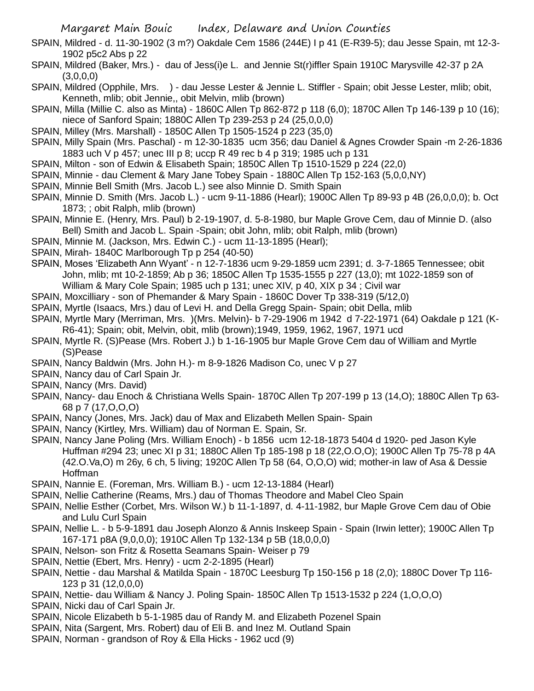- SPAIN, Mildred d. 11-30-1902 (3 m?) Oakdale Cem 1586 (244E) I p 41 (E-R39-5); dau Jesse Spain, mt 12-3- 1902 p5c2 Abs p 22
- SPAIN, Mildred (Baker, Mrs.) dau of Jess(i)e L. and Jennie St(r)iffler Spain 1910C Marysville 42-37 p 2A  $(3,0,0,0)$
- SPAIN, Mildred (Opphile, Mrs. ) dau Jesse Lester & Jennie L. Stiffler Spain; obit Jesse Lester, mlib; obit, Kenneth, mlib; obit Jennie,, obit Melvin, mlib (brown)
- SPAIN, Milla (Millie C. also as Minta) 1860C Allen Tp 862-872 p 118 (6,0); 1870C Allen Tp 146-139 p 10 (16); niece of Sanford Spain; 1880C Allen Tp 239-253 p 24 (25,0,0,0)
- SPAIN, Milley (Mrs. Marshall) 1850C Allen Tp 1505-1524 p 223 (35,0)
- SPAIN, Milly Spain (Mrs. Paschal) m 12-30-1835 ucm 356; dau Daniel & Agnes Crowder Spain -m 2-26-1836 1883 uch V p 457; unec III p 8; uccp R 49 rec b 4 p 319; 1985 uch p 131
- SPAIN, Milton son of Edwin & Elisabeth Spain; 1850C Allen Tp 1510-1529 p 224 (22,0)
- SPAIN, Minnie dau Clement & Mary Jane Tobey Spain 1880C Allen Tp 152-163 (5,0,0,NY)
- SPAIN, Minnie Bell Smith (Mrs. Jacob L.) see also Minnie D. Smith Spain
- SPAIN, Minnie D. Smith (Mrs. Jacob L.) ucm 9-11-1886 (Hearl); 1900C Allen Tp 89-93 p 4B (26,0,0,0); b. Oct 1873; ; obit Ralph, mlib (brown)
- SPAIN, Minnie E. (Henry, Mrs. Paul) b 2-19-1907, d. 5-8-1980, bur Maple Grove Cem, dau of Minnie D. (also Bell) Smith and Jacob L. Spain -Spain; obit John, mlib; obit Ralph, mlib (brown)
- SPAIN, Minnie M. (Jackson, Mrs. Edwin C.) ucm 11-13-1895 (Hearl);
- SPAIN, Mirah- 1840C Marlborough Tp p 254 (40-50)
- SPAIN, Moses 'Elizabeth Ann Wyant' n 12-7-1836 ucm 9-29-1859 ucm 2391; d. 3-7-1865 Tennessee; obit John, mlib; mt 10-2-1859; Ab p 36; 1850C Allen Tp 1535-1555 p 227 (13,0); mt 1022-1859 son of William & Mary Cole Spain; 1985 uch p 131; unec XIV, p 40, XIX p 34 ; Civil war
- SPAIN, Moxcilliary son of Phemander & Mary Spain 1860C Dover Tp 338-319 (5/12,0)
- SPAIN, Myrtle (Isaacs, Mrs.) dau of Levi H. and Della Gregg Spain- Spain; obit Della, mlib
- SPAIN, Myrtle Mary (Merriman, Mrs. )(Mrs. Melvin)- b 7-29-1906 m 1942 d 7-22-1971 (64) Oakdale p 121 (K-R6-41); Spain; obit, Melvin, obit, mlib (brown);1949, 1959, 1962, 1967, 1971 ucd
- SPAIN, Myrtle R. (S)Pease (Mrs. Robert J.) b 1-16-1905 bur Maple Grove Cem dau of William and Myrtle (S)Pease
- SPAIN, Nancy Baldwin (Mrs. John H.)- m 8-9-1826 Madison Co, unec V p 27
- SPAIN, Nancy dau of Carl Spain Jr.
- SPAIN, Nancy (Mrs. David)
- SPAIN, Nancy- dau Enoch & Christiana Wells Spain- 1870C Allen Tp 207-199 p 13 (14,O); 1880C Allen Tp 63- 68 p 7 (17,O,O,O)
- SPAIN, Nancy (Jones, Mrs. Jack) dau of Max and Elizabeth Mellen Spain- Spain
- SPAIN, Nancy (Kirtley, Mrs. William) dau of Norman E. Spain, Sr.
- SPAIN, Nancy Jane Poling (Mrs. William Enoch) b 1856 ucm 12-18-1873 5404 d 1920- ped Jason Kyle Huffman #294 23; unec XI p 31; 1880C Allen Tp 185-198 p 18 (22,O.O,O); 1900C Allen Tp 75-78 p 4A (42.O.Va,O) m 26y, 6 ch, 5 living; 1920C Allen Tp 58 (64, O,O,O) wid; mother-in law of Asa & Dessie Hoffman
- SPAIN, Nannie E. (Foreman, Mrs. William B.) ucm 12-13-1884 (Hearl)
- SPAIN, Nellie Catherine (Reams, Mrs.) dau of Thomas Theodore and Mabel Cleo Spain
- SPAIN, Nellie Esther (Corbet, Mrs. Wilson W.) b 11-1-1897, d. 4-11-1982, bur Maple Grove Cem dau of Obie and Lulu Curl Spain
- SPAIN, Nellie L. b 5-9-1891 dau Joseph Alonzo & Annis Inskeep Spain Spain (Irwin letter); 1900C Allen Tp 167-171 p8A (9,0,0,0); 1910C Allen Tp 132-134 p 5B (18,0,0,0)
- SPAIN, Nelson- son Fritz & Rosetta Seamans Spain- Weiser p 79
- SPAIN, Nettie (Ebert, Mrs. Henry) ucm 2-2-1895 (Hearl)
- SPAIN, Nettie dau Marshal & Matilda Spain 1870C Leesburg Tp 150-156 p 18 (2,0); 1880C Dover Tp 116- 123 p 31 (12,0,0,0)
- SPAIN, Nettie- dau William & Nancy J. Poling Spain- 1850C Allen Tp 1513-1532 p 224 (1,O,O,O)
- SPAIN, Nicki dau of Carl Spain Jr.
- SPAIN, Nicole Elizabeth b 5-1-1985 dau of Randy M. and Elizabeth Pozenel Spain
- SPAIN, Nita (Sargent, Mrs. Robert) dau of Eli B. and Inez M. Outland Spain
- SPAIN, Norman grandson of Roy & Ella Hicks 1962 ucd (9)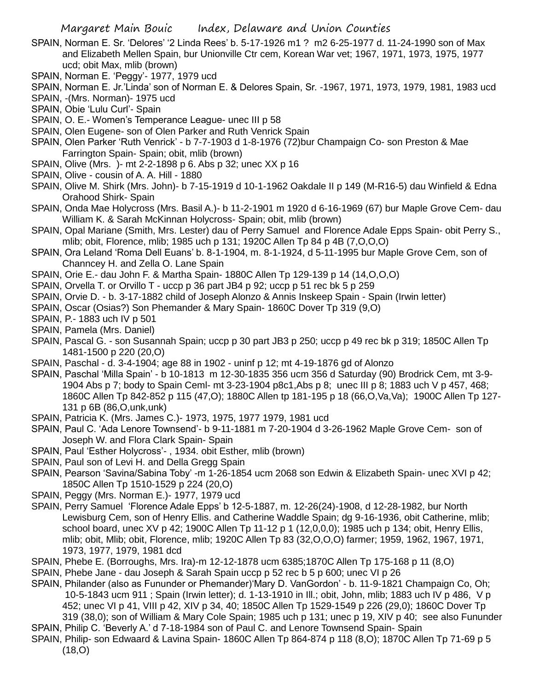- SPAIN, Norman E. Sr. 'Delores' '2 Linda Rees' b. 5-17-1926 m1 ? m2 6-25-1977 d. 11-24-1990 son of Max and Elizabeth Mellen Spain, bur Unionville Ctr cem, Korean War vet; 1967, 1971, 1973, 1975, 1977 ucd; obit Max, mlib (brown)
- SPAIN, Norman E. 'Peggy'- 1977, 1979 ucd
- SPAIN, Norman E. Jr.'Linda' son of Norman E. & Delores Spain, Sr. -1967, 1971, 1973, 1979, 1981, 1983 ucd
- SPAIN, -(Mrs. Norman)- 1975 ucd
- SPAIN, Obie 'Lulu Curl'- Spain
- SPAIN, O. E.- Women's Temperance League- unec III p 58
- SPAIN, Olen Eugene- son of Olen Parker and Ruth Venrick Spain
- SPAIN, Olen Parker 'Ruth Venrick' b 7-7-1903 d 1-8-1976 (72)bur Champaign Co- son Preston & Mae Farrington Spain- Spain; obit, mlib (brown)
- SPAIN, Olive (Mrs. )- mt 2-2-1898 p 6. Abs p 32; unec XX p 16
- SPAIN, Olive cousin of A. A. Hill 1880
- SPAIN, Olive M. Shirk (Mrs. John)- b 7-15-1919 d 10-1-1962 Oakdale II p 149 (M-R16-5) dau Winfield & Edna Orahood Shirk- Spain
- SPAIN, Onda Mae Holycross (Mrs. Basil A.)- b 11-2-1901 m 1920 d 6-16-1969 (67) bur Maple Grove Cem- dau William K. & Sarah McKinnan Holycross- Spain; obit, mlib (brown)
- SPAIN, Opal Mariane (Smith, Mrs. Lester) dau of Perry Samuel and Florence Adale Epps Spain- obit Perry S., mlib; obit, Florence, mlib; 1985 uch p 131; 1920C Allen Tp 84 p 4B (7,O,O,O)
- SPAIN, Ora Leland 'Roma Dell Euans' b. 8-1-1904, m. 8-1-1924, d 5-11-1995 bur Maple Grove Cem, son of Channcey H. and Zella O. Lane Spain
- SPAIN, Orie E.- dau John F. & Martha Spain- 1880C Allen Tp 129-139 p 14 (14,O,O,O)
- SPAIN, Orvella T. or Orvillo T uccp p 36 part JB4 p 92; uccp p 51 rec bk 5 p 259
- SPAIN, Orvie D. b. 3-17-1882 child of Joseph Alonzo & Annis Inskeep Spain Spain (Irwin letter)
- SPAIN, Oscar (Osias?) Son Phemander & Mary Spain- 1860C Dover Tp 319 (9,O)
- SPAIN, P.- 1883 uch IV p 501
- SPAIN, Pamela (Mrs. Daniel)
- SPAIN, Pascal G. son Susannah Spain; uccp p 30 part JB3 p 250; uccp p 49 rec bk p 319; 1850C Allen Tp 1481-1500 p 220 (20,O)
- SPAIN, Paschal d. 3-4-1904; age 88 in 1902 uninf p 12; mt 4-19-1876 gd of Alonzo
- SPAIN, Paschal 'Milla Spain' b 10-1813 m 12-30-1835 356 ucm 356 d Saturday (90) Brodrick Cem, mt 3-9- 1904 Abs p 7; body to Spain Ceml- mt 3-23-1904 p8c1,Abs p 8; unec III p 8; 1883 uch V p 457, 468; 1860C Allen Tp 842-852 p 115 (47,O); 1880C Allen tp 181-195 p 18 (66,O,Va,Va); 1900C Allen Tp 127- 131 p 6B (86,O,unk,unk)
- SPAIN, Patricia K. (Mrs. James C.)- 1973, 1975, 1977 1979, 1981 ucd
- SPAIN, Paul C. 'Ada Lenore Townsend'- b 9-11-1881 m 7-20-1904 d 3-26-1962 Maple Grove Cem- son of Joseph W. and Flora Clark Spain- Spain
- SPAIN, Paul 'Esther Holycross'- , 1934. obit Esther, mlib (brown)
- SPAIN, Paul son of Levi H. and Della Gregg Spain
- SPAIN, Pearson 'Savina/Sabina Toby' -m 1-26-1854 ucm 2068 son Edwin & Elizabeth Spain- unec XVI p 42; 1850C Allen Tp 1510-1529 p 224 (20,O)
- SPAIN, Peggy (Mrs. Norman E.)- 1977, 1979 ucd
- SPAIN, Perry Samuel 'Florence Adale Epps' b 12-5-1887, m. 12-26(24)-1908, d 12-28-1982, bur North Lewisburg Cem, son of Henry Ellis. and Catherine Waddle Spain; dg 9-16-1936, obit Catherine, mlib; school board, unec XV p 42; 1900C Allen Tp 11-12 p 1 (12,0,0,0); 1985 uch p 134; obit, Henry Ellis, mlib; obit, Mlib; obit, Florence, mlib; 1920C Allen Tp 83 (32,O,O,O) farmer; 1959, 1962, 1967, 1971, 1973, 1977, 1979, 1981 dcd
- SPAIN, Phebe E. (Borroughs, Mrs. Ira)-m 12-12-1878 ucm 6385;1870C Allen Tp 175-168 p 11 (8,O)
- SPAIN, Phebe Jane dau Joseph & Sarah Spain uccp p 52 rec b 5 p 600; unec VI p 26
- SPAIN, Philander (also as Fununder or Phemander)'Mary D. VanGordon' b. 11-9-1821 Champaign Co, Oh; 10-5-1843 ucm 911 ; Spain (Irwin letter); d. 1-13-1910 in Ill.; obit, John, mlib; 1883 uch IV p 486, V p 452; unec VI p 41, VIII p 42, XIV p 34, 40; 1850C Allen Tp 1529-1549 p 226 (29,0); 1860C Dover Tp 319 (38,0); son of William & Mary Cole Spain; 1985 uch p 131; unec p 19, XIV p 40; see also Fununder
- SPAIN, Philip C. 'Beverly A.' d 7-18-1984 son of Paul C. and Lenore Townsend Spain- Spain
- SPAIN, Philip- son Edwaard & Lavina Spain- 1860C Allen Tp 864-874 p 118 (8,O); 1870C Allen Tp 71-69 p 5 (18,O)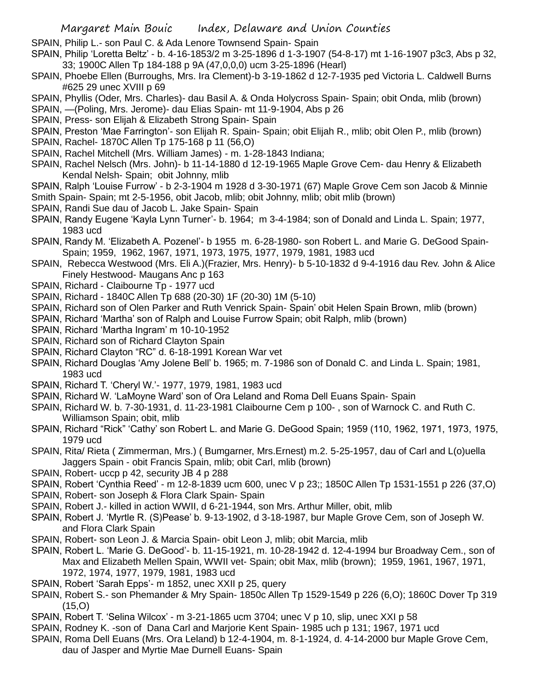- SPAIN, Philip L.- son Paul C. & Ada Lenore Townsend Spain- Spain
- SPAIN, Philip 'Loretta Beltz' b. 4-16-1853/2 m 3-25-1896 d 1-3-1907 (54-8-17) mt 1-16-1907 p3c3, Abs p 32, 33; 1900C Allen Tp 184-188 p 9A (47,0,0,0) ucm 3-25-1896 (Hearl)
- SPAIN, Phoebe Ellen (Burroughs, Mrs. Ira Clement)-b 3-19-1862 d 12-7-1935 ped Victoria L. Caldwell Burns #625 29 unec XVIII p 69
- SPAIN, Phyllis (Oder, Mrs. Charles)- dau Basil A. & Onda Holycross Spain- Spain; obit Onda, mlib (brown)
- SPAIN, —(Poling, Mrs. Jerome)- dau Elias Spain- mt 11-9-1904, Abs p 26
- SPAIN, Press- son Elijah & Elizabeth Strong Spain- Spain
- SPAIN, Preston 'Mae Farrington'- son Elijah R. Spain- Spain; obit Elijah R., mlib; obit Olen P., mlib (brown)
- SPAIN, Rachel- 1870C Allen Tp 175-168 p 11 (56,O)
- SPAIN, Rachel Mitchell (Mrs. William James) m. 1-28-1843 Indiana;
- SPAIN, Rachel Nelsch (Mrs. John)- b 11-14-1880 d 12-19-1965 Maple Grove Cem- dau Henry & Elizabeth Kendal Nelsh- Spain; obit Johnny, mlib
- SPAIN, Ralph 'Louise Furrow' b 2-3-1904 m 1928 d 3-30-1971 (67) Maple Grove Cem son Jacob & Minnie Smith Spain- Spain; mt 2-5-1956, obit Jacob, mlib; obit Johnny, mlib; obit mlib (brown)
- SPAIN, Randi Sue dau of Jacob L. Jake Spain- Spain
- SPAIN, Randy Eugene 'Kayla Lynn Turner'- b. 1964; m 3-4-1984; son of Donald and Linda L. Spain; 1977, 1983 ucd
- SPAIN, Randy M. 'Elizabeth A. Pozenel'- b 1955 m. 6-28-1980- son Robert L. and Marie G. DeGood Spain-Spain; 1959, 1962, 1967, 1971, 1973, 1975, 1977, 1979, 1981, 1983 ucd
- SPAIN, Rebecca Westwood (Mrs. Eli A.)(Frazier, Mrs. Henry)- b 5-10-1832 d 9-4-1916 dau Rev. John & Alice Finely Hestwood- Maugans Anc p 163
- SPAIN, Richard Claibourne Tp 1977 ucd
- SPAIN, Richard 1840C Allen Tp 688 (20-30) 1F (20-30) 1M (5-10)
- SPAIN, Richard son of Olen Parker and Ruth Venrick Spain- Spain' obit Helen Spain Brown, mlib (brown)
- SPAIN, Richard 'Martha' son of Ralph and Louise Furrow Spain; obit Ralph, mlib (brown)
- SPAIN, Richard 'Martha Ingram' m 10-10-1952
- SPAIN, Richard son of Richard Clayton Spain
- SPAIN, Richard Clayton "RC" d. 6-18-1991 Korean War vet
- SPAIN, Richard Douglas 'Amy Jolene Bell' b. 1965; m. 7-1986 son of Donald C. and Linda L. Spain; 1981, 1983 ucd
- SPAIN, Richard T. 'Cheryl W.'- 1977, 1979, 1981, 1983 ucd
- SPAIN, Richard W. 'LaMoyne Ward' son of Ora Leland and Roma Dell Euans Spain- Spain
- SPAIN, Richard W. b. 7-30-1931, d. 11-23-1981 Claibourne Cem p 100- , son of Warnock C. and Ruth C. Williamson Spain; obit, mlib
- SPAIN, Richard "Rick" 'Cathy' son Robert L. and Marie G. DeGood Spain; 1959 (110, 1962, 1971, 1973, 1975, 1979 ucd
- SPAIN, Rita/ Rieta ( Zimmerman, Mrs.) ( Bumgarner, Mrs.Ernest) m.2. 5-25-1957, dau of Carl and L(o)uella Jaggers Spain - obit Francis Spain, mlib; obit Carl, mlib (brown)
- SPAIN, Robert- uccp p 42, security JB 4 p 288
- SPAIN, Robert 'Cynthia Reed' m 12-8-1839 ucm 600, unec V p 23;; 1850C Allen Tp 1531-1551 p 226 (37,O)
- SPAIN, Robert- son Joseph & Flora Clark Spain- Spain
- SPAIN, Robert J.- killed in action WWII, d 6-21-1944, son Mrs. Arthur Miller, obit, mlib
- SPAIN, Robert J. 'Myrtle R. (S)Pease' b. 9-13-1902, d 3-18-1987, bur Maple Grove Cem, son of Joseph W. and Flora Clark Spain
- SPAIN, Robert- son Leon J. & Marcia Spain- obit Leon J, mlib; obit Marcia, mlib
- SPAIN, Robert L. 'Marie G. DeGood'- b. 11-15-1921, m. 10-28-1942 d. 12-4-1994 bur Broadway Cem., son of Max and Elizabeth Mellen Spain, WWII vet- Spain; obit Max, mlib (brown); 1959, 1961, 1967, 1971, 1972, 1974, 1977, 1979, 1981, 1983 ucd
- SPAIN, Robert 'Sarah Epps'- m 1852, unec XXII p 25, query
- SPAIN, Robert S.- son Phemander & Mry Spain- 1850c Allen Tp 1529-1549 p 226 (6,O); 1860C Dover Tp 319  $(15,0)$
- SPAIN, Robert T. 'Selina Wilcox' m 3-21-1865 ucm 3704; unec V p 10, slip, unec XXI p 58
- SPAIN, Rodney K. -son of Dana Carl and Marjorie Kent Spain- 1985 uch p 131; 1967, 1971 ucd
- SPAIN, Roma Dell Euans (Mrs. Ora Leland) b 12-4-1904, m. 8-1-1924, d. 4-14-2000 bur Maple Grove Cem, dau of Jasper and Myrtie Mae Durnell Euans- Spain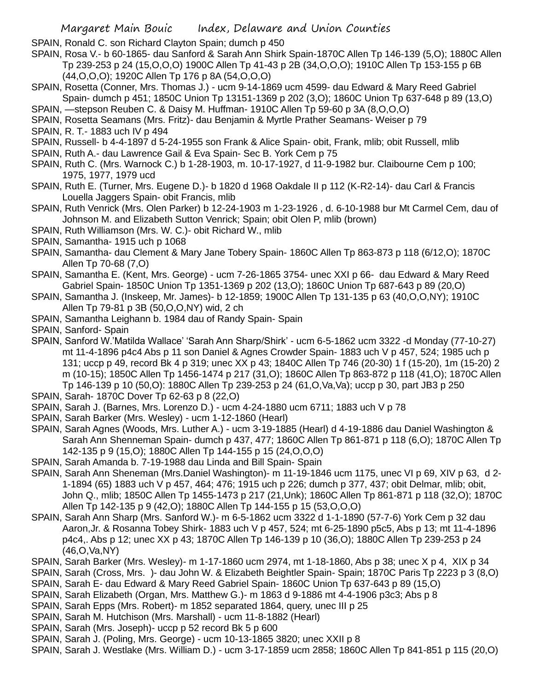SPAIN, Ronald C. son Richard Clayton Spain; dumch p 450

SPAIN, Rosa V.- b 60-1865- dau Sanford & Sarah Ann Shirk Spain-1870C Allen Tp 146-139 (5,O); 1880C Allen Tp 239-253 p 24 (15,O,O,O) 1900C Allen Tp 41-43 p 2B (34,O,O,O); 1910C Allen Tp 153-155 p 6B (44,O,O,O); 1920C Allen Tp 176 p 8A (54,O,O,O)

- SPAIN, Rosetta (Conner, Mrs. Thomas J.) ucm 9-14-1869 ucm 4599- dau Edward & Mary Reed Gabriel Spain- dumch p 451; 1850C Union Tp 13151-1369 p 202 (3,O); 1860C Union Tp 637-648 p 89 (13,O)
- SPAIN, —stepson Reuben C. & Daisy M. Huffman- 1910C Allen Tp 59-60 p 3A (8,O,O,O)
- SPAIN, Rosetta Seamans (Mrs. Fritz)- dau Benjamin & Myrtle Prather Seamans- Weiser p 79
- SPAIN, R. T.- 1883 uch IV p 494
- SPAIN, Russell- b 4-4-1897 d 5-24-1955 son Frank & Alice Spain- obit, Frank, mlib; obit Russell, mlib
- SPAIN, Ruth A.- dau Lawrence Gail & Eva Spain- Sec B. York Cem p 75
- SPAIN, Ruth C. (Mrs. Warnock C.) b 1-28-1903, m. 10-17-1927, d 11-9-1982 bur. Claibourne Cem p 100; 1975, 1977, 1979 ucd
- SPAIN, Ruth E. (Turner, Mrs. Eugene D.)- b 1820 d 1968 Oakdale II p 112 (K-R2-14)- dau Carl & Francis Louella Jaggers Spain- obit Francis, mlib
- SPAIN, Ruth Venrick (Mrs. Olen Parker) b 12-24-1903 m 1-23-1926 , d. 6-10-1988 bur Mt Carmel Cem, dau of Johnson M. and Elizabeth Sutton Venrick; Spain; obit Olen P, mlib (brown)
- SPAIN, Ruth Williamson (Mrs. W. C.)- obit Richard W., mlib
- SPAIN, Samantha- 1915 uch p 1068
- SPAIN, Samantha- dau Clement & Mary Jane Tobery Spain- 1860C Allen Tp 863-873 p 118 (6/12,O); 1870C Allen Tp 70-68 (7,O)
- SPAIN, Samantha E. (Kent, Mrs. George) ucm 7-26-1865 3754- unec XXI p 66- dau Edward & Mary Reed Gabriel Spain- 1850C Union Tp 1351-1369 p 202 (13,O); 1860C Union Tp 687-643 p 89 (20,O)
- SPAIN, Samantha J. (Inskeep, Mr. James)- b 12-1859; 1900C Allen Tp 131-135 p 63 (40,O,O,NY); 1910C Allen Tp 79-81 p 3B (50,O,O,NY) wid, 2 ch
- SPAIN, Samantha Leighann b. 1984 dau of Randy Spain- Spain

SPAIN, Sanford- Spain

- SPAIN, Sanford W.'Matilda Wallace' 'Sarah Ann Sharp/Shirk' ucm 6-5-1862 ucm 3322 -d Monday (77-10-27) mt 11-4-1896 p4c4 Abs p 11 son Daniel & Agnes Crowder Spain- 1883 uch V p 457, 524; 1985 uch p 131; uccp p 49, record Bk 4 p 319; unec XX p 43; 1840C Allen Tp 746 (20-30) 1 f (15-20), 1m (15-20) 2 m (10-15); 1850C Allen Tp 1456-1474 p 217 (31,O); 1860C Allen Tp 863-872 p 118 (41,O); 1870C Allen Tp 146-139 p 10 (50,O): 1880C Allen Tp 239-253 p 24 (61,O,Va,Va); uccp p 30, part JB3 p 250
- SPAIN, Sarah- 1870C Dover Tp 62-63 p 8 (22,O)
- SPAIN, Sarah J. (Barnes, Mrs. Lorenzo D.) ucm 4-24-1880 ucm 6711; 1883 uch V p 78
- SPAIN, Sarah Barker (Mrs. Wesley) ucm 1-12-1860 (Hearl)
- SPAIN, Sarah Agnes (Woods, Mrs. Luther A.) ucm 3-19-1885 (Hearl) d 4-19-1886 dau Daniel Washington & Sarah Ann Shenneman Spain- dumch p 437, 477; 1860C Allen Tp 861-871 p 118 (6,O); 1870C Allen Tp 142-135 p 9 (15,O); 1880C Allen Tp 144-155 p 15 (24,O,O,O)
- SPAIN, Sarah Amanda b. 7-19-1988 dau Linda and Bill Spain- Spain
- SPAIN, Sarah Ann Sheneman (Mrs.Daniel Washington)- m 11-19-1846 ucm 1175, unec VI p 69, XIV p 63, d 2- 1-1894 (65) 1883 uch V p 457, 464; 476; 1915 uch p 226; dumch p 377, 437; obit Delmar, mlib; obit, John Q., mlib; 1850C Allen Tp 1455-1473 p 217 (21,Unk); 1860C Allen Tp 861-871 p 118 (32,O); 1870C Allen Tp 142-135 p 9 (42,O); 1880C Allen Tp 144-155 p 15 (53,O,O,O)
- SPAIN, Sarah Ann Sharp (Mrs. Sanford W.)- m 6-5-1862 ucm 3322 d 1-1-1890 (57-7-6) York Cem p 32 dau Aaron,Jr. & Rosanna Tobey Shirk- 1883 uch V p 457, 524; mt 6-25-1890 p5c5, Abs p 13; mt 11-4-1896 p4c4,. Abs p 12; unec XX p 43; 1870C Allen Tp 146-139 p 10 (36,O); 1880C Allen Tp 239-253 p 24 (46,O,Va,NY)
- SPAIN, Sarah Barker (Mrs. Wesley)- m 1-17-1860 ucm 2974, mt 1-18-1860, Abs p 38; unec X p 4, XIX p 34
- SPAIN, Sarah (Cross, Mrs. )- dau John W. & Elizabeth Beightler Spain- Spain; 1870C Paris Tp 2223 p 3 (8,O)
- SPAIN, Sarah E- dau Edward & Mary Reed Gabriel Spain- 1860C Union Tp 637-643 p 89 (15,O)
- SPAIN, Sarah Elizabeth (Organ, Mrs. Matthew G.)- m 1863 d 9-1886 mt 4-4-1906 p3c3; Abs p 8
- SPAIN, Sarah Epps (Mrs. Robert)- m 1852 separated 1864, query, unec III p 25
- SPAIN, Sarah M. Hutchison (Mrs. Marshall) ucm 11-8-1882 (Hearl)
- SPAIN, Sarah (Mrs. Joseph)- uccp p 52 record Bk 5 p 600
- SPAIN, Sarah J. (Poling, Mrs. George) ucm 10-13-1865 3820; unec XXII p 8
- SPAIN, Sarah J. Westlake (Mrs. William D.) ucm 3-17-1859 ucm 2858; 1860C Allen Tp 841-851 p 115 (20,O)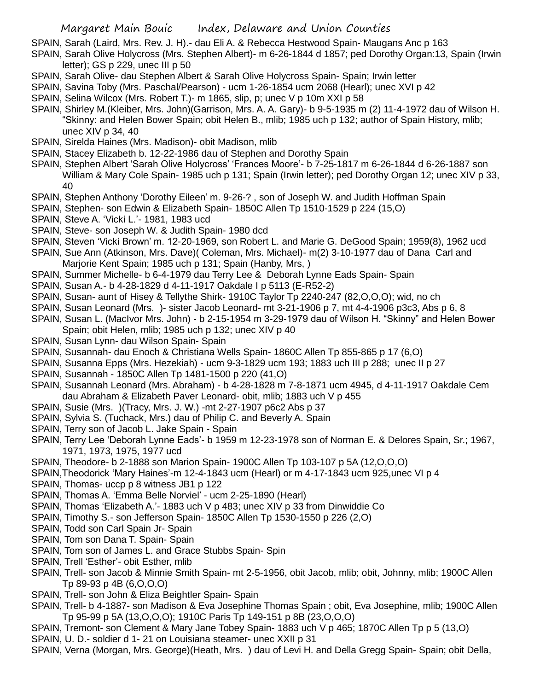SPAIN, Sarah (Laird, Mrs. Rev. J. H).- dau Eli A. & Rebecca Hestwood Spain- Maugans Anc p 163

- SPAIN, Sarah Olive Holycross (Mrs. Stephen Albert)- m 6-26-1844 d 1857; ped Dorothy Organ:13, Spain (Irwin letter); GS p 229, unec III p 50
- SPAIN, Sarah Olive- dau Stephen Albert & Sarah Olive Holycross Spain- Spain; Irwin letter
- SPAIN, Savina Toby (Mrs. Paschal/Pearson) ucm 1-26-1854 ucm 2068 (Hearl); unec XVI p 42
- SPAIN, Selina Wilcox (Mrs. Robert T.)- m 1865, slip, p; unec V p 10m XXI p 58
- SPAIN, Shirley M.(Kleiber, Mrs. John)(Garrison, Mrs. A. A. Gary)- b 9-5-1935 m (2) 11-4-1972 dau of Wilson H. "Skinny: and Helen Bower Spain; obit Helen B., mlib; 1985 uch p 132; author of Spain History, mlib; unec XIV p 34, 40
- SPAIN, Sirelda Haines (Mrs. Madison)- obit Madison, mlib
- SPAIN, Stacey Elizabeth b. 12-22-1986 dau of Stephen and Dorothy Spain
- SPAIN, Stephen Albert 'Sarah Olive Holycross' 'Frances Moore'- b 7-25-1817 m 6-26-1844 d 6-26-1887 son William & Mary Cole Spain- 1985 uch p 131; Spain (Irwin letter); ped Dorothy Organ 12; unec XIV p 33, 40
- SPAIN, Stephen Anthony 'Dorothy Eileen' m. 9-26-? , son of Joseph W. and Judith Hoffman Spain
- SPAIN, Stephen- son Edwin & Elizabeth Spain- 1850C Allen Tp 1510-1529 p 224 (15,O)
- SPAIN, Steve A. 'Vicki L.'- 1981, 1983 ucd
- SPAIN, Steve- son Joseph W. & Judith Spain- 1980 dcd
- SPAIN, Steven 'Vicki Brown' m. 12-20-1969, son Robert L. and Marie G. DeGood Spain; 1959(8), 1962 ucd
- SPAIN, Sue Ann (Atkinson, Mrs. Dave)( Coleman, Mrs. Michael)- m(2) 3-10-1977 dau of Dana Carl and Marjorie Kent Spain; 1985 uch p 131; Spain (Hanby, Mrs, )
- SPAIN, Summer Michelle- b 6-4-1979 dau Terry Lee & Deborah Lynne Eads Spain- Spain
- SPAIN, Susan A.- b 4-28-1829 d 4-11-1917 Oakdale I p 5113 (E-R52-2)
- SPAIN, Susan- aunt of Hisey & Tellythe Shirk- 1910C Taylor Tp 2240-247 (82,O,O,O); wid, no ch
- SPAIN, Susan Leonard (Mrs. )- sister Jacob Leonard- mt 3-21-1906 p 7, mt 4-4-1906 p3c3, Abs p 6, 8
- SPAIN, Susan L. (MacIvor Mrs. John) b 2-15-1954 m 3-29-1979 dau of Wilson H. "Skinny" and Helen Bower Spain; obit Helen, mlib; 1985 uch p 132; unec XIV p 40
- SPAIN, Susan Lynn- dau Wilson Spain- Spain
- SPAIN, Susannah- dau Enoch & Christiana Wells Spain- 1860C Allen Tp 855-865 p 17 (6,O)
- SPAIN, Susanna Epps (Mrs. Hezekiah) ucm 9-3-1829 ucm 193; 1883 uch III p 288; unec II p 27
- SPAIN, Susannah 1850C Allen Tp 1481-1500 p 220 (41,O)
- SPAIN, Susannah Leonard (Mrs. Abraham) b 4-28-1828 m 7-8-1871 ucm 4945, d 4-11-1917 Oakdale Cem dau Abraham & Elizabeth Paver Leonard- obit, mlib; 1883 uch V p 455
- SPAIN, Susie (Mrs. )(Tracy, Mrs. J. W.) -mt 2-27-1907 p6c2 Abs p 37
- SPAIN, Sylvia S. (Tuchack, Mrs.) dau of Philip C. and Beverly A. Spain
- SPAIN, Terry son of Jacob L. Jake Spain Spain
- SPAIN, Terry Lee 'Deborah Lynne Eads'- b 1959 m 12-23-1978 son of Norman E. & Delores Spain, Sr.; 1967, 1971, 1973, 1975, 1977 ucd
- SPAIN, Theodore- b 2-1888 son Marion Spain- 1900C Allen Tp 103-107 p 5A (12,O,O,O)
- SPAIN,Theodorick 'Mary Haines'-m 12-4-1843 ucm (Hearl) or m 4-17-1843 ucm 925,unec VI p 4
- SPAIN, Thomas- uccp p 8 witness JB1 p 122
- SPAIN, Thomas A. 'Emma Belle Norviel' ucm 2-25-1890 (Hearl)
- SPAIN, Thomas 'Elizabeth A.'- 1883 uch V p 483; unec XIV p 33 from Dinwiddie Co
- SPAIN, Timothy S.- son Jefferson Spain- 1850C Allen Tp 1530-1550 p 226 (2,O)
- SPAIN, Todd son Carl Spain Jr- Spain
- SPAIN, Tom son Dana T. Spain- Spain
- SPAIN, Tom son of James L. and Grace Stubbs Spain- Spin
- SPAIN, Trell 'Esther'- obit Esther, mlib
- SPAIN, Trell- son Jacob & Minnie Smith Spain- mt 2-5-1956, obit Jacob, mlib; obit, Johnny, mlib; 1900C Allen Tp 89-93 p 4B (6,O,O,O)
- SPAIN, Trell- son John & Eliza Beightler Spain- Spain
- SPAIN, Trell- b 4-1887- son Madison & Eva Josephine Thomas Spain ; obit, Eva Josephine, mlib; 1900C Allen Tp 95-99 p 5A (13,O,O,O); 1910C Paris Tp 149-151 p 8B (23,O,O,O)
- SPAIN, Tremont- son Clement & Mary Jane Tobey Spain- 1883 uch V p 465; 1870C Allen Tp p 5 (13,O)
- SPAIN, U. D.- soldier d 1- 21 on Louisiana steamer- unec XXII p 31
- SPAIN, Verna (Morgan, Mrs. George)(Heath, Mrs. ) dau of Levi H. and Della Gregg Spain- Spain; obit Della,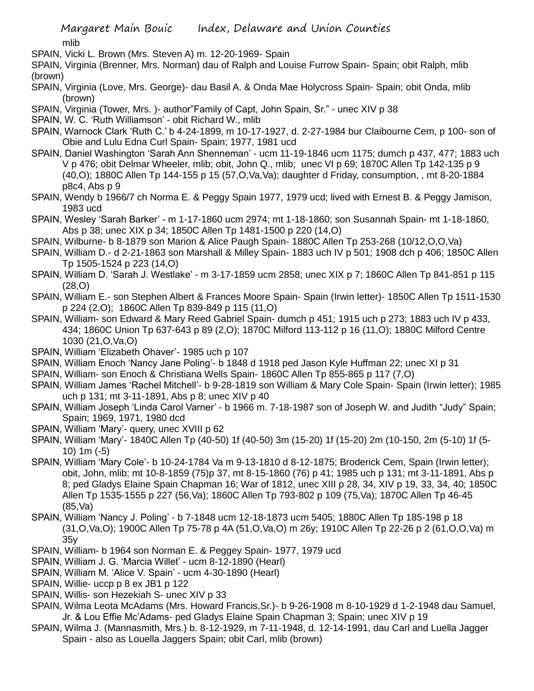mlib

SPAIN, Vicki L. Brown (Mrs. Steven A) m. 12-20-1969- Spain

SPAIN, Virginia (Brenner, Mrs. Norman) dau of Ralph and Louise Furrow Spain- Spain; obit Ralph, mlib (brown)

- SPAIN, Virginia (Love, Mrs. George)- dau Basil A. & Onda Mae Holycross Spain- Spain; obit Onda, mlib (brown)
- SPAIN, Virginia (Tower, Mrs. )- author"Family of Capt, John Spain, Sr." unec XIV p 38
- SPAIN, W. C. 'Ruth Williamson' obit Richard W., mlib
- SPAIN, Warnock Clark 'Ruth C.' b 4-24-1899, m 10-17-1927, d. 2-27-1984 bur Claibourne Cem, p 100- son of Obie and Lulu Edna Curl Spain- Spain; 1977, 1981 ucd
- SPAIN, Daniel Washington 'Sarah Ann Shenneman' ucm 11-19-1846 ucm 1175; dumch p 437, 477; 1883 uch V p 476; obit Delmar Wheeler, mlib; obit, John Q., mlib; unec VI p 69; 1870C Allen Tp 142-135 p 9 (40,O); 1880C Allen Tp 144-155 p 15 (57,O,Va,Va); daughter d Friday, consumption, , mt 8-20-1884 p8c4, Abs p 9
- SPAIN, Wendy b 1966/7 ch Norma E. & Peggy Spain 1977, 1979 ucd; lived with Ernest B. & Peggy Jamison, 1983 ucd
- SPAIN, Wesley 'Sarah Barker' m 1-17-1860 ucm 2974; mt 1-18-1860; son Susannah Spain- mt 1-18-1860, Abs p 38; unec XIX p 34; 1850C Allen Tp 1481-1500 p 220 (14,O)
- SPAIN, Wilburne- b 8-1879 son Marion & Alice Paugh Spain- 1880C Allen Tp 253-268 (10/12,O,O,Va)
- SPAIN, William D.- d 2-21-1863 son Marshall & Milley Spain- 1883 uch IV p 501; 1908 dch p 406; 1850C Allen Tp 1505-1524 p 223 (14,O)
- SPAIN, William D. 'Sarah J. Westlake' m 3-17-1859 ucm 2858; unec XIX p 7; 1860C Allen Tp 841-851 p 115 (28,O)
- SPAIN, William E.- son Stephen Albert & Frances Moore Spain- Spain (Irwin letter)- 1850C Allen Tp 1511-1530 p 224 (2,O); 1860C Allen Tp 839-849 p 115 (11,O)
- SPAIN, William- son Edward & Mary Reed Gabriel Spain- dumch p 451; 1915 uch p 273; 1883 uch IV p 433, 434; 1860C Union Tp 637-643 p 89 (2,O); 1870C Milford 113-112 p 16 (11,O); 1880C Milford Centre 1030 (21,O,Va,O)
- SPAIN, William 'Elizabeth Ohaver'- 1985 uch p 107
- SPAIN, William Enoch 'Nancy Jane Poling'- b 1848 d 1918 ped Jason Kyle Huffman 22; unec XI p 31
- SPAIN, William- son Enoch & Christiana Wells Spain- 1860C Allen Tp 855-865 p 117 (7,O)
- SPAIN, William James 'Rachel Mitchell'- b 9-28-1819 son William & Mary Cole Spain- Spain (Irwin letter); 1985 uch p 131; mt 3-11-1891, Abs p 8; unec XIV p 40
- SPAIN, William Joseph 'Linda Carol Varner' b 1966 m. 7-18-1987 son of Joseph W. and Judith "Judy" Spain; Spain; 1969, 1971, 1980 dcd
- SPAIN, William 'Mary'- query, unec XVIII p 62
- SPAIN, William 'Mary'- 1840C Allen Tp (40-50) 1f (40-50) 3m (15-20) 1f (15-20) 2m (10-150, 2m (5-10) 1f (5- 10) 1m (-5)
- SPAIN, William 'Mary Cole'- b 10-24-1784 Va m 9-13-1810 d 8-12-1875; Broderick Cem, Spain (Irwin letter); obit, John, mlib; mt 10-8-1859 (75)p 37, mt 8-15-1860 (76) p 41; 1985 uch p 131; mt 3-11-1891, Abs p 8; ped Gladys Elaine Spain Chapman 16; War of 1812, unec XIII p 28, 34, XIV p 19, 33, 34, 40; 1850C Allen Tp 1535-1555 p 227 (56,Va); 1860C Allen Tp 793-802 p 109 (75,Va); 1870C Allen Tp 46-45 (85,Va)
- SPAIN, William 'Nancy J. Poling' b 7-1848 ucm 12-18-1873 ucm 5405; 1880C Allen Tp 185-198 p 18 (31,O,Va,O); 1900C Allen Tp 75-78 p 4A (51,O,Va,O) m 26y; 1910C Allen Tp 22-26 p 2 (61,O,O,Va) m 35y
- SPAIN, William- b 1964 son Norman E. & Peggey Spain- 1977, 1979 ucd
- SPAIN, William J. G. 'Marcia Willet' ucm 8-12-1890 (Hearl)
- SPAIN, William M. 'Alice V. Spain' ucm 4-30-1890 (Hearl)
- SPAIN, Willie- uccp p 8 ex JB1 p 122
- SPAIN, Willis- son Hezekiah S- unec XIV p 33
- SPAIN, Wilma Leota McAdams (Mrs. Howard Francis,Sr.)- b 9-26-1908 m 8-10-1929 d 1-2-1948 dau Samuel, Jr. & Lou Effie Mc'Adams- ped Gladys Elaine Spain Chapman 3; Spain; unec XIV p 19
- SPAIN, Wilma J. (Mannasmith, Mrs.) b. 8-12-1929, m 7-11-1948, d. 12-14-1991, dau Carl and Luella Jagger Spain - also as Louella Jaggers Spain; obit Carl, mlib (brown)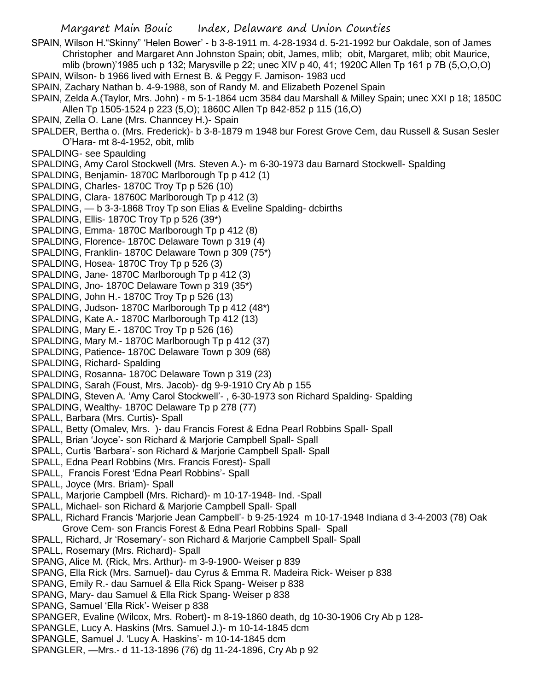- SPAIN, Wilson H."Skinny" 'Helen Bower' b 3-8-1911 m. 4-28-1934 d. 5-21-1992 bur Oakdale, son of James Christopher and Margaret Ann Johnston Spain; obit, James, mlib; obit, Margaret, mlib; obit Maurice, mlib (brown)'1985 uch p 132; Marysville p 22; unec XIV p 40, 41; 1920C Allen Tp 161 p 7B (5,O,O,O) SPAIN, Wilson- b 1966 lived with Ernest B. & Peggy F. Jamison- 1983 ucd
- SPAIN, Zachary Nathan b. 4-9-1988, son of Randy M. and Elizabeth Pozenel Spain
- SPAIN, Zelda A.(Taylor, Mrs. John) m 5-1-1864 ucm 3584 dau Marshall & Milley Spain; unec XXI p 18; 1850C Allen Tp 1505-1524 p 223 (5,O); 1860C Allen Tp 842-852 p 115 (16,O)
- SPAIN, Zella O. Lane (Mrs. Channcey H.)- Spain
- SPALDER, Bertha o. (Mrs. Frederick)- b 3-8-1879 m 1948 bur Forest Grove Cem, dau Russell & Susan Sesler O'Hara- mt 8-4-1952, obit, mlib
- SPALDING- see Spaulding
- SPALDING, Amy Carol Stockwell (Mrs. Steven A.)- m 6-30-1973 dau Barnard Stockwell- Spalding
- SPALDING, Benjamin- 1870C Marlborough Tp p 412 (1)
- SPALDING, Charles- 1870C Troy Tp p 526 (10)
- SPALDING, Clara- 18760C Marlborough Tp p 412 (3)
- SPALDING, b 3-3-1868 Troy Tp son Elias & Eveline Spalding- dcbirths
- SPALDING, Ellis- 1870C Troy Tp p 526 (39\*)
- SPALDING, Emma- 1870C Marlborough Tp p 412 (8)
- SPALDING, Florence- 1870C Delaware Town p 319 (4)
- SPALDING, Franklin- 1870C Delaware Town p 309 (75\*)
- SPALDING, Hosea- 1870C Troy Tp p 526 (3)
- SPALDING, Jane- 1870C Marlborough Tp p 412 (3)
- SPALDING, Jno- 1870C Delaware Town p 319 (35\*)
- SPALDING, John H.- 1870C Troy Tp p 526 (13)
- SPALDING, Judson-1870C Marlborough Tp p 412 (48\*)
- SPALDING, Kate A.- 1870C Marlborough Tp 412 (13)
- SPALDING, Mary E.- 1870C Troy Tp p 526 (16)
- SPALDING, Mary M.-1870C Marlborough Tp p 412 (37)
- SPALDING, Patience- 1870C Delaware Town p 309 (68)
- SPALDING, Richard- Spalding
- SPALDING, Rosanna- 1870C Delaware Town p 319 (23)
- SPALDING, Sarah (Foust, Mrs. Jacob)- dg 9-9-1910 Cry Ab p 155
- SPALDING, Steven A. 'Amy Carol Stockwell'- , 6-30-1973 son Richard Spalding- Spalding
- SPALDING, Wealthy-1870C Delaware Tp p 278 (77)
- SPALL, Barbara (Mrs. Curtis)- Spall
- SPALL, Betty (Omalev, Mrs. )- dau Francis Forest & Edna Pearl Robbins Spall- Spall
- SPALL, Brian 'Joyce'- son Richard & Marjorie Campbell Spall- Spall
- SPALL, Curtis 'Barbara'- son Richard & Marjorie Campbell Spall- Spall
- SPALL, Edna Pearl Robbins (Mrs. Francis Forest)- Spall
- SPALL, Francis Forest 'Edna Pearl Robbins'- Spall
- SPALL, Joyce (Mrs. Briam)- Spall
- SPALL, Marjorie Campbell (Mrs. Richard)- m 10-17-1948- Ind. -Spall
- SPALL, Michael- son Richard & Marjorie Campbell Spall- Spall
- SPALL, Richard Francis 'Marjorie Jean Campbell'- b 9-25-1924 m 10-17-1948 Indiana d 3-4-2003 (78) Oak
- Grove Cem- son Francis Forest & Edna Pearl Robbins Spall- Spall
- SPALL, Richard, Jr 'Rosemary'- son Richard & Marjorie Campbell Spall- Spall
- SPALL, Rosemary (Mrs. Richard)- Spall
- SPANG, Alice M. (Rick, Mrs. Arthur)- m 3-9-1900- Weiser p 839
- SPANG, Ella Rick (Mrs. Samuel)- dau Cyrus & Emma R. Madeira Rick- Weiser p 838
- SPANG, Emily R.- dau Samuel & Ella Rick Spang- Weiser p 838
- SPANG, Mary- dau Samuel & Ella Rick Spang- Weiser p 838
- SPANG, Samuel 'Ella Rick'- Weiser p 838
- SPANGER, Evaline (Wilcox, Mrs. Robert)- m 8-19-1860 death, dg 10-30-1906 Cry Ab p 128-
- SPANGLE, Lucy A. Haskins (Mrs. Samuel J.)- m 10-14-1845 dcm
- SPANGLE, Samuel J. 'Lucy A. Haskins'- m 10-14-1845 dcm
- SPANGLER, —Mrs.- d 11-13-1896 (76) dg 11-24-1896, Cry Ab p 92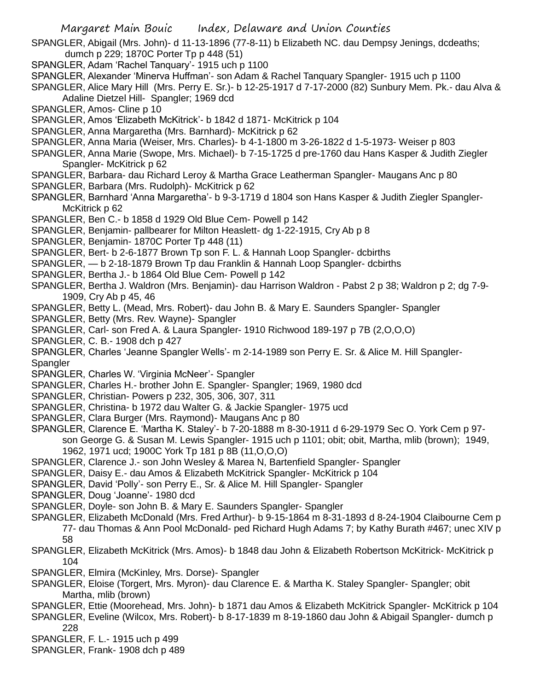SPANGLER, Abigail (Mrs. John)- d 11-13-1896 (77-8-11) b Elizabeth NC. dau Dempsy Jenings, dcdeaths; dumch p 229; 1870C Porter Tp p 448 (51)

- SPANGLER, Adam 'Rachel Tanquary'- 1915 uch p 1100
- SPANGLER, Alexander 'Minerva Huffman'- son Adam & Rachel Tanquary Spangler- 1915 uch p 1100
- SPANGLER, Alice Mary Hill (Mrs. Perry E. Sr.)- b 12-25-1917 d 7-17-2000 (82) Sunbury Mem. Pk.- dau Alva & Adaline Dietzel Hill- Spangler; 1969 dcd
- SPANGLER, Amos- Cline p 10
- SPANGLER, Amos 'Elizabeth McKitrick'- b 1842 d 1871- McKitrick p 104
- SPANGLER, Anna Margaretha (Mrs. Barnhard)- McKitrick p 62
- SPANGLER, Anna Maria (Weiser, Mrs. Charles)- b 4-1-1800 m 3-26-1822 d 1-5-1973- Weiser p 803
- SPANGLER, Anna Marie (Swope, Mrs. Michael)- b 7-15-1725 d pre-1760 dau Hans Kasper & Judith Ziegler Spangler- McKitrick p 62
- SPANGLER, Barbara- dau Richard Leroy & Martha Grace Leatherman Spangler- Maugans Anc p 80
- SPANGLER, Barbara (Mrs. Rudolph)- McKitrick p 62
- SPANGLER, Barnhard 'Anna Margaretha'- b 9-3-1719 d 1804 son Hans Kasper & Judith Ziegler Spangler-McKitrick p 62
- SPANGLER, Ben C.- b 1858 d 1929 Old Blue Cem- Powell p 142
- SPANGLER, Benjamin- pallbearer for Milton Heaslett- dg 1-22-1915, Cry Ab p 8
- SPANGLER, Benjamin- 1870C Porter Tp 448 (11)
- SPANGLER, Bert- b 2-6-1877 Brown Tp son F. L. & Hannah Loop Spangler- dcbirths
- SPANGLER, b 2-18-1879 Brown Tp dau Franklin & Hannah Loop Spangler- dcbirths
- SPANGLER, Bertha J.- b 1864 Old Blue Cem- Powell p 142
- SPANGLER, Bertha J. Waldron (Mrs. Benjamin)- dau Harrison Waldron Pabst 2 p 38; Waldron p 2; dg 7-9- 1909, Cry Ab p 45, 46
- SPANGLER, Betty L. (Mead, Mrs. Robert)- dau John B. & Mary E. Saunders Spangler- Spangler
- SPANGLER, Betty (Mrs. Rev. Wayne)- Spangler
- SPANGLER, Carl- son Fred A. & Laura Spangler- 1910 Richwood 189-197 p 7B (2,O,O,O)
- SPANGLER, C. B.- 1908 dch p 427
- SPANGLER, Charles 'Jeanne Spangler Wells'- m 2-14-1989 son Perry E. Sr. & Alice M. Hill Spangler-Spangler
- SPANGLER, Charles W. 'Virginia McNeer'- Spangler
- SPANGLER, Charles H.- brother John E. Spangler- Spangler; 1969, 1980 dcd
- SPANGLER, Christian- Powers p 232, 305, 306, 307, 311
- SPANGLER, Christina- b 1972 dau Walter G. & Jackie Spangler- 1975 ucd
- SPANGLER, Clara Burger (Mrs. Raymond)- Maugans Anc p 80
- SPANGLER, Clarence E. 'Martha K. Staley'- b 7-20-1888 m 8-30-1911 d 6-29-1979 Sec O. York Cem p 97 son George G. & Susan M. Lewis Spangler- 1915 uch p 1101; obit; obit, Martha, mlib (brown); 1949, 1962, 1971 ucd; 1900C York Tp 181 p 8B (11,O,O,O)
- SPANGLER, Clarence J.- son John Wesley & Marea N, Bartenfield Spangler- Spangler
- SPANGLER, Daisy E.- dau Amos & Elizabeth McKitrick Spangler- McKitrick p 104
- SPANGLER, David 'Polly'- son Perry E., Sr. & Alice M. Hill Spangler- Spangler
- SPANGLER, Doug 'Joanne'- 1980 dcd
- SPANGLER, Doyle- son John B. & Mary E. Saunders Spangler- Spangler
- SPANGLER, Elizabeth McDonald (Mrs. Fred Arthur)- b 9-15-1864 m 8-31-1893 d 8-24-1904 Claibourne Cem p 77- dau Thomas & Ann Pool McDonald- ped Richard Hugh Adams 7; by Kathy Burath #467; unec XIV p 58
- SPANGLER, Elizabeth McKitrick (Mrs. Amos)- b 1848 dau John & Elizabeth Robertson McKitrick- McKitrick p 104
- SPANGLER, Elmira (McKinley, Mrs. Dorse)- Spangler
- SPANGLER, Eloise (Torgert, Mrs. Myron)- dau Clarence E. & Martha K. Staley Spangler- Spangler; obit Martha, mlib (brown)
- SPANGLER, Ettie (Moorehead, Mrs. John)- b 1871 dau Amos & Elizabeth McKitrick Spangler- McKitrick p 104
- SPANGLER, Eveline (Wilcox, Mrs. Robert)- b 8-17-1839 m 8-19-1860 dau John & Abigail Spangler- dumch p 228
- SPANGLER, F. L.- 1915 uch p 499
- SPANGLER, Frank- 1908 dch p 489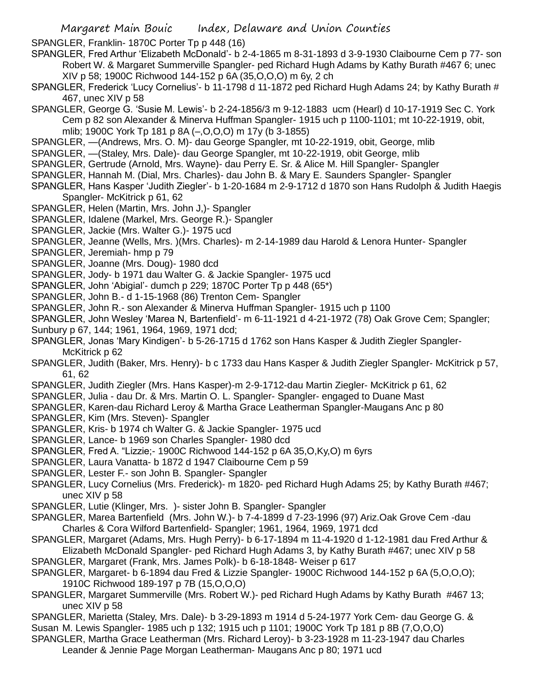SPANGLER, Franklin- 1870C Porter Tp p 448 (16)

SPANGLER, Fred Arthur 'Elizabeth McDonald'- b 2-4-1865 m 8-31-1893 d 3-9-1930 Claibourne Cem p 77- son Robert W. & Margaret Summerville Spangler- ped Richard Hugh Adams by Kathy Burath #467 6; unec XIV p 58; 1900C Richwood 144-152 p 6A (35,O,O,O) m 6y, 2 ch

- SPANGLER, Frederick 'Lucy Cornelius'- b 11-1798 d 11-1872 ped Richard Hugh Adams 24; by Kathy Burath # 467, unec XIV p 58
- SPANGLER, George G. 'Susie M. Lewis'- b 2-24-1856/3 m 9-12-1883 ucm (Hearl) d 10-17-1919 Sec C. York Cem p 82 son Alexander & Minerva Huffman Spangler- 1915 uch p 1100-1101; mt 10-22-1919, obit, mlib; 1900C York Tp 181 p 8A (–,O,O,O) m 17y (b 3-1855)
- SPANGLER, —(Andrews, Mrs. O. M)- dau George Spangler, mt 10-22-1919, obit, George, mlib
- SPANGLER, —(Staley, Mrs. Dale)- dau George Spangler, mt 10-22-1919, obit George, mlib
- SPANGLER, Gertrude (Arnold, Mrs. Wayne)- dau Perry E. Sr. & Alice M. Hill Spangler- Spangler
- SPANGLER, Hannah M. (Dial, Mrs. Charles)- dau John B. & Mary E. Saunders Spangler- Spangler
- SPANGLER, Hans Kasper 'Judith Ziegler'- b 1-20-1684 m 2-9-1712 d 1870 son Hans Rudolph & Judith Haegis Spangler- McKitrick p 61, 62
- SPANGLER, Helen (Martin, Mrs. John J,)- Spangler
- SPANGLER, Idalene (Markel, Mrs. George R.)- Spangler
- SPANGLER, Jackie (Mrs. Walter G.)- 1975 ucd
- SPANGLER, Jeanne (Wells, Mrs. )(Mrs. Charles)- m 2-14-1989 dau Harold & Lenora Hunter- Spangler
- SPANGLER, Jeremiah- hmp p 79
- SPANGLER, Joanne (Mrs. Doug)- 1980 dcd
- SPANGLER, Jody- b 1971 dau Walter G. & Jackie Spangler- 1975 ucd
- SPANGLER, John 'Abigial'- dumch p 229; 1870C Porter Tp p 448 (65\*)
- SPANGLER, John B.- d 1-15-1968 (86) Trenton Cem- Spangler
- SPANGLER, John R.- son Alexander & Minerva Huffman Spangler- 1915 uch p 1100
- SPANGLER, John Wesley 'Marea N, Bartenfield'- m 6-11-1921 d 4-21-1972 (78) Oak Grove Cem; Spangler;
- Sunbury p 67, 144; 1961, 1964, 1969, 1971 dcd;
- SPANGLER, Jonas 'Mary Kindigen'- b 5-26-1715 d 1762 son Hans Kasper & Judith Ziegler Spangler-McKitrick p 62
- SPANGLER, Judith (Baker, Mrs. Henry)- b c 1733 dau Hans Kasper & Judith Ziegler Spangler- McKitrick p 57, 61, 62
- SPANGLER, Judith Ziegler (Mrs. Hans Kasper)-m 2-9-1712-dau Martin Ziegler- McKitrick p 61, 62
- SPANGLER, Julia dau Dr. & Mrs. Martin O. L. Spangler- Spangler- engaged to Duane Mast
- SPANGLER, Karen-dau Richard Leroy & Martha Grace Leatherman Spangler-Maugans Anc p 80
- SPANGLER, Kim (Mrs. Steven)- Spangler
- SPANGLER, Kris- b 1974 ch Walter G. & Jackie Spangler- 1975 ucd
- SPANGLER, Lance- b 1969 son Charles Spangler- 1980 dcd
- SPANGLER, Fred A. "Lizzie;- 1900C Richwood 144-152 p 6A 35,O,Ky,O) m 6yrs
- SPANGLER, Laura Vanatta- b 1872 d 1947 Claibourne Cem p 59
- SPANGLER, Lester F.- son John B. Spangler- Spangler
- SPANGLER, Lucy Cornelius (Mrs. Frederick)- m 1820- ped Richard Hugh Adams 25; by Kathy Burath #467; unec XIV p 58
- SPANGLER, Lutie (Klinger, Mrs. )- sister John B. Spangler- Spangler
- SPANGLER, Marea Bartenfield (Mrs. John W.)- b 7-4-1899 d 7-23-1996 (97) Ariz.Oak Grove Cem -dau Charles & Cora Wilford Bartenfield- Spangler; 1961, 1964, 1969, 1971 dcd
- SPANGLER, Margaret (Adams, Mrs. Hugh Perry)- b 6-17-1894 m 11-4-1920 d 1-12-1981 dau Fred Arthur & Elizabeth McDonald Spangler- ped Richard Hugh Adams 3, by Kathy Burath #467; unec XIV p 58
- SPANGLER, Margaret (Frank, Mrs. James Polk)- b 6-18-1848- Weiser p 617
- SPANGLER, Margaret- b 6-1894 dau Fred & Lizzie Spangler- 1900C Richwood 144-152 p 6A (5,O,O,O); 1910C Richwood 189-197 p 7B (15,O,O,O)
- SPANGLER, Margaret Summerville (Mrs. Robert W.)- ped Richard Hugh Adams by Kathy Burath #467 13; unec XIV p 58
- SPANGLER, Marietta (Staley, Mrs. Dale)- b 3-29-1893 m 1914 d 5-24-1977 York Cem- dau George G. & Susan M. Lewis Spangler- 1985 uch p 132; 1915 uch p 1101; 1900C York Tp 181 p 8B (7,O,O,O)
- SPANGLER, Martha Grace Leatherman (Mrs. Richard Leroy)- b 3-23-1928 m 11-23-1947 dau Charles
	- Leander & Jennie Page Morgan Leatherman- Maugans Anc p 80; 1971 ucd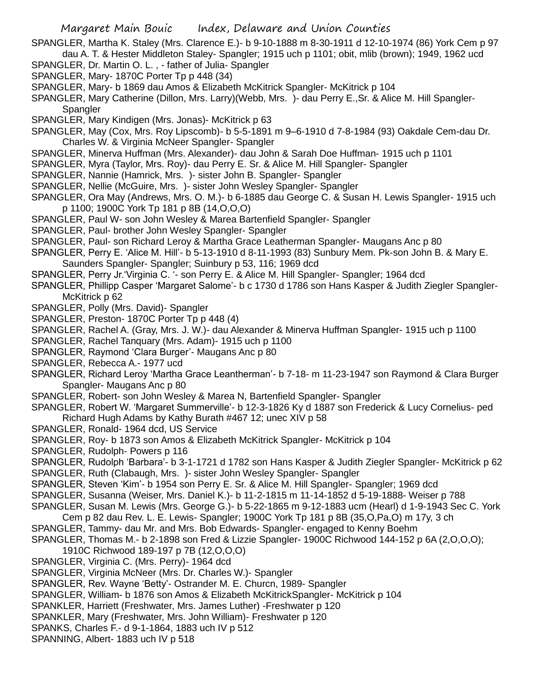SPANGLER, Martha K. Staley (Mrs. Clarence E.)- b 9-10-1888 m 8-30-1911 d 12-10-1974 (86) York Cem p 97 dau A. T. & Hester Middleton Staley- Spangler; 1915 uch p 1101; obit, mlib (brown); 1949, 1962 ucd

- SPANGLER, Dr. Martin O. L. , father of Julia- Spangler
- SPANGLER, Mary-1870C Porter Tp p 448 (34)
- SPANGLER, Mary- b 1869 dau Amos & Elizabeth McKitrick Spangler- McKitrick p 104
- SPANGLER, Mary Catherine (Dillon, Mrs. Larry)(Webb, Mrs. )- dau Perry E.,Sr. & Alice M. Hill Spangler-**Spangler**
- SPANGLER, Mary Kindigen (Mrs. Jonas)- McKitrick p 63
- SPANGLER, May (Cox, Mrs. Roy Lipscomb)- b 5-5-1891 m 9–6-1910 d 7-8-1984 (93) Oakdale Cem-dau Dr. Charles W. & Virginia McNeer Spangler- Spangler
- SPANGLER, Minerva Huffman (Mrs. Alexander)- dau John & Sarah Doe Huffman- 1915 uch p 1101
- SPANGLER, Myra (Taylor, Mrs. Roy)- dau Perry E. Sr. & Alice M. Hill Spangler- Spangler
- SPANGLER, Nannie (Hamrick, Mrs. )- sister John B. Spangler- Spangler
- SPANGLER, Nellie (McGuire, Mrs. )- sister John Wesley Spangler- Spangler
- SPANGLER, Ora May (Andrews, Mrs. O. M.)- b 6-1885 dau George C. & Susan H. Lewis Spangler- 1915 uch p 1100; 1900C York Tp 181 p 8B (14,O,O,O)
- SPANGLER, Paul W- son John Wesley & Marea Bartenfield Spangler- Spangler
- SPANGLER, Paul- brother John Wesley Spangler- Spangler
- SPANGLER, Paul- son Richard Leroy & Martha Grace Leatherman Spangler- Maugans Anc p 80
- SPANGLER, Perry E. 'Alice M. Hill'- b 5-13-1910 d 8-11-1993 (83) Sunbury Mem. Pk-son John B. & Mary E. Saunders Spangler- Spangler; Suinbury p 53, 116; 1969 dcd
- SPANGLER, Perry Jr.'Virginia C. '- son Perry E. & Alice M. Hill Spangler- Spangler; 1964 dcd
- SPANGLER, Phillipp Casper 'Margaret Salome'- b c 1730 d 1786 son Hans Kasper & Judith Ziegler Spangler-McKitrick p 62
- SPANGLER, Polly (Mrs. David)- Spangler
- SPANGLER, Preston- 1870C Porter Tp p 448 (4)
- SPANGLER, Rachel A. (Gray, Mrs. J. W.)- dau Alexander & Minerva Huffman Spangler- 1915 uch p 1100
- SPANGLER, Rachel Tanquary (Mrs. Adam)- 1915 uch p 1100
- SPANGLER, Raymond 'Clara Burger'- Maugans Anc p 80
- SPANGLER, Rebecca A.- 1977 ucd
- SPANGLER, Richard Leroy 'Martha Grace Leantherman'- b 7-18- m 11-23-1947 son Raymond & Clara Burger Spangler- Maugans Anc p 80
- SPANGLER, Robert- son John Wesley & Marea N, Bartenfield Spangler- Spangler
- SPANGLER, Robert W. 'Margaret Summerville'- b 12-3-1826 Ky d 1887 son Frederick & Lucy Cornelius- ped Richard Hugh Adams by Kathy Burath #467 12; unec XIV p 58
- SPANGLER, Ronald- 1964 dcd, US Service
- SPANGLER, Roy- b 1873 son Amos & Elizabeth McKitrick Spangler- McKitrick p 104
- SPANGLER, Rudolph- Powers p 116
- SPANGLER, Rudolph 'Barbara'- b 3-1-1721 d 1782 son Hans Kasper & Judith Ziegler Spangler- McKitrick p 62
- SPANGLER, Ruth (Clabaugh, Mrs. )- sister John Wesley Spangler- Spangler
- SPANGLER, Steven 'Kim'- b 1954 son Perry E. Sr. & Alice M. Hill Spangler- Spangler; 1969 dcd
- SPANGLER, Susanna (Weiser, Mrs. Daniel K.)- b 11-2-1815 m 11-14-1852 d 5-19-1888- Weiser p 788
- SPANGLER, Susan M. Lewis (Mrs. George G.)- b 5-22-1865 m 9-12-1883 ucm (Hearl) d 1-9-1943 Sec C. York
- Cem p 82 dau Rev. L. E. Lewis- Spangler; 1900C York Tp 181 p 8B (35,O,Pa,O) m 17y, 3 ch
- SPANGLER, Tammy- dau Mr. and Mrs. Bob Edwards- Spangler- engaged to Kenny Boehm
- SPANGLER, Thomas M.- b 2-1898 son Fred & Lizzie Spangler- 1900C Richwood 144-152 p 6A (2,O,O,O);
- 1910C Richwood 189-197 p 7B (12,O,O,O)
- SPANGLER, Virginia C. (Mrs. Perry)- 1964 dcd
- SPANGLER, Virginia McNeer (Mrs. Dr. Charles W.)- Spangler
- SPANGLER, Rev. Wayne 'Betty'- Ostrander M. E. Churcn, 1989- Spangler
- SPANGLER, William- b 1876 son Amos & Elizabeth McKitrickSpangler- McKitrick p 104
- SPANKLER, Harriett (Freshwater, Mrs. James Luther) -Freshwater p 120
- SPANKLER, Mary (Freshwater, Mrs. John William)- Freshwater p 120
- SPANKS, Charles F.- d 9-1-1864, 1883 uch IV p 512
- SPANNING, Albert- 1883 uch IV p 518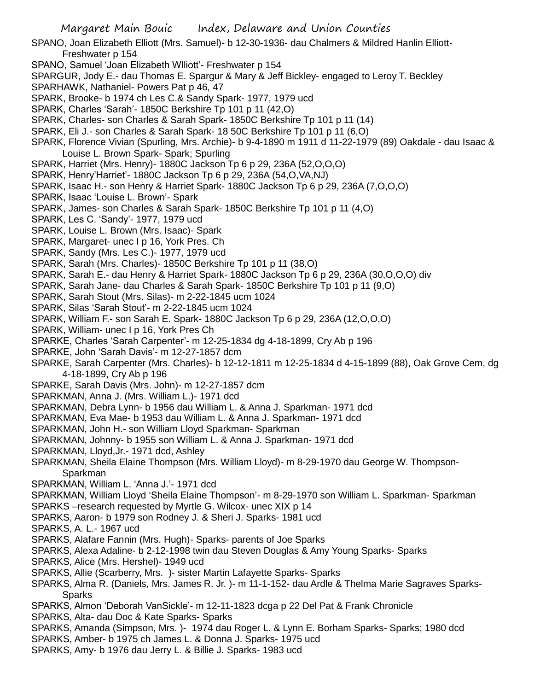- SPANO, Joan Elizabeth Elliott (Mrs. Samuel)- b 12-30-1936- dau Chalmers & Mildred Hanlin Elliott-Freshwater p 154
- SPANO, Samuel 'Joan Elizabeth Wlliott'- Freshwater p 154
- SPARGUR, Jody E.- dau Thomas E. Spargur & Mary & Jeff Bickley- engaged to Leroy T. Beckley
- SPARHAWK, Nathaniel- Powers Pat p 46, 47
- SPARK, Brooke- b 1974 ch Les C.& Sandy Spark- 1977, 1979 ucd
- SPARK, Charles 'Sarah'- 1850C Berkshire Tp 101 p 11 (42,O)
- SPARK, Charles- son Charles & Sarah Spark- 1850C Berkshire Tp 101 p 11 (14)
- SPARK, Eli J.- son Charles & Sarah Spark- 18 50C Berkshire Tp 101 p 11 (6,O)
- SPARK, Florence Vivian (Spurling, Mrs. Archie)- b 9-4-1890 m 1911 d 11-22-1979 (89) Oakdale dau Isaac & Louise L. Brown Spark- Spark; Spurling
- SPARK, Harriet (Mrs. Henry)- 1880C Jackson Tp 6 p 29, 236A (52,O,O,O)
- SPARK, Henry'Harriet'- 1880C Jackson Tp 6 p 29, 236A (54,O,VA,NJ)
- SPARK, Isaac H.- son Henry & Harriet Spark- 1880C Jackson Tp 6 p 29, 236A (7,O,O,O)
- SPARK, Isaac 'Louise L. Brown'- Spark
- SPARK, James- son Charles & Sarah Spark- 1850C Berkshire Tp 101 p 11 (4,O)
- SPARK, Les C. 'Sandy'- 1977, 1979 ucd
- SPARK, Louise L. Brown (Mrs. Isaac)- Spark
- SPARK, Margaret- unec I p 16, York Pres. Ch
- SPARK, Sandy (Mrs. Les C.)- 1977, 1979 ucd
- SPARK, Sarah (Mrs. Charles)- 1850C Berkshire Tp 101 p 11 (38,O)
- SPARK, Sarah E.- dau Henry & Harriet Spark- 1880C Jackson Tp 6 p 29, 236A (30,O,O,O) div
- SPARK, Sarah Jane- dau Charles & Sarah Spark- 1850C Berkshire Tp 101 p 11 (9,O)
- SPARK, Sarah Stout (Mrs. Silas)- m 2-22-1845 ucm 1024
- SPARK, Silas 'Sarah Stout'- m 2-22-1845 ucm 1024
- SPARK, William F.- son Sarah E. Spark- 1880C Jackson Tp 6 p 29, 236A (12,O,O,O)
- SPARK, William- unec I p 16, York Pres Ch
- SPARKE, Charles 'Sarah Carpenter'- m 12-25-1834 dg 4-18-1899, Cry Ab p 196
- SPARKE, John 'Sarah Davis'- m 12-27-1857 dcm
- SPARKE, Sarah Carpenter (Mrs. Charles)- b 12-12-1811 m 12-25-1834 d 4-15-1899 (88), Oak Grove Cem, dg 4-18-1899, Cry Ab p 196
- SPARKE, Sarah Davis (Mrs. John)- m 12-27-1857 dcm
- SPARKMAN, Anna J. (Mrs. William L.)- 1971 dcd
- SPARKMAN, Debra Lynn- b 1956 dau William L. & Anna J. Sparkman- 1971 dcd
- SPARKMAN, Eva Mae- b 1953 dau William L. & Anna J. Sparkman- 1971 dcd
- SPARKMAN, John H.- son William Lloyd Sparkman- Sparkman
- SPARKMAN, Johnny- b 1955 son William L. & Anna J. Sparkman- 1971 dcd
- SPARKMAN, Lloyd,Jr.- 1971 dcd, Ashley
- SPARKMAN, Sheila Elaine Thompson (Mrs. William Lloyd)- m 8-29-1970 dau George W. Thompson-Sparkman
- SPARKMAN, William L. 'Anna J.'- 1971 dcd
- SPARKMAN, William Lloyd 'Sheila Elaine Thompson'- m 8-29-1970 son William L. Sparkman- Sparkman SPARKS –research requested by Myrtle G. Wilcox- unec XIX p 14
- SPARKS, Aaron- b 1979 son Rodney J. & Sheri J. Sparks- 1981 ucd
- SPARKS, A. L.- 1967 ucd
- SPARKS, Alafare Fannin (Mrs. Hugh)- Sparks- parents of Joe Sparks
- SPARKS, Alexa Adaline- b 2-12-1998 twin dau Steven Douglas & Amy Young Sparks- Sparks
- SPARKS, Alice (Mrs. Hershel)- 1949 ucd
- SPARKS, Allie (Scarberry, Mrs. )- sister Martin Lafayette Sparks- Sparks
- SPARKS, Alma R. (Daniels, Mrs. James R. Jr. )- m 11-1-152- dau Ardle & Thelma Marie Sagraves Sparks-Sparks
- SPARKS, Almon 'Deborah VanSickle'- m 12-11-1823 dcga p 22 Del Pat & Frank Chronicle
- SPARKS, Alta- dau Doc & Kate Sparks- Sparks
- SPARKS, Amanda (Simpson, Mrs. )- 1974 dau Roger L. & Lynn E. Borham Sparks- Sparks; 1980 dcd
- SPARKS, Amber- b 1975 ch James L. & Donna J. Sparks- 1975 ucd
- SPARKS, Amy- b 1976 dau Jerry L. & Billie J. Sparks- 1983 ucd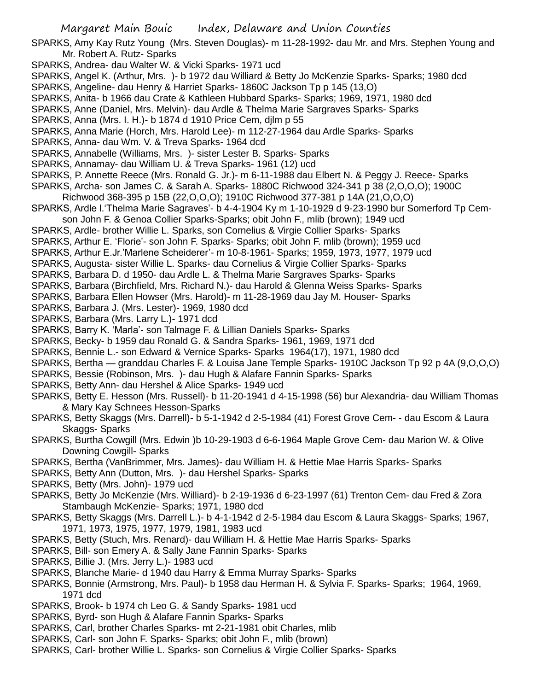SPARKS, Amy Kay Rutz Young (Mrs. Steven Douglas)- m 11-28-1992- dau Mr. and Mrs. Stephen Young and Mr. Robert A. Rutz- Sparks

- SPARKS, Andrea- dau Walter W. & Vicki Sparks- 1971 ucd
- SPARKS, Angel K. (Arthur, Mrs. )- b 1972 dau Williard & Betty Jo McKenzie Sparks- Sparks; 1980 dcd SPARKS, Angeline- dau Henry & Harriet Sparks- 1860C Jackson Tp p 145 (13,O)
- SPARKS, Anita- b 1966 dau Crate & Kathleen Hubbard Sparks- Sparks; 1969, 1971, 1980 dcd
- SPARKS, Anne (Daniel, Mrs. Melvin)- dau Ardle & Thelma Marie Sargraves Sparks- Sparks
- SPARKS, Anna (Mrs. I. H.)- b 1874 d 1910 Price Cem, djlm p 55
- SPARKS, Anna Marie (Horch, Mrs. Harold Lee)- m 112-27-1964 dau Ardle Sparks- Sparks
- SPARKS, Anna- dau Wm. V. & Treva Sparks- 1964 dcd
- SPARKS, Annabelle (Williams, Mrs. )- sister Lester B. Sparks- Sparks
- SPARKS, Annamay- dau William U. & Treva Sparks- 1961 (12) ucd
- SPARKS, P. Annette Reece (Mrs. Ronald G. Jr.)- m 6-11-1988 dau Elbert N. & Peggy J. Reece- Sparks
- SPARKS, Archa- son James C. & Sarah A. Sparks- 1880C Richwood 324-341 p 38 (2,O,O,O); 1900C
- Richwood 368-395 p 15B (22,O,O,O); 1910C Richwood 377-381 p 14A (21,O,O,O)
- SPARKS, Ardle l.'Thelma Marie Sagraves'- b 4-4-1904 Ky m 1-10-1929 d 9-23-1990 bur Somerford Tp Cemson John F. & Genoa Collier Sparks-Sparks; obit John F., mlib (brown); 1949 ucd
- SPARKS, Ardle- brother Willie L. Sparks, son Cornelius & Virgie Collier Sparks- Sparks
- SPARKS, Arthur E. 'Florie'- son John F. Sparks- Sparks; obit John F. mlib (brown); 1959 ucd
- SPARKS, Arthur E.Jr.'Marlene Scheiderer'- m 10-8-1961- Sparks; 1959, 1973, 1977, 1979 ucd
- SPARKS, Augusta- sister Willie L. Sparks- dau Cornelius & Virgie Collier Sparks- Sparks
- SPARKS, Barbara D. d 1950- dau Ardle L. & Thelma Marie Sargraves Sparks- Sparks
- SPARKS, Barbara (Birchfield, Mrs. Richard N.)- dau Harold & Glenna Weiss Sparks- Sparks
- SPARKS, Barbara Ellen Howser (Mrs. Harold)- m 11-28-1969 dau Jay M. Houser- Sparks
- SPARKS, Barbara J. (Mrs. Lester)- 1969, 1980 dcd
- SPARKS, Barbara (Mrs. Larry L.)- 1971 dcd
- SPARKS, Barry K. 'Marla'- son Talmage F. & Lillian Daniels Sparks- Sparks
- SPARKS, Becky- b 1959 dau Ronald G. & Sandra Sparks- 1961, 1969, 1971 dcd
- SPARKS, Bennie L.- son Edward & Vernice Sparks- Sparks 1964(17), 1971, 1980 dcd
- SPARKS, Bertha granddau Charles F. & Louisa Jane Temple Sparks- 1910C Jackson Tp 92 p 4A (9,O,O,O)
- SPARKS, Bessie (Robinson, Mrs. )- dau Hugh & Alafare Fannin Sparks- Sparks
- SPARKS, Betty Ann- dau Hershel & Alice Sparks- 1949 ucd
- SPARKS, Betty E. Hesson (Mrs. Russell)- b 11-20-1941 d 4-15-1998 (56) bur Alexandria- dau William Thomas & Mary Kay Schnees Hesson-Sparks
- SPARKS, Betty Skaggs (Mrs. Darrell)- b 5-1-1942 d 2-5-1984 (41) Forest Grove Cem- dau Escom & Laura Skaggs- Sparks
- SPARKS, Burtha Cowgill (Mrs. Edwin )b 10-29-1903 d 6-6-1964 Maple Grove Cem- dau Marion W. & Olive Downing Cowgill- Sparks
- SPARKS, Bertha (VanBrimmer, Mrs. James)- dau William H. & Hettie Mae Harris Sparks- Sparks
- SPARKS, Betty Ann (Dutton, Mrs. )- dau Hershel Sparks- Sparks
- SPARKS, Betty (Mrs. John)- 1979 ucd
- SPARKS, Betty Jo McKenzie (Mrs. Williard)- b 2-19-1936 d 6-23-1997 (61) Trenton Cem- dau Fred & Zora Stambaugh McKenzie- Sparks; 1971, 1980 dcd
- SPARKS, Betty Skaggs (Mrs. Darrell L.)- b 4-1-1942 d 2-5-1984 dau Escom & Laura Skaggs- Sparks; 1967, 1971, 1973, 1975, 1977, 1979, 1981, 1983 ucd
- SPARKS, Betty (Stuch, Mrs. Renard)- dau William H. & Hettie Mae Harris Sparks- Sparks
- SPARKS, Bill- son Emery A. & Sally Jane Fannin Sparks- Sparks
- SPARKS, Billie J. (Mrs. Jerry L.)- 1983 ucd
- SPARKS, Blanche Marie- d 1940 dau Harry & Emma Murray Sparks- Sparks
- SPARKS, Bonnie (Armstrong, Mrs. Paul)- b 1958 dau Herman H. & Sylvia F. Sparks- Sparks; 1964, 1969, 1971 dcd
- SPARKS, Brook- b 1974 ch Leo G. & Sandy Sparks- 1981 ucd
- SPARKS, Byrd- son Hugh & Alafare Fannin Sparks- Sparks
- SPARKS, Carl, brother Charles Sparks- mt 2-21-1981 obit Charles, mlib
- SPARKS, Carl- son John F. Sparks- Sparks; obit John F., mlib (brown)
- SPARKS, Carl- brother Willie L. Sparks- son Cornelius & Virgie Collier Sparks- Sparks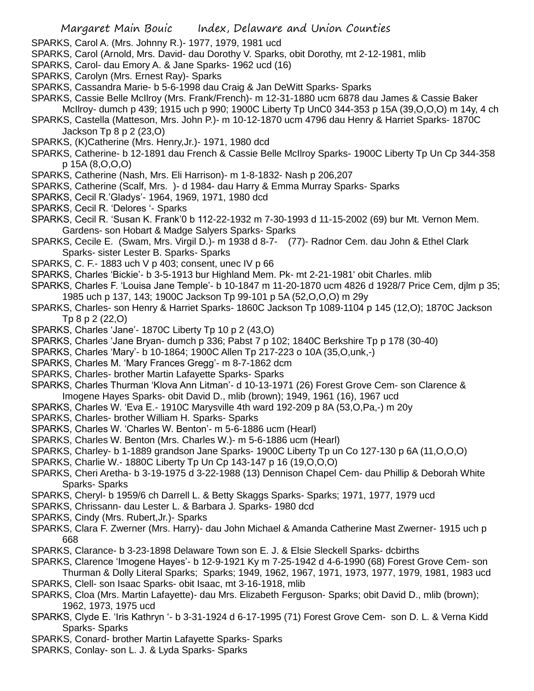- SPARKS, Carol A. (Mrs. Johnny R.)- 1977, 1979, 1981 ucd
- SPARKS, Carol (Arnold, Mrs. David- dau Dorothy V. Sparks, obit Dorothy, mt 2-12-1981, mlib
- SPARKS, Carol- dau Emory A. & Jane Sparks- 1962 ucd (16)
- SPARKS, Carolyn (Mrs. Ernest Ray)- Sparks
- SPARKS, Cassandra Marie- b 5-6-1998 dau Craig & Jan DeWitt Sparks- Sparks
- SPARKS, Cassie Belle McIlroy (Mrs. Frank/French)- m 12-31-1880 ucm 6878 dau James & Cassie Baker McIlroy- dumch p 439; 1915 uch p 990; 1900C Liberty Tp UnC0 344-353 p 15A (39,O,O,O) m 14y, 4 ch
- SPARKS, Castella (Matteson, Mrs. John P.)- m 10-12-1870 ucm 4796 dau Henry & Harriet Sparks- 1870C Jackson Tp 8 p 2 (23,O)
- SPARKS, (K)Catherine (Mrs. Henry,Jr.)- 1971, 1980 dcd
- SPARKS, Catherine- b 12-1891 dau French & Cassie Belle McIlroy Sparks- 1900C Liberty Tp Un Cp 344-358 p 15A (8,O,O,O)
- SPARKS, Catherine (Nash, Mrs. Eli Harrison)- m 1-8-1832- Nash p 206,207
- SPARKS, Catherine (Scalf, Mrs. )- d 1984- dau Harry & Emma Murray Sparks- Sparks
- SPARKS, Cecil R.'Gladys'- 1964, 1969, 1971, 1980 dcd
- SPARKS, Cecil R. 'Delores '- Sparks
- SPARKS, Cecil R. 'Susan K. Frank'0 b 112-22-1932 m 7-30-1993 d 11-15-2002 (69) bur Mt. Vernon Mem. Gardens- son Hobart & Madge Salyers Sparks- Sparks
- SPARKS, Cecile E. (Swam, Mrs. Virgil D.)- m 1938 d 8-7- (77)- Radnor Cem. dau John & Ethel Clark Sparks- sister Lester B. Sparks- Sparks
- SPARKS, C. F.- 1883 uch V p 403; consent, unec IV p 66
- SPARKS, Charles 'Bickie'- b 3-5-1913 bur Highland Mem. Pk- mt 2-21-1981' obit Charles. mlib
- SPARKS, Charles F. 'Louisa Jane Temple'- b 10-1847 m 11-20-1870 ucm 4826 d 1928/7 Price Cem, djlm p 35; 1985 uch p 137, 143; 1900C Jackson Tp 99-101 p 5A (52,O,O,O) m 29y
- SPARKS, Charles- son Henry & Harriet Sparks- 1860C Jackson Tp 1089-1104 p 145 (12,O); 1870C Jackson Tp 8 p 2 (22,O)
- SPARKS, Charles 'Jane'- 1870C Liberty Tp 10 p 2 (43,O)
- SPARKS, Charles 'Jane Bryan- dumch p 336; Pabst 7 p 102; 1840C Berkshire Tp p 178 (30-40)
- SPARKS, Charles 'Mary'- b 10-1864; 1900C Allen Tp 217-223 o 10A (35,O,unk,-)
- SPARKS, Charles M. 'Mary Frances Gregg'- m 8-7-1862 dcm
- SPARKS, Charles- brother Martin Lafayette Sparks- Sparks
- SPARKS, Charles Thurman 'Klova Ann Litman'- d 10-13-1971 (26) Forest Grove Cem- son Clarence & Imogene Hayes Sparks- obit David D., mlib (brown); 1949, 1961 (16), 1967 ucd
- SPARKS, Charles W. 'Eva E.- 1910C Marysville 4th ward 192-209 p 8A (53,O,Pa,-) m 20y
- SPARKS, Charles- brother William H. Sparks- Sparks
- SPARKS, Charles W. 'Charles W. Benton'- m 5-6-1886 ucm (Hearl)
- SPARKS, Charles W. Benton (Mrs. Charles W.)- m 5-6-1886 ucm (Hearl)
- SPARKS, Charley- b 1-1889 grandson Jane Sparks- 1900C Liberty Tp un Co 127-130 p 6A (11,O,O,O)
- SPARKS, Charlie W.- 1880C Liberty Tp Un Cp 143-147 p 16 (19,O,O,O)
- SPARKS, Cheri Aretha- b 3-19-1975 d 3-22-1988 (13) Dennison Chapel Cem- dau Phillip & Deborah White Sparks- Sparks
- SPARKS, Cheryl- b 1959/6 ch Darrell L. & Betty Skaggs Sparks- Sparks; 1971, 1977, 1979 ucd
- SPARKS, Chrissann- dau Lester L. & Barbara J. Sparks- 1980 dcd
- SPARKS, Cindy (Mrs. Rubert,Jr.)- Sparks
- SPARKS, Clara F. Zwerner (Mrs. Harry)- dau John Michael & Amanda Catherine Mast Zwerner- 1915 uch p 668
- SPARKS, Clarance- b 3-23-1898 Delaware Town son E. J. & Elsie Sleckell Sparks- dcbirths
- SPARKS, Clarence 'Imogene Hayes'- b 12-9-1921 Ky m 7-25-1942 d 4-6-1990 (68) Forest Grove Cem- son Thurman & Dolly Literal Sparks; Sparks; 1949, 1962, 1967, 1971, 1973, 1977, 1979, 1981, 1983 ucd
- SPARKS, Clell- son Isaac Sparks- obit Isaac, mt 3-16-1918, mlib
- SPARKS, Cloa (Mrs. Martin Lafayette)- dau Mrs. Elizabeth Ferguson- Sparks; obit David D., mlib (brown); 1962, 1973, 1975 ucd
- SPARKS, Clyde E. 'Iris Kathryn '- b 3-31-1924 d 6-17-1995 (71) Forest Grove Cem- son D. L. & Verna Kidd Sparks- Sparks
- SPARKS, Conard- brother Martin Lafayette Sparks- Sparks
- SPARKS, Conlay- son L. J. & Lyda Sparks- Sparks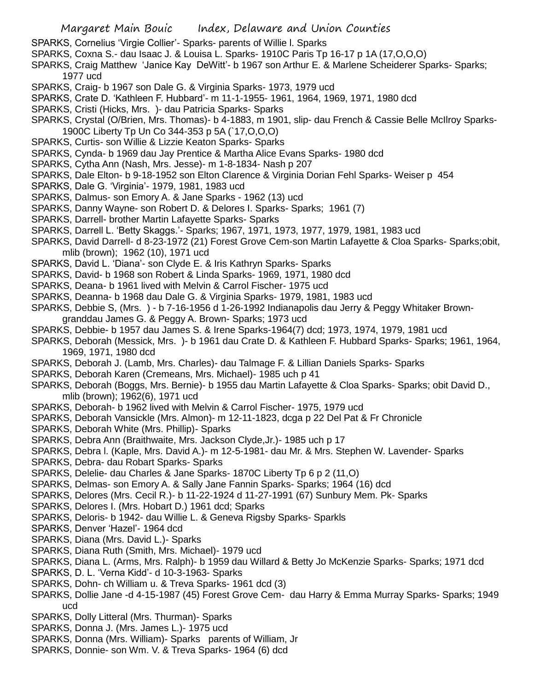- SPARKS, Cornelius 'Virgie Collier'- Sparks- parents of Willie l. Sparks
- SPARKS, Coxna S.- dau Isaac J. & Louisa L. Sparks- 1910C Paris Tp 16-17 p 1A (17,O,O,O)
- SPARKS, Craig Matthew 'Janice Kay DeWitt'- b 1967 son Arthur E. & Marlene Scheiderer Sparks- Sparks; 1977 ucd
- SPARKS, Craig- b 1967 son Dale G. & Virginia Sparks- 1973, 1979 ucd
- SPARKS, Crate D. 'Kathleen F. Hubbard'- m 11-1-1955- 1961, 1964, 1969, 1971, 1980 dcd
- SPARKS, Cristi (Hicks, Mrs. )- dau Patricia Sparks- Sparks
- SPARKS, Crystal (O/Brien, Mrs. Thomas)- b 4-1883, m 1901, slip- dau French & Cassie Belle McIlroy Sparks-1900C Liberty Tp Un Co 344-353 p 5A (`17,O,O,O)
- SPARKS, Curtis- son Willie & Lizzie Keaton Sparks- Sparks
- SPARKS, Cynda- b 1969 dau Jay Prentice & Martha Alice Evans Sparks- 1980 dcd
- SPARKS, Cytha Ann (Nash, Mrs. Jesse)- m 1-8-1834- Nash p 207
- SPARKS, Dale Elton- b 9-18-1952 son Elton Clarence & Virginia Dorian Fehl Sparks- Weiser p 454
- SPARKS, Dale G. 'Virginia'- 1979, 1981, 1983 ucd
- SPARKS, Dalmus- son Emory A. & Jane Sparks 1962 (13) ucd
- SPARKS, Danny Wayne- son Robert D. & Delores I. Sparks- Sparks; 1961 (7)
- SPARKS, Darrell- brother Martin Lafayette Sparks- Sparks
- SPARKS, Darrell L. 'Betty Skaggs.'- Sparks; 1967, 1971, 1973, 1977, 1979, 1981, 1983 ucd
- SPARKS, David Darrell- d 8-23-1972 (21) Forest Grove Cem-son Martin Lafayette & Cloa Sparks- Sparks;obit, mlib (brown); 1962 (10), 1971 ucd
- SPARKS, David L. 'Diana'- son Clyde E. & Iris Kathryn Sparks- Sparks
- SPARKS, David- b 1968 son Robert & Linda Sparks- 1969, 1971, 1980 dcd
- SPARKS, Deana- b 1961 lived with Melvin & Carrol Fischer- 1975 ucd
- SPARKS, Deanna- b 1968 dau Dale G. & Virginia Sparks- 1979, 1981, 1983 ucd
- SPARKS, Debbie S, (Mrs. ) b 7-16-1956 d 1-26-1992 Indianapolis dau Jerry & Peggy Whitaker Browngranddau James G. & Peggy A. Brown- Sparks; 1973 ucd
- SPARKS, Debbie- b 1957 dau James S. & Irene Sparks-1964(7) dcd; 1973, 1974, 1979, 1981 ucd
- SPARKS, Deborah (Messick, Mrs. )- b 1961 dau Crate D. & Kathleen F. Hubbard Sparks- Sparks; 1961, 1964, 1969, 1971, 1980 dcd
- SPARKS, Deborah J. (Lamb, Mrs. Charles)- dau Talmage F. & Lillian Daniels Sparks- Sparks
- SPARKS, Deborah Karen (Cremeans, Mrs. Michael)- 1985 uch p 41
- SPARKS, Deborah (Boggs, Mrs. Bernie)- b 1955 dau Martin Lafayette & Cloa Sparks- Sparks; obit David D., mlib (brown); 1962(6), 1971 ucd
- SPARKS, Deborah- b 1962 lived with Melvin & Carrol Fischer- 1975, 1979 ucd
- SPARKS, Deborah Vansickle (Mrs. Almon)- m 12-11-1823, dcga p 22 Del Pat & Fr Chronicle
- SPARKS, Deborah White (Mrs. Phillip)- Sparks
- SPARKS, Debra Ann (Braithwaite, Mrs. Jackson Clyde,Jr.)- 1985 uch p 17
- SPARKS, Debra l. (Kaple, Mrs. David A.)- m 12-5-1981- dau Mr. & Mrs. Stephen W. Lavender- Sparks
- SPARKS, Debra- dau Robart Sparks- Sparks
- SPARKS, Delelie- dau Charles & Jane Sparks- 1870C Liberty Tp 6 p 2 (11,O)
- SPARKS, Delmas- son Emory A. & Sally Jane Fannin Sparks- Sparks; 1964 (16) dcd
- SPARKS, Delores (Mrs. Cecil R.)- b 11-22-1924 d 11-27-1991 (67) Sunbury Mem. Pk- Sparks
- SPARKS, Delores I. (Mrs. Hobart D.) 1961 dcd; Sparks
- SPARKS, Deloris- b 1942- dau Willie L. & Geneva Rigsby Sparks- Sparkls
- SPARKS, Denver 'Hazel'- 1964 dcd
- SPARKS, Diana (Mrs. David L.)- Sparks
- SPARKS, Diana Ruth (Smith, Mrs. Michael)- 1979 ucd
- SPARKS, Diana L. (Arms, Mrs. Ralph)- b 1959 dau Willard & Betty Jo McKenzie Sparks- Sparks; 1971 dcd
- SPARKS, D. L. 'Verna Kidd'- d 10-3-1963- Sparks
- SPARKS, Dohn- ch William u. & Treva Sparks- 1961 dcd (3)
- SPARKS, Dollie Jane -d 4-15-1987 (45) Forest Grove Cem- dau Harry & Emma Murray Sparks- Sparks; 1949 ucd
- SPARKS, Dolly Litteral (Mrs. Thurman)- Sparks
- SPARKS, Donna J. (Mrs. James L.)- 1975 ucd
- SPARKS, Donna (Mrs. William)- Sparks parents of William, Jr
- SPARKS, Donnie- son Wm. V. & Treva Sparks- 1964 (6) dcd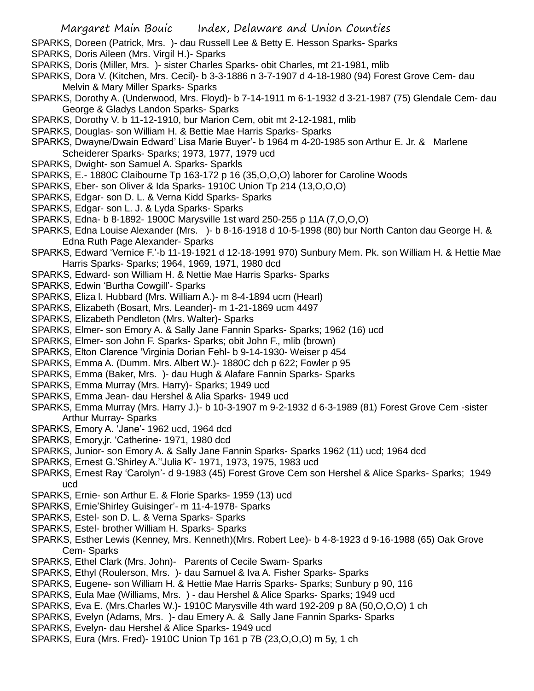- SPARKS, Doreen (Patrick, Mrs. )- dau Russell Lee & Betty E. Hesson Sparks- Sparks
- SPARKS, Doris Aileen (Mrs. Virgil H.)- Sparks
- SPARKS, Doris (Miller, Mrs. )- sister Charles Sparks- obit Charles, mt 21-1981, mlib
- SPARKS, Dora V. (Kitchen, Mrs. Cecil)- b 3-3-1886 n 3-7-1907 d 4-18-1980 (94) Forest Grove Cem- dau Melvin & Mary Miller Sparks- Sparks
- SPARKS, Dorothy A. (Underwood, Mrs. Floyd)- b 7-14-1911 m 6-1-1932 d 3-21-1987 (75) Glendale Cem- dau George & Gladys Landon Sparks- Sparks
- SPARKS, Dorothy V. b 11-12-1910, bur Marion Cem, obit mt 2-12-1981, mlib
- SPARKS, Douglas- son William H. & Bettie Mae Harris Sparks- Sparks
- SPARKS, Dwayne/Dwain Edward' Lisa Marie Buyer'- b 1964 m 4-20-1985 son Arthur E. Jr. & Marlene Scheiderer Sparks- Sparks; 1973, 1977, 1979 ucd
- SPARKS, Dwight- son Samuel A. Sparks- Sparkls
- SPARKS, E.- 1880C Claibourne Tp 163-172 p 16 (35,O,O,O) laborer for Caroline Woods
- SPARKS, Eber- son Oliver & Ida Sparks- 1910C Union Tp 214 (13,O,O,O)
- SPARKS, Edgar- son D. L. & Verna Kidd Sparks- Sparks
- SPARKS, Edgar- son L. J. & Lyda Sparks- Sparks
- SPARKS, Edna- b 8-1892- 1900C Marysville 1st ward 250-255 p 11A (7,O,O,O)
- SPARKS, Edna Louise Alexander (Mrs. )- b 8-16-1918 d 10-5-1998 (80) bur North Canton dau George H. & Edna Ruth Page Alexander- Sparks
- SPARKS, Edward 'Vernice F.'-b 11-19-1921 d 12-18-1991 970) Sunbury Mem. Pk. son William H. & Hettie Mae Harris Sparks- Sparks; 1964, 1969, 1971, 1980 dcd
- SPARKS, Edward- son William H. & Nettie Mae Harris Sparks- Sparks
- SPARKS, Edwin 'Burtha Cowgill'- Sparks
- SPARKS, Eliza l. Hubbard (Mrs. William A.)- m 8-4-1894 ucm (Hearl)
- SPARKS, Elizabeth (Bosart, Mrs. Leander)- m 1-21-1869 ucm 4497
- SPARKS, Elizabeth Pendleton (Mrs. Walter)- Sparks
- SPARKS, Elmer- son Emory A. & Sally Jane Fannin Sparks- Sparks; 1962 (16) ucd
- SPARKS, Elmer- son John F. Sparks- Sparks; obit John F., mlib (brown)
- SPARKS, Elton Clarence 'Virginia Dorian Fehl- b 9-14-1930- Weiser p 454
- SPARKS, Emma A. (Dumm. Mrs. Albert W.)- 1880C dch p 622; Fowler p 95
- SPARKS, Emma (Baker, Mrs. )- dau Hugh & Alafare Fannin Sparks- Sparks
- SPARKS, Emma Murray (Mrs. Harry)- Sparks; 1949 ucd
- SPARKS, Emma Jean- dau Hershel & Alia Sparks- 1949 ucd
- SPARKS, Emma Murray (Mrs. Harry J.)- b 10-3-1907 m 9-2-1932 d 6-3-1989 (81) Forest Grove Cem -sister Arthur Murray- Sparks
- SPARKS, Emory A. 'Jane'- 1962 ucd, 1964 dcd
- SPARKS, Emory,jr. 'Catherine- 1971, 1980 dcd
- SPARKS, Junior- son Emory A. & Sally Jane Fannin Sparks- Sparks 1962 (11) ucd; 1964 dcd
- SPARKS, Ernest G.'Shirley A.''Julia K'- 1971, 1973, 1975, 1983 ucd
- SPARKS, Ernest Ray 'Carolyn'- d 9-1983 (45) Forest Grove Cem son Hershel & Alice Sparks- Sparks; 1949 ucd
- SPARKS, Ernie- son Arthur E. & Florie Sparks- 1959 (13) ucd
- SPARKS, Ernie'Shirley Guisinger'- m 11-4-1978- Sparks
- SPARKS, Estel- son D. L. & Verna Sparks- Sparks
- SPARKS, Estel- brother William H. Sparks- Sparks
- SPARKS, Esther Lewis (Kenney, Mrs. Kenneth)(Mrs. Robert Lee)- b 4-8-1923 d 9-16-1988 (65) Oak Grove Cem- Sparks
- SPARKS, Ethel Clark (Mrs. John)- Parents of Cecile Swam- Sparks
- SPARKS, Ethyl (Roulerson, Mrs. )- dau Samuel & Iva A. Fisher Sparks- Sparks
- SPARKS, Eugene- son William H. & Hettie Mae Harris Sparks- Sparks; Sunbury p 90, 116
- SPARKS, Eula Mae (Williams, Mrs. ) dau Hershel & Alice Sparks- Sparks; 1949 ucd
- SPARKS, Eva E. (Mrs.Charles W.)- 1910C Marysville 4th ward 192-209 p 8A (50,O,O,O) 1 ch
- SPARKS, Evelyn (Adams, Mrs. )- dau Emery A. & Sally Jane Fannin Sparks- Sparks
- SPARKS, Evelyn- dau Hershel & Alice Sparks- 1949 ucd
- SPARKS, Eura (Mrs. Fred)- 1910C Union Tp 161 p 7B (23,O,O,O) m 5y, 1 ch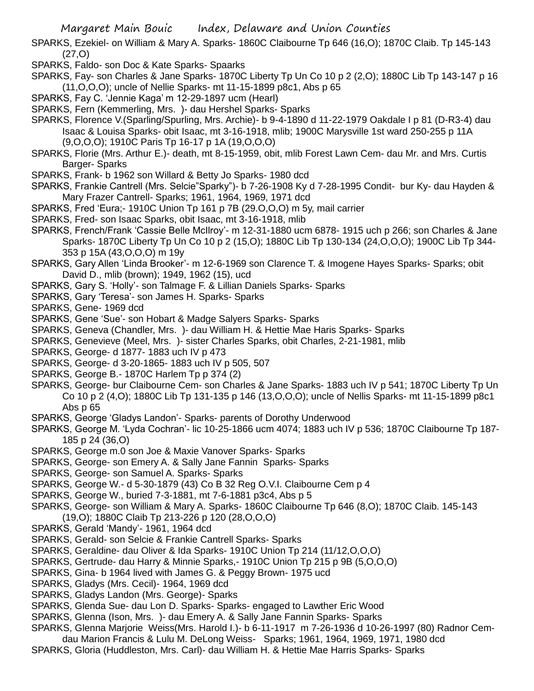SPARKS, Ezekiel- on William & Mary A. Sparks- 1860C Claibourne Tp 646 (16,O); 1870C Claib. Tp 145-143 (27,O)

- SPARKS, Faldo- son Doc & Kate Sparks- Spaarks
- SPARKS, Fay- son Charles & Jane Sparks- 1870C Liberty Tp Un Co 10 p 2 (2,O); 1880C Lib Tp 143-147 p 16 (11,O,O,O); uncle of Nellie Sparks- mt 11-15-1899 p8c1, Abs p 65
- SPARKS, Fay C. 'Jennie Kaga' m 12-29-1897 ucm (Hearl)
- SPARKS, Fern (Kemmerling, Mrs. )- dau Hershel Sparks- Sparks
- SPARKS, Florence V.(Sparling/Spurling, Mrs. Archie)- b 9-4-1890 d 11-22-1979 Oakdale I p 81 (D-R3-4) dau Isaac & Louisa Sparks- obit Isaac, mt 3-16-1918, mlib; 1900C Marysville 1st ward 250-255 p 11A (9,O,O,O); 1910C Paris Tp 16-17 p 1A (19,O,O,O)
- SPARKS, Florie (Mrs. Arthur E.)- death, mt 8-15-1959, obit, mlib Forest Lawn Cem- dau Mr. and Mrs. Curtis Barger- Sparks
- SPARKS, Frank- b 1962 son Willard & Betty Jo Sparks- 1980 dcd
- SPARKS, Frankie Cantrell (Mrs. Selcie"Sparky")- b 7-26-1908 Ky d 7-28-1995 Condit- bur Ky- dau Hayden & Mary Frazer Cantrell- Sparks; 1961, 1964, 1969, 1971 dcd
- SPARKS, Fred 'Eura;- 1910C Union Tp 161 p 7B (29.O,O,O) m 5y, mail carrier
- SPARKS, Fred- son Isaac Sparks, obit Isaac, mt 3-16-1918, mlib
- SPARKS, French/Frank 'Cassie Belle McIlroy'- m 12-31-1880 ucm 6878- 1915 uch p 266; son Charles & Jane Sparks- 1870C Liberty Tp Un Co 10 p 2 (15,O); 1880C Lib Tp 130-134 (24,O,O,O); 1900C Lib Tp 344- 353 p 15A (43,O,O,O) m 19y
- SPARKS, Gary Allen 'Linda Brooker'- m 12-6-1969 son Clarence T. & Imogene Hayes Sparks- Sparks; obit David D., mlib (brown); 1949, 1962 (15), ucd
- SPARKS, Gary S. 'Holly'- son Talmage F. & Lillian Daniels Sparks- Sparks
- SPARKS, Gary 'Teresa'- son James H. Sparks- Sparks
- SPARKS, Gene- 1969 dcd
- SPARKS, Gene 'Sue'- son Hobart & Madge Salyers Sparks- Sparks
- SPARKS, Geneva (Chandler, Mrs. )- dau William H. & Hettie Mae Haris Sparks- Sparks
- SPARKS, Genevieve (Meel, Mrs. )- sister Charles Sparks, obit Charles, 2-21-1981, mlib
- SPARKS, George- d 1877- 1883 uch IV p 473
- SPARKS, George- d 3-20-1865- 1883 uch IV p 505, 507
- SPARKS, George B.- 1870C Harlem Tp p 374 (2)
- SPARKS, George- bur Claibourne Cem- son Charles & Jane Sparks- 1883 uch IV p 541; 1870C Liberty Tp Un Co 10 p 2 (4,O); 1880C Lib Tp 131-135 p 146 (13,O,O,O); uncle of Nellis Sparks- mt 11-15-1899 p8c1 Abs p 65
- SPARKS, George 'Gladys Landon'- Sparks- parents of Dorothy Underwood
- SPARKS, George M. 'Lyda Cochran'- lic 10-25-1866 ucm 4074; 1883 uch IV p 536; 1870C Claibourne Tp 187- 185 p 24 (36,O)
- SPARKS, George m.0 son Joe & Maxie Vanover Sparks- Sparks
- SPARKS, George- son Emery A. & Sally Jane Fannin Sparks- Sparks
- SPARKS, George- son Samuel A. Sparks- Sparks
- SPARKS, George W.- d 5-30-1879 (43) Co B 32 Reg O.V.I. Claibourne Cem p 4
- SPARKS, George W., buried 7-3-1881, mt 7-6-1881 p3c4, Abs p 5
- SPARKS, George- son William & Mary A. Sparks- 1860C Claibourne Tp 646 (8,O); 1870C Claib. 145-143 (19,O); 1880C Claib Tp 213-226 p 120 (28,O,O,O)
- SPARKS, Gerald 'Mandy'- 1961, 1964 dcd
- SPARKS, Gerald- son Selcie & Frankie Cantrell Sparks- Sparks
- SPARKS, Geraldine- dau Oliver & Ida Sparks- 1910C Union Tp 214 (11/12,O,O,O)
- SPARKS, Gertrude- dau Harry & Minnie Sparks,- 1910C Union Tp 215 p 9B (5,O,O,O)
- SPARKS, Gina- b 1964 lived with James G. & Peggy Brown- 1975 ucd
- SPARKS, Gladys (Mrs. Cecil)- 1964, 1969 dcd
- SPARKS, Gladys Landon (Mrs. George)- Sparks
- SPARKS, Glenda Sue- dau Lon D. Sparks- Sparks- engaged to Lawther Eric Wood
- SPARKS, Glenna (Ison, Mrs. )- dau Emery A. & Sally Jane Fannin Sparks- Sparks
- SPARKS, Glenna Marjorie Weiss(Mrs. Harold I.)- b 6-11-1917 m 7-26-1936 d 10-26-1997 (80) Radnor Cem-
- dau Marion Francis & Lulu M. DeLong Weiss- Sparks; 1961, 1964, 1969, 1971, 1980 dcd
- SPARKS, Gloria (Huddleston, Mrs. Carl)- dau William H. & Hettie Mae Harris Sparks- Sparks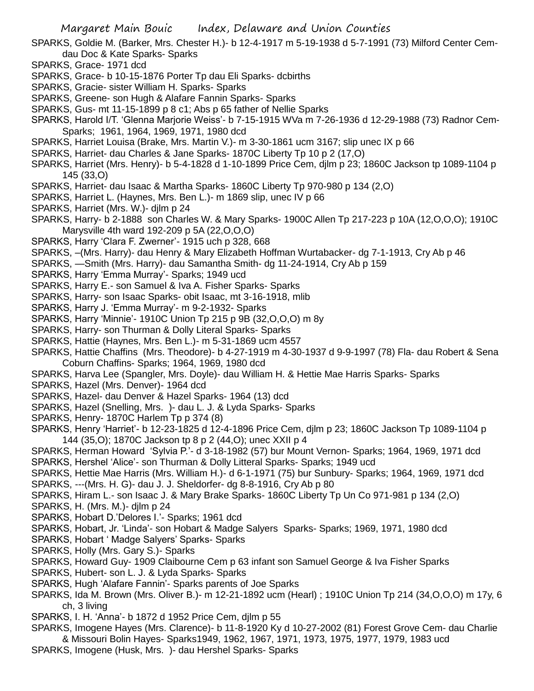- SPARKS, Goldie M. (Barker, Mrs. Chester H.)- b 12-4-1917 m 5-19-1938 d 5-7-1991 (73) Milford Center Cemdau Doc & Kate Sparks- Sparks
- SPARKS, Grace- 1971 dcd
- SPARKS, Grace- b 10-15-1876 Porter Tp dau Eli Sparks- dcbirths
- SPARKS, Gracie- sister William H. Sparks- Sparks
- SPARKS, Greene- son Hugh & Alafare Fannin Sparks- Sparks
- SPARKS, Gus- mt 11-15-1899 p 8 c1; Abs p 65 father of Nellie Sparks
- SPARKS, Harold I/T. 'Glenna Marjorie Weiss'- b 7-15-1915 WVa m 7-26-1936 d 12-29-1988 (73) Radnor Cem-Sparks; 1961, 1964, 1969, 1971, 1980 dcd
- SPARKS, Harriet Louisa (Brake, Mrs. Martin V.)- m 3-30-1861 ucm 3167; slip unec IX p 66
- SPARKS, Harriet- dau Charles & Jane Sparks- 1870C Liberty Tp 10 p 2 (17,O)
- SPARKS, Harriet (Mrs. Henry)- b 5-4-1828 d 1-10-1899 Price Cem, djlm p 23; 1860C Jackson tp 1089-1104 p 145 (33,O)
- SPARKS, Harriet- dau Isaac & Martha Sparks- 1860C Liberty Tp 970-980 p 134 (2,O)
- SPARKS, Harriet L. (Haynes, Mrs. Ben L.)- m 1869 slip, unec IV p 66
- SPARKS, Harriet (Mrs. W.)- djlm p 24
- SPARKS, Harry- b 2-1888 son Charles W. & Mary Sparks- 1900C Allen Tp 217-223 p 10A (12,O,O,O); 1910C Marysville 4th ward 192-209 p 5A (22,O,O,O)
- SPARKS, Harry 'Clara F. Zwerner'- 1915 uch p 328, 668
- SPARKS, –(Mrs. Harry)- dau Henry & Mary Elizabeth Hoffman Wurtabacker- dg 7-1-1913, Cry Ab p 46
- SPARKS, —Smith (Mrs. Harry)- dau Samantha Smith- dg 11-24-1914, Cry Ab p 159
- SPARKS, Harry 'Emma Murray'- Sparks; 1949 ucd
- SPARKS, Harry E.- son Samuel & Iva A. Fisher Sparks- Sparks
- SPARKS, Harry- son Isaac Sparks- obit Isaac, mt 3-16-1918, mlib
- SPARKS, Harry J. 'Emma Murray'- m 9-2-1932- Sparks
- SPARKS, Harry 'Minnie'- 1910C Union Tp 215 p 9B (32,O,O,O) m 8y
- SPARKS, Harry- son Thurman & Dolly Literal Sparks- Sparks
- SPARKS, Hattie (Haynes, Mrs. Ben L.)- m 5-31-1869 ucm 4557
- SPARKS, Hattie Chaffins (Mrs. Theodore)- b 4-27-1919 m 4-30-1937 d 9-9-1997 (78) Fla- dau Robert & Sena Coburn Chaffins- Sparks; 1964, 1969, 1980 dcd
- SPARKS, Harva Lee (Spangler, Mrs. Doyle)- dau William H. & Hettie Mae Harris Sparks- Sparks
- SPARKS, Hazel (Mrs. Denver)- 1964 dcd
- SPARKS, Hazel- dau Denver & Hazel Sparks- 1964 (13) dcd
- SPARKS, Hazel (Snelling, Mrs. )- dau L. J. & Lyda Sparks- Sparks
- SPARKS, Henry- 1870C Harlem Tp p 374 (8)
- SPARKS, Henry 'Harriet'- b 12-23-1825 d 12-4-1896 Price Cem, djlm p 23; 1860C Jackson Tp 1089-1104 p 144 (35,O); 1870C Jackson tp 8 p 2 (44,O); unec XXII p 4
- SPARKS, Herman Howard 'Sylvia P.'- d 3-18-1982 (57) bur Mount Vernon- Sparks; 1964, 1969, 1971 dcd SPARKS, Hershel 'Alice'- son Thurman & Dolly Litteral Sparks- Sparks; 1949 ucd
- SPARKS, Hettie Mae Harris (Mrs. William H.)- d 6-1-1971 (75) bur Sunbury- Sparks; 1964, 1969, 1971 dcd
- SPARKS, ---(Mrs. H. G)- dau J. J. Sheldorfer- dg 8-8-1916, Cry Ab p 80
- SPARKS, Hiram L.- son Isaac J. & Mary Brake Sparks- 1860C Liberty Tp Un Co 971-981 p 134 (2,O)
- SPARKS, H. (Mrs. M.)- djlm p 24
- SPARKS, Hobart D.'Delores I.'- Sparks; 1961 dcd
- SPARKS, Hobart, Jr. 'Linda'- son Hobart & Madge Salyers Sparks- Sparks; 1969, 1971, 1980 dcd
- SPARKS, Hobart ' Madge Salyers' Sparks- Sparks
- SPARKS, Holly (Mrs. Gary S.)- Sparks
- SPARKS, Howard Guy- 1909 Claibourne Cem p 63 infant son Samuel George & Iva Fisher Sparks
- SPARKS, Hubert- son L. J. & Lyda Sparks- Sparks
- SPARKS, Hugh 'Alafare Fannin'- Sparks parents of Joe Sparks
- SPARKS, Ida M. Brown (Mrs. Oliver B.)- m 12-21-1892 ucm (Hearl) ; 1910C Union Tp 214 (34,O,O,O) m 17y, 6 ch, 3 living
- SPARKS, I. H. 'Anna'- b 1872 d 1952 Price Cem, djlm p 55
- SPARKS, Imogene Hayes (Mrs. Clarence)- b 11-8-1920 Ky d 10-27-2002 (81) Forest Grove Cem- dau Charlie & Missouri Bolin Hayes- Sparks1949, 1962, 1967, 1971, 1973, 1975, 1977, 1979, 1983 ucd
- SPARKS, Imogene (Husk, Mrs. )- dau Hershel Sparks- Sparks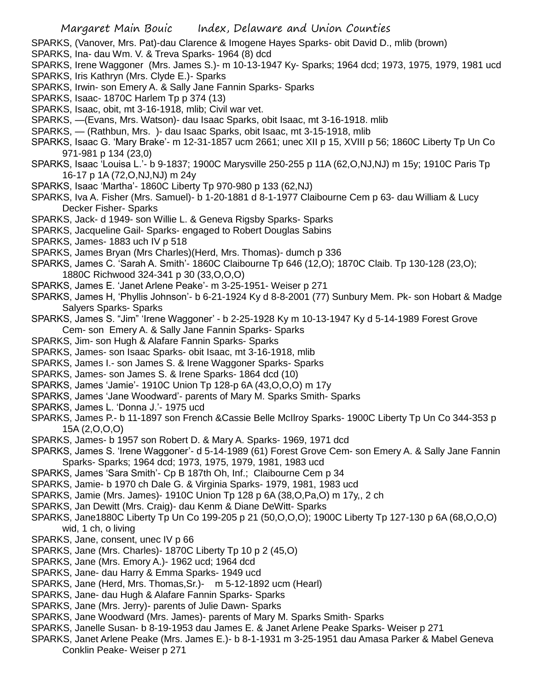SPARKS, (Vanover, Mrs. Pat)-dau Clarence & Imogene Hayes Sparks- obit David D., mlib (brown)

- SPARKS, Ina- dau Wm. V. & Treva Sparks- 1964 (8) dcd
- SPARKS, Irene Waggoner (Mrs. James S.)- m 10-13-1947 Ky- Sparks; 1964 dcd; 1973, 1975, 1979, 1981 ucd
- SPARKS, Iris Kathryn (Mrs. Clyde E.)- Sparks
- SPARKS, Irwin- son Emery A. & Sally Jane Fannin Sparks- Sparks
- SPARKS, Isaac- 1870C Harlem Tp p 374 (13)
- SPARKS, Isaac, obit, mt 3-16-1918, mlib; Civil war vet.
- SPARKS, —(Evans, Mrs. Watson)- dau Isaac Sparks, obit Isaac, mt 3-16-1918. mlib
- SPARKS, (Rathbun, Mrs. )- dau Isaac Sparks, obit Isaac, mt 3-15-1918, mlib
- SPARKS, Isaac G. 'Mary Brake'- m 12-31-1857 ucm 2661; unec XII p 15, XVIII p 56; 1860C Liberty Tp Un Co 971-981 p 134 (23,0)
- SPARKS, Isaac 'Louisa L.'- b 9-1837; 1900C Marysville 250-255 p 11A (62,O,NJ,NJ) m 15y; 1910C Paris Tp 16-17 p 1A (72,O,NJ,NJ) m 24y
- SPARKS, Isaac 'Martha'- 1860C Liberty Tp 970-980 p 133 (62,NJ)
- SPARKS, Iva A. Fisher (Mrs. Samuel)- b 1-20-1881 d 8-1-1977 Claibourne Cem p 63- dau William & Lucy Decker Fisher- Sparks
- SPARKS, Jack- d 1949- son Willie L. & Geneva Rigsby Sparks- Sparks
- SPARKS, Jacqueline Gail- Sparks- engaged to Robert Douglas Sabins
- SPARKS, James- 1883 uch IV p 518
- SPARKS, James Bryan (Mrs Charles)(Herd, Mrs. Thomas)- dumch p 336
- SPARKS, James C. 'Sarah A. Smith'- 1860C Claibourne Tp 646 (12,O); 1870C Claib. Tp 130-128 (23,O); 1880C Richwood 324-341 p 30 (33,O,O,O)
- SPARKS, James E. 'Janet Arlene Peake'- m 3-25-1951- Weiser p 271
- SPARKS, James H, 'Phyllis Johnson'- b 6-21-1924 Ky d 8-8-2001 (77) Sunbury Mem. Pk- son Hobart & Madge Salyers Sparks- Sparks
- SPARKS, James S. "Jim" 'Irene Waggoner' b 2-25-1928 Ky m 10-13-1947 Ky d 5-14-1989 Forest Grove Cem- son Emery A. & Sally Jane Fannin Sparks- Sparks
- SPARKS, Jim- son Hugh & Alafare Fannin Sparks- Sparks
- SPARKS, James- son Isaac Sparks- obit Isaac, mt 3-16-1918, mlib
- SPARKS, James I.- son James S. & Irene Waggoner Sparks- Sparks
- SPARKS, James- son James S. & Irene Sparks- 1864 dcd (10)
- SPARKS, James 'Jamie'- 1910C Union Tp 128-p 6A (43,O,O,O) m 17y
- SPARKS, James 'Jane Woodward'- parents of Mary M. Sparks Smith- Sparks
- SPARKS, James L. 'Donna J.'- 1975 ucd
- SPARKS, James P.- b 11-1897 son French &Cassie Belle McIlroy Sparks- 1900C Liberty Tp Un Co 344-353 p 15A (2,O,O,O)
- SPARKS, James- b 1957 son Robert D. & Mary A. Sparks- 1969, 1971 dcd
- SPARKS, James S. 'Irene Waggoner'- d 5-14-1989 (61) Forest Grove Cem- son Emery A. & Sally Jane Fannin Sparks- Sparks; 1964 dcd; 1973, 1975, 1979, 1981, 1983 ucd
- SPARKS, James 'Sara Smith'- Cp B 187th Oh, Inf.; Claibourne Cem p 34
- SPARKS, Jamie- b 1970 ch Dale G. & Virginia Sparks- 1979, 1981, 1983 ucd
- SPARKS, Jamie (Mrs. James)- 1910C Union Tp 128 p 6A (38,O,Pa,O) m 17y,, 2 ch
- SPARKS, Jan Dewitt (Mrs. Craig)- dau Kenm & Diane DeWitt- Sparks
- SPARKS, Jane1880C Liberty Tp Un Co 199-205 p 21 (50,O,O,O); 1900C Liberty Tp 127-130 p 6A (68,O,O,O) wid, 1 ch, o living
- SPARKS, Jane, consent, unec IV p 66
- SPARKS, Jane (Mrs. Charles)- 1870C Liberty Tp 10 p 2 (45,O)
- SPARKS, Jane (Mrs. Emory A.)- 1962 ucd; 1964 dcd
- SPARKS, Jane- dau Harry & Emma Sparks- 1949 ucd
- SPARKS, Jane (Herd, Mrs. Thomas,Sr.)- m 5-12-1892 ucm (Hearl)
- SPARKS, Jane- dau Hugh & Alafare Fannin Sparks- Sparks
- SPARKS, Jane (Mrs. Jerry)- parents of Julie Dawn- Sparks
- SPARKS, Jane Woodward (Mrs. James)- parents of Mary M. Sparks Smith- Sparks
- SPARKS, Janelle Susan- b 8-19-1953 dau James E. & Janet Arlene Peake Sparks- Weiser p 271
- SPARKS, Janet Arlene Peake (Mrs. James E.)- b 8-1-1931 m 3-25-1951 dau Amasa Parker & Mabel Geneva Conklin Peake- Weiser p 271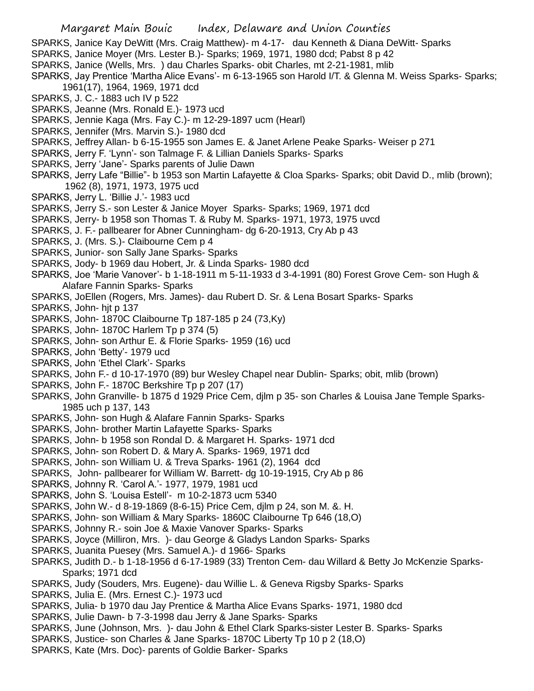- SPARKS, Janice Kay DeWitt (Mrs. Craig Matthew)- m 4-17- dau Kenneth & Diana DeWitt- Sparks
- SPARKS, Janice Moyer (Mrs. Lester B.)- Sparks; 1969, 1971, 1980 dcd; Pabst 8 p 42
- SPARKS, Janice (Wells, Mrs. ) dau Charles Sparks- obit Charles, mt 2-21-1981, mlib
- SPARKS, Jay Prentice 'Martha Alice Evans'- m 6-13-1965 son Harold I/T. & Glenna M. Weiss Sparks- Sparks; 1961(17), 1964, 1969, 1971 dcd
- SPARKS, J. C.- 1883 uch IV p 522
- SPARKS, Jeanne (Mrs. Ronald E.)- 1973 ucd
- SPARKS, Jennie Kaga (Mrs. Fay C.)- m 12-29-1897 ucm (Hearl)
- SPARKS, Jennifer (Mrs. Marvin S.)- 1980 dcd
- SPARKS, Jeffrey Allan- b 6-15-1955 son James E. & Janet Arlene Peake Sparks- Weiser p 271
- SPARKS, Jerry F. 'Lynn'- son Talmage F. & Lillian Daniels Sparks- Sparks
- SPARKS, Jerry 'Jane'- Sparks parents of Julie Dawn
- SPARKS, Jerry Lafe "Billie"- b 1953 son Martin Lafayette & Cloa Sparks- Sparks; obit David D., mlib (brown); 1962 (8), 1971, 1973, 1975 ucd
- SPARKS, Jerry L. 'Billie J.'- 1983 ucd
- SPARKS, Jerry S.- son Lester & Janice Moyer Sparks- Sparks; 1969, 1971 dcd
- SPARKS, Jerry- b 1958 son Thomas T. & Ruby M. Sparks- 1971, 1973, 1975 uvcd
- SPARKS, J. F.- pallbearer for Abner Cunningham- dg 6-20-1913, Cry Ab p 43
- SPARKS, J. (Mrs. S.)- Claibourne Cem p 4
- SPARKS, Junior- son Sally Jane Sparks- Sparks
- SPARKS, Jody- b 1969 dau Hobert, Jr. & Linda Sparks- 1980 dcd
- SPARKS, Joe 'Marie Vanover'- b 1-18-1911 m 5-11-1933 d 3-4-1991 (80) Forest Grove Cem- son Hugh & Alafare Fannin Sparks- Sparks
- SPARKS, JoEllen (Rogers, Mrs. James)- dau Rubert D. Sr. & Lena Bosart Sparks- Sparks
- SPARKS, John- hit p 137
- SPARKS, John- 1870C Claibourne Tp 187-185 p 24 (73,Ky)
- SPARKS, John- 1870C Harlem Tp p 374 (5)
- SPARKS, John- son Arthur E. & Florie Sparks- 1959 (16) ucd
- SPARKS, John 'Betty'- 1979 ucd
- SPARKS, John 'Ethel Clark'- Sparks
- SPARKS, John F.- d 10-17-1970 (89) bur Wesley Chapel near Dublin- Sparks; obit, mlib (brown)
- SPARKS, John F.- 1870C Berkshire Tp p 207 (17)
- SPARKS, John Granville- b 1875 d 1929 Price Cem, djlm p 35- son Charles & Louisa Jane Temple Sparks-1985 uch p 137, 143
- SPARKS, John- son Hugh & Alafare Fannin Sparks- Sparks
- SPARKS, John- brother Martin Lafayette Sparks- Sparks
- SPARKS, John- b 1958 son Rondal D. & Margaret H. Sparks- 1971 dcd
- SPARKS, John- son Robert D. & Mary A. Sparks- 1969, 1971 dcd
- SPARKS, John- son William U. & Treva Sparks- 1961 (2), 1964 dcd
- SPARKS, John- pallbearer for William W. Barrett- dg 10-19-1915, Cry Ab p 86
- SPARKS, Johnny R. 'Carol A.'- 1977, 1979, 1981 ucd
- SPARKS, John S. 'Louisa Estell'- m 10-2-1873 ucm 5340
- SPARKS, John W.- d 8-19-1869 (8-6-15) Price Cem, djlm p 24, son M. &. H.
- SPARKS, John- son William & Mary Sparks- 1860C Claibourne Tp 646 (18,O)
- SPARKS, Johnny R.- soin Joe & Maxie Vanover Sparks- Sparks
- SPARKS, Joyce (Milliron, Mrs. )- dau George & Gladys Landon Sparks- Sparks
- SPARKS, Juanita Puesey (Mrs. Samuel A.)- d 1966- Sparks
- SPARKS, Judith D.- b 1-18-1956 d 6-17-1989 (33) Trenton Cem- dau Willard & Betty Jo McKenzie Sparks-Sparks; 1971 dcd
- SPARKS, Judy (Souders, Mrs. Eugene)- dau Willie L. & Geneva Rigsby Sparks- Sparks
- SPARKS, Julia E. (Mrs. Ernest C.)- 1973 ucd
- SPARKS, Julia- b 1970 dau Jay Prentice & Martha Alice Evans Sparks- 1971, 1980 dcd
- SPARKS, Julie Dawn- b 7-3-1998 dau Jerry & Jane Sparks- Sparks
- SPARKS, June (Johnson, Mrs. )- dau John & Ethel Clark Sparks-sister Lester B. Sparks- Sparks
- SPARKS, Justice- son Charles & Jane Sparks- 1870C Liberty Tp 10 p 2 (18,O)
- SPARKS, Kate (Mrs. Doc)- parents of Goldie Barker- Sparks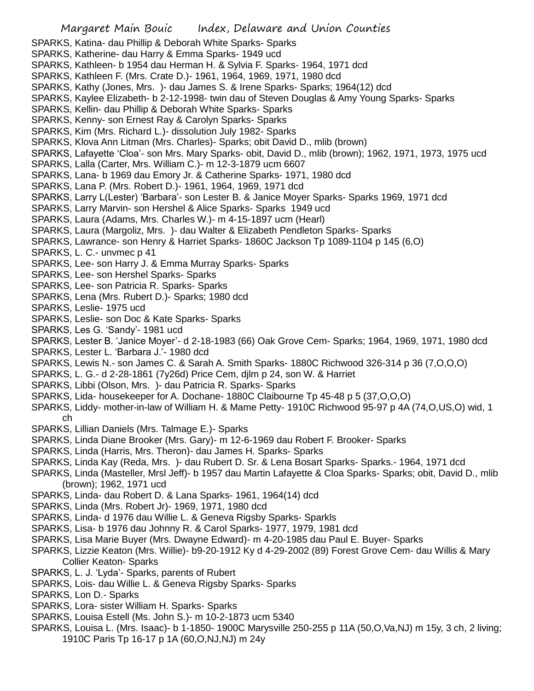- SPARKS, Katina- dau Phillip & Deborah White Sparks- Sparks
- SPARKS, Katherine- dau Harry & Emma Sparks- 1949 ucd
- SPARKS, Kathleen- b 1954 dau Herman H. & Sylvia F. Sparks- 1964, 1971 dcd
- SPARKS, Kathleen F. (Mrs. Crate D.)- 1961, 1964, 1969, 1971, 1980 dcd
- SPARKS, Kathy (Jones, Mrs. )- dau James S. & Irene Sparks- Sparks; 1964(12) dcd
- SPARKS, Kaylee Elizabeth- b 2-12-1998- twin dau of Steven Douglas & Amy Young Sparks- Sparks
- SPARKS, Kellin- dau Phillip & Deborah White Sparks- Sparks
- SPARKS, Kenny- son Ernest Ray & Carolyn Sparks- Sparks
- SPARKS, Kim (Mrs. Richard L.)- dissolution July 1982- Sparks
- SPARKS, Klova Ann Litman (Mrs. Charles)- Sparks; obit David D., mlib (brown)
- SPARKS, Lafayette 'Cloa'- son Mrs. Mary Sparks- obit, David D., mlib (brown); 1962, 1971, 1973, 1975 ucd
- SPARKS, Lalla (Carter, Mrs. William C.)- m 12-3-1879 ucm 6607
- SPARKS, Lana- b 1969 dau Emory Jr. & Catherine Sparks- 1971, 1980 dcd
- SPARKS, Lana P. (Mrs. Robert D.)- 1961, 1964, 1969, 1971 dcd
- SPARKS, Larry L(Lester) 'Barbara'- son Lester B. & Janice Moyer Sparks- Sparks 1969, 1971 dcd
- SPARKS, Larry Marvin- son Hershel & Alice Sparks- Sparks 1949 ucd
- SPARKS, Laura (Adams, Mrs. Charles W.)- m 4-15-1897 ucm (Hearl)
- SPARKS, Laura (Margoliz, Mrs. )- dau Walter & Elizabeth Pendleton Sparks- Sparks
- SPARKS, Lawrance- son Henry & Harriet Sparks- 1860C Jackson Tp 1089-1104 p 145 (6,O)
- SPARKS, L. C.- unvmec p 41
- SPARKS, Lee- son Harry J. & Emma Murray Sparks- Sparks
- SPARKS, Lee- son Hershel Sparks- Sparks
- SPARKS, Lee- son Patricia R. Sparks- Sparks
- SPARKS, Lena (Mrs. Rubert D.)- Sparks; 1980 dcd
- SPARKS, Leslie- 1975 ucd
- SPARKS, Leslie- son Doc & Kate Sparks- Sparks
- SPARKS, Les G. 'Sandy'- 1981 ucd
- SPARKS, Lester B. 'Janice Moyer'- d 2-18-1983 (66) Oak Grove Cem- Sparks; 1964, 1969, 1971, 1980 dcd
- SPARKS, Lester L. 'Barbara J.'- 1980 dcd
- SPARKS, Lewis N.- son James C. & Sarah A. Smith Sparks- 1880C Richwood 326-314 p 36 (7,O,O,O)
- SPARKS, L. G.- d 2-28-1861 (7y26d) Price Cem, djlm p 24, son W. & Harriet
- SPARKS, Libbi (Olson, Mrs. )- dau Patricia R. Sparks- Sparks
- SPARKS, Lida- housekeeper for A. Dochane- 1880C Claibourne Tp 45-48 p 5 (37,O,O,O)
- SPARKS, Liddy- mother-in-law of William H. & Mame Petty- 1910C Richwood 95-97 p 4A (74,O,US,O) wid, 1 ch
- SPARKS, Lillian Daniels (Mrs. Talmage E.)- Sparks
- SPARKS, Linda Diane Brooker (Mrs. Gary)- m 12-6-1969 dau Robert F. Brooker- Sparks
- SPARKS, Linda (Harris, Mrs. Theron)- dau James H. Sparks- Sparks
- SPARKS, Linda Kay (Reda, Mrs. )- dau Rubert D. Sr. & Lena Bosart Sparks- Sparks.- 1964, 1971 dcd
- SPARKS, Linda (Masteller, Mrsl Jeff)- b 1957 dau Martin Lafayette & Cloa Sparks- Sparks; obit, David D., mlib (brown); 1962, 1971 ucd
- SPARKS, Linda- dau Robert D. & Lana Sparks- 1961, 1964(14) dcd
- SPARKS, Linda (Mrs. Robert Jr)- 1969, 1971, 1980 dcd
- SPARKS, Linda- d 1976 dau Willie L. & Geneva Rigsby Sparks- Sparkls
- SPARKS, Lisa- b 1976 dau Johnny R. & Carol Sparks- 1977, 1979, 1981 dcd
- SPARKS, Lisa Marie Buyer (Mrs. Dwayne Edward)- m 4-20-1985 dau Paul E. Buyer- Sparks
- SPARKS, Lizzie Keaton (Mrs. Willie)- b9-20-1912 Ky d 4-29-2002 (89) Forest Grove Cem- dau Willis & Mary Collier Keaton- Sparks
- SPARKS, L. J. 'Lyda'- Sparks, parents of Rubert
- SPARKS, Lois- dau Willie L. & Geneva Rigsby Sparks- Sparks
- SPARKS, Lon D.- Sparks
- SPARKS, Lora- sister William H. Sparks- Sparks
- SPARKS, Louisa Estell (Ms. John S.)- m 10-2-1873 ucm 5340
- SPARKS, Louisa L. (Mrs. Isaac)- b 1-1850- 1900C Marysville 250-255 p 11A (50,O,Va,NJ) m 15y, 3 ch, 2 living; 1910C Paris Tp 16-17 p 1A (60,O,NJ,NJ) m 24y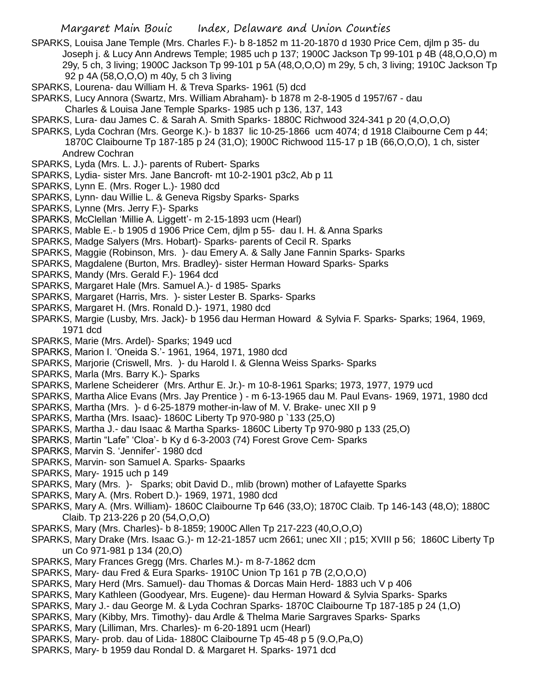SPARKS, Louisa Jane Temple (Mrs. Charles F.)- b 8-1852 m 11-20-1870 d 1930 Price Cem, djlm p 35- du Joseph j. & Lucy Ann Andrews Temple; 1985 uch p 137; 1900C Jackson Tp 99-101 p 4B (48,O,O,O) m 29y, 5 ch, 3 living; 1900C Jackson Tp 99-101 p 5A (48,O,O,O) m 29y, 5 ch, 3 living; 1910C Jackson Tp 92 p 4A (58,O,O,O) m 40y, 5 ch 3 living

- SPARKS, Lourena- dau William H. & Treva Sparks- 1961 (5) dcd
- SPARKS, Lucy Annora (Swartz, Mrs. William Abraham)- b 1878 m 2-8-1905 d 1957/67 dau
- Charles & Louisa Jane Temple Sparks- 1985 uch p 136, 137, 143
- SPARKS, Lura- dau James C. & Sarah A. Smith Sparks- 1880C Richwood 324-341 p 20 (4,O,O,O)
- SPARKS, Lyda Cochran (Mrs. George K.)- b 1837 lic 10-25-1866 ucm 4074; d 1918 Claibourne Cem p 44; 1870C Claibourne Tp 187-185 p 24 (31,O); 1900C Richwood 115-17 p 1B (66,O,O,O), 1 ch, sister Andrew Cochran
- SPARKS, Lyda (Mrs. L. J.)- parents of Rubert- Sparks
- SPARKS, Lydia- sister Mrs. Jane Bancroft- mt 10-2-1901 p3c2, Ab p 11
- SPARKS, Lynn E. (Mrs. Roger L.)- 1980 dcd
- SPARKS, Lynn- dau Willie L. & Geneva Rigsby Sparks- Sparks
- SPARKS, Lynne (Mrs. Jerry F.)- Sparks
- SPARKS, McClellan 'Millie A. Liggett'- m 2-15-1893 ucm (Hearl)
- SPARKS, Mable E.- b 1905 d 1906 Price Cem, djlm p 55- dau I. H. & Anna Sparks
- SPARKS, Madge Salyers (Mrs. Hobart)- Sparks- parents of Cecil R. Sparks
- SPARKS, Maggie (Robinson, Mrs. )- dau Emery A. & Sally Jane Fannin Sparks- Sparks
- SPARKS, Magdalene (Burton, Mrs. Bradley)- sister Herman Howard Sparks- Sparks
- SPARKS, Mandy (Mrs. Gerald F.)- 1964 dcd
- SPARKS, Margaret Hale (Mrs. Samuel A.)- d 1985- Sparks
- SPARKS, Margaret (Harris, Mrs. )- sister Lester B. Sparks- Sparks
- SPARKS, Margaret H. (Mrs. Ronald D.)- 1971, 1980 dcd
- SPARKS, Margie (Lusby, Mrs. Jack)- b 1956 dau Herman Howard & Sylvia F. Sparks- Sparks; 1964, 1969, 1971 dcd
- SPARKS, Marie (Mrs. Ardel)- Sparks; 1949 ucd
- SPARKS, Marion I. 'Oneida S.'- 1961, 1964, 1971, 1980 dcd
- SPARKS, Marjorie (Criswell, Mrs. )- du Harold I. & Glenna Weiss Sparks- Sparks
- SPARKS, Marla (Mrs. Barry K.)- Sparks
- SPARKS, Marlene Scheiderer (Mrs. Arthur E. Jr.)- m 10-8-1961 Sparks; 1973, 1977, 1979 ucd
- SPARKS, Martha Alice Evans (Mrs. Jay Prentice ) m 6-13-1965 dau M. Paul Evans- 1969, 1971, 1980 dcd
- SPARKS, Martha (Mrs. )- d 6-25-1879 mother-in-law of M. V. Brake- unec XII p 9
- SPARKS, Martha (Mrs. Isaac)- 1860C Liberty Tp 970-980 p `133 (25,O)
- SPARKS, Martha J.- dau Isaac & Martha Sparks- 1860C Liberty Tp 970-980 p 133 (25,O)
- SPARKS, Martin "Lafe" 'Cloa'- b Ky d 6-3-2003 (74) Forest Grove Cem- Sparks
- SPARKS, Marvin S. 'Jennifer'- 1980 dcd
- SPARKS, Marvin- son Samuel A. Sparks- Spaarks
- SPARKS, Mary- 1915 uch p 149
- SPARKS, Mary (Mrs. )- Sparks; obit David D., mlib (brown) mother of Lafayette Sparks
- SPARKS, Mary A. (Mrs. Robert D.)- 1969, 1971, 1980 dcd
- SPARKS, Mary A. (Mrs. William)- 1860C Claibourne Tp 646 (33,O); 1870C Claib. Tp 146-143 (48,O); 1880C Claib. Tp 213-226 p 20 (54,O,O,O)
- SPARKS, Mary (Mrs. Charles)- b 8-1859; 1900C Allen Tp 217-223 (40,O,O,O)
- SPARKS, Mary Drake (Mrs. Isaac G.)- m 12-21-1857 ucm 2661; unec XII ; p15; XVIII p 56; 1860C Liberty Tp un Co 971-981 p 134 (20,O)
- SPARKS, Mary Frances Gregg (Mrs. Charles M.)- m 8-7-1862 dcm
- SPARKS, Mary- dau Fred & Eura Sparks- 1910C Union Tp 161 p 7B (2,O,O,O)
- SPARKS, Mary Herd (Mrs. Samuel)- dau Thomas & Dorcas Main Herd- 1883 uch V p 406
- SPARKS, Mary Kathleen (Goodyear, Mrs. Eugene)- dau Herman Howard & Sylvia Sparks- Sparks
- SPARKS, Mary J.- dau George M. & Lyda Cochran Sparks- 1870C Claibourne Tp 187-185 p 24 (1,O)
- SPARKS, Mary (Kibby, Mrs. Timothy)- dau Ardle & Thelma Marie Sargraves Sparks- Sparks
- SPARKS, Mary (Lilliman, Mrs. Charles)- m 6-20-1891 ucm (Hearl)
- SPARKS, Mary- prob. dau of Lida- 1880C Claibourne Tp 45-48 p 5 (9.O,Pa,O)
- SPARKS, Mary- b 1959 dau Rondal D. & Margaret H. Sparks- 1971 dcd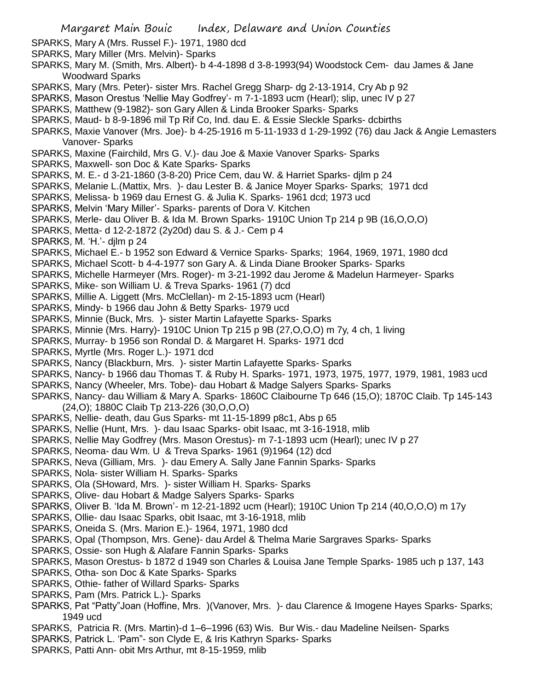- SPARKS, Mary A (Mrs. Russel F.)- 1971, 1980 dcd
- SPARKS, Mary Miller (Mrs. Melvin)- Sparks
- SPARKS, Mary M. (Smith, Mrs. Albert)- b 4-4-1898 d 3-8-1993(94) Woodstock Cem- dau James & Jane Woodward Sparks
- SPARKS, Mary (Mrs. Peter)- sister Mrs. Rachel Gregg Sharp- dg 2-13-1914, Cry Ab p 92
- SPARKS, Mason Orestus 'Nellie May Godfrey'- m 7-1-1893 ucm (Hearl); slip, unec IV p 27
- SPARKS, Matthew (9-1982)- son Gary Allen & Linda Brooker Sparks- Sparks
- SPARKS, Maud- b 8-9-1896 mil Tp Rif Co, Ind. dau E. & Essie Sleckle Sparks- dcbirths
- SPARKS, Maxie Vanover (Mrs. Joe)- b 4-25-1916 m 5-11-1933 d 1-29-1992 (76) dau Jack & Angie Lemasters Vanover- Sparks
- SPARKS, Maxine (Fairchild, Mrs G. V.)- dau Joe & Maxie Vanover Sparks- Sparks
- SPARKS, Maxwell- son Doc & Kate Sparks- Sparks
- SPARKS, M. E.- d 3-21-1860 (3-8-20) Price Cem, dau W. & Harriet Sparks- djlm p 24
- SPARKS, Melanie L.(Mattix, Mrs. )- dau Lester B. & Janice Moyer Sparks- Sparks; 1971 dcd
- SPARKS, Melissa- b 1969 dau Ernest G. & Julia K. Sparks- 1961 dcd; 1973 ucd
- SPARKS, Melvin 'Mary Miller'- Sparks- parents of Dora V. Kitchen
- SPARKS, Merle- dau Oliver B. & Ida M. Brown Sparks- 1910C Union Tp 214 p 9B (16,O,O,O)
- SPARKS, Metta- d 12-2-1872 (2y20d) dau S. & J.- Cem p 4
- SPARKS, M. 'H.'- djlm p 24
- SPARKS, Michael E.- b 1952 son Edward & Vernice Sparks- Sparks; 1964, 1969, 1971, 1980 dcd
- SPARKS, Michael Scott- b 4-4-1977 son Gary A. & Linda Diane Brooker Sparks- Sparks
- SPARKS, Michelle Harmeyer (Mrs. Roger)- m 3-21-1992 dau Jerome & Madelun Harmeyer- Sparks
- SPARKS, Mike- son William U. & Treva Sparks- 1961 (7) dcd
- SPARKS, Millie A. Liggett (Mrs. McClellan)- m 2-15-1893 ucm (Hearl)
- SPARKS, Mindy- b 1966 dau John & Betty Sparks- 1979 ucd
- SPARKS, Minnie (Buck, Mrs. )- sister Martin Lafayette Sparks- Sparks
- SPARKS, Minnie (Mrs. Harry)- 1910C Union Tp 215 p 9B (27,O,O,O) m 7y, 4 ch, 1 living
- SPARKS, Murray- b 1956 son Rondal D. & Margaret H. Sparks- 1971 dcd
- SPARKS, Myrtle (Mrs. Roger L.)- 1971 dcd
- SPARKS, Nancy (Blackburn, Mrs. )- sister Martin Lafayette Sparks- Sparks
- SPARKS, Nancy- b 1966 dau Thomas T. & Ruby H. Sparks- 1971, 1973, 1975, 1977, 1979, 1981, 1983 ucd
- SPARKS, Nancy (Wheeler, Mrs. Tobe)- dau Hobart & Madge Salyers Sparks- Sparks
- SPARKS, Nancy- dau William & Mary A. Sparks- 1860C Claibourne Tp 646 (15,O); 1870C Claib. Tp 145-143 (24,O); 1880C Claib Tp 213-226 (30,O,O,O)
- SPARKS, Nellie- death, dau Gus Sparks- mt 11-15-1899 p8c1, Abs p 65
- SPARKS, Nellie (Hunt, Mrs. )- dau Isaac Sparks- obit Isaac, mt 3-16-1918, mlib
- SPARKS, Nellie May Godfrey (Mrs. Mason Orestus)- m 7-1-1893 ucm (Hearl); unec IV p 27
- SPARKS, Neoma- dau Wm. U & Treva Sparks- 1961 (9)1964 (12) dcd
- SPARKS, Neva (Gilliam, Mrs. )- dau Emery A. Sally Jane Fannin Sparks- Sparks
- SPARKS, Nola- sister William H. Sparks- Sparks
- SPARKS, Ola (SHoward, Mrs. )- sister William H. Sparks- Sparks
- SPARKS, Olive- dau Hobart & Madge Salyers Sparks- Sparks
- SPARKS, Oliver B. 'Ida M. Brown'- m 12-21-1892 ucm (Hearl); 1910C Union Tp 214 (40,O,O,O) m 17y
- SPARKS, Ollie- dau Isaac Sparks, obit Isaac, mt 3-16-1918, mlib
- SPARKS, Oneida S. (Mrs. Marion E.)- 1964, 1971, 1980 dcd
- SPARKS, Opal (Thompson, Mrs. Gene)- dau Ardel & Thelma Marie Sargraves Sparks- Sparks
- SPARKS, Ossie- son Hugh & Alafare Fannin Sparks- Sparks
- SPARKS, Mason Orestus- b 1872 d 1949 son Charles & Louisa Jane Temple Sparks- 1985 uch p 137, 143
- SPARKS, Otha- son Doc & Kate Sparks- Sparks
- SPARKS, Othie- father of Willard Sparks- Sparks
- SPARKS, Pam (Mrs. Patrick L.)- Sparks
- SPARKS, Pat "Patty"Joan (Hoffine, Mrs. )(Vanover, Mrs. )- dau Clarence & Imogene Hayes Sparks- Sparks; 1949 ucd
- SPARKS, Patricia R. (Mrs. Martin)-d 1–6–1996 (63) Wis. Bur Wis.- dau Madeline Neilsen- Sparks
- SPARKS, Patrick L. 'Pam"- son Clyde E, & Iris Kathryn Sparks- Sparks
- SPARKS, Patti Ann- obit Mrs Arthur, mt 8-15-1959, mlib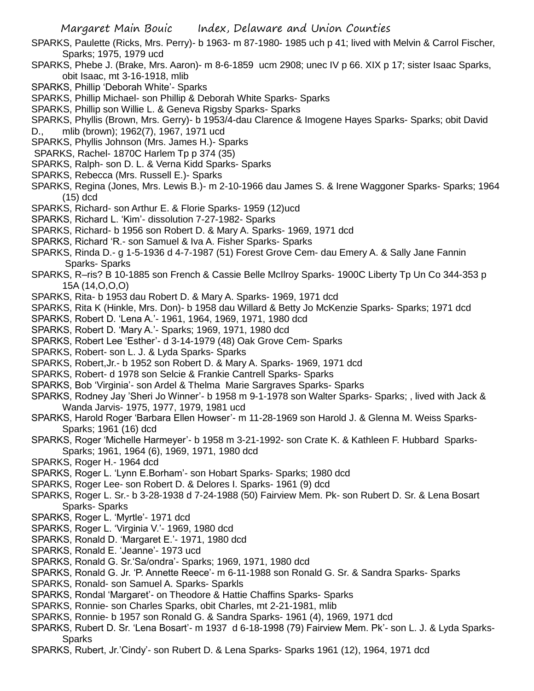- SPARKS, Paulette (Ricks, Mrs. Perry)- b 1963- m 87-1980- 1985 uch p 41; lived with Melvin & Carrol Fischer, Sparks; 1975, 1979 ucd
- SPARKS, Phebe J. (Brake, Mrs. Aaron)- m 8-6-1859 ucm 2908; unec IV p 66. XIX p 17; sister Isaac Sparks, obit Isaac, mt 3-16-1918, mlib
- SPARKS, Phillip 'Deborah White'- Sparks
- SPARKS, Phillip Michael- son Phillip & Deborah White Sparks- Sparks
- SPARKS, Phillip son Willie L. & Geneva Rigsby Sparks- Sparks
- SPARKS, Phyllis (Brown, Mrs. Gerry)- b 1953/4-dau Clarence & Imogene Hayes Sparks- Sparks; obit David D., mlib (brown); 1962(7), 1967, 1971 ucd
- SPARKS, Phyllis Johnson (Mrs. James H.)- Sparks
- SPARKS, Rachel- 1870C Harlem Tp p 374 (35)
- SPARKS, Ralph- son D. L. & Verna Kidd Sparks- Sparks
- SPARKS, Rebecca (Mrs. Russell E.)- Sparks
- SPARKS, Regina (Jones, Mrs. Lewis B.)- m 2-10-1966 dau James S. & Irene Waggoner Sparks- Sparks; 1964 (15) dcd
- SPARKS, Richard- son Arthur E. & Florie Sparks- 1959 (12)ucd
- SPARKS, Richard L. 'Kim'- dissolution 7-27-1982- Sparks
- SPARKS, Richard- b 1956 son Robert D. & Mary A. Sparks- 1969, 1971 dcd
- SPARKS, Richard 'R.- son Samuel & Iva A. Fisher Sparks- Sparks
- SPARKS, Rinda D.- g 1-5-1936 d 4-7-1987 (51) Forest Grove Cem- dau Emery A. & Sally Jane Fannin Sparks- Sparks
- SPARKS, R–ris? B 10-1885 son French & Cassie Belle McIlroy Sparks- 1900C Liberty Tp Un Co 344-353 p 15A (14,O,O,O)
- SPARKS, Rita- b 1953 dau Robert D. & Mary A. Sparks- 1969, 1971 dcd
- SPARKS, Rita K (Hinkle, Mrs. Don)- b 1958 dau Willard & Betty Jo McKenzie Sparks- Sparks; 1971 dcd
- SPARKS, Robert D. 'Lena A.'- 1961, 1964, 1969, 1971, 1980 dcd
- SPARKS, Robert D. 'Mary A.'- Sparks; 1969, 1971, 1980 dcd
- SPARKS, Robert Lee 'Esther'- d 3-14-1979 (48) Oak Grove Cem- Sparks
- SPARKS, Robert- son L. J. & Lyda Sparks- Sparks
- SPARKS, Robert,Jr.- b 1952 son Robert D. & Mary A. Sparks- 1969, 1971 dcd
- SPARKS, Robert- d 1978 son Selcie & Frankie Cantrell Sparks- Sparks
- SPARKS, Bob 'Virginia'- son Ardel & Thelma Marie Sargraves Sparks- Sparks
- SPARKS, Rodney Jay 'Sheri Jo Winner'- b 1958 m 9-1-1978 son Walter Sparks- Sparks; , lived with Jack & Wanda Jarvis- 1975, 1977, 1979, 1981 ucd
- SPARKS, Harold Roger 'Barbara Ellen Howser'- m 11-28-1969 son Harold J. & Glenna M. Weiss Sparks-Sparks; 1961 (16) dcd
- SPARKS, Roger 'Michelle Harmeyer'- b 1958 m 3-21-1992- son Crate K. & Kathleen F. Hubbard Sparks-Sparks; 1961, 1964 (6), 1969, 1971, 1980 dcd
- SPARKS, Roger H.- 1964 dcd
- SPARKS, Roger L. 'Lynn E.Borham'- son Hobart Sparks- Sparks; 1980 dcd
- SPARKS, Roger Lee- son Robert D. & Delores I. Sparks- 1961 (9) dcd
- SPARKS, Roger L. Sr.- b 3-28-1938 d 7-24-1988 (50) Fairview Mem. Pk- son Rubert D. Sr. & Lena Bosart Sparks- Sparks
- SPARKS, Roger L. 'Myrtle'- 1971 dcd
- SPARKS, Roger L. 'Virginia V.'- 1969, 1980 dcd
- SPARKS, Ronald D. 'Margaret E.'- 1971, 1980 dcd
- SPARKS, Ronald E. 'Jeanne'- 1973 ucd
- SPARKS, Ronald G. Sr.'Sa/ondra'- Sparks; 1969, 1971, 1980 dcd
- SPARKS, Ronald G. Jr. 'P. Annette Reece'- m 6-11-1988 son Ronald G. Sr. & Sandra Sparks- Sparks
- SPARKS, Ronald- son Samuel A. Sparks- Sparkls
- SPARKS, Rondal 'Margaret'- on Theodore & Hattie Chaffins Sparks- Sparks
- SPARKS, Ronnie- son Charles Sparks, obit Charles, mt 2-21-1981, mlib
- SPARKS, Ronnie- b 1957 son Ronald G. & Sandra Sparks- 1961 (4), 1969, 1971 dcd
- SPARKS, Rubert D. Sr. 'Lena Bosart'- m 1937 d 6-18-1998 (79) Fairview Mem. Pk'- son L. J. & Lyda Sparks-Sparks
- SPARKS, Rubert, Jr.'Cindy'- son Rubert D. & Lena Sparks- Sparks 1961 (12), 1964, 1971 dcd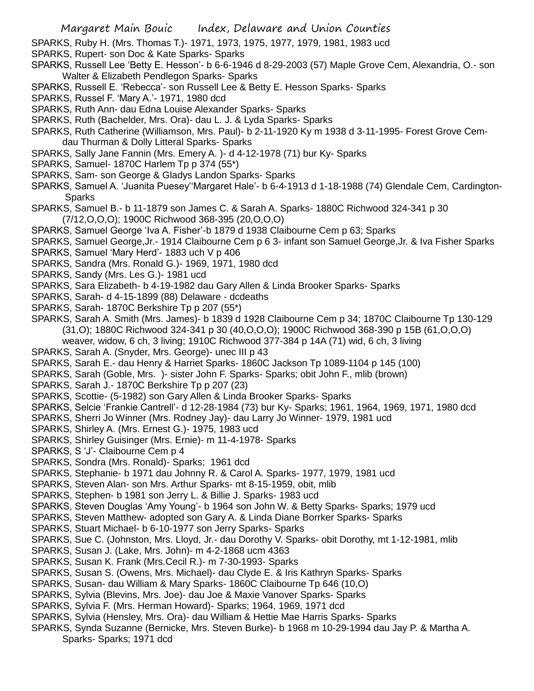SPARKS, Ruby H. (Mrs. Thomas T.)- 1971, 1973, 1975, 1977, 1979, 1981, 1983 ucd

SPARKS, Rupert- son Doc & Kate Sparks- Sparks

- SPARKS, Russell Lee 'Betty E. Hesson'- b 6-6-1946 d 8-29-2003 (57) Maple Grove Cem, Alexandria, O.- son Walter & Elizabeth Pendlegon Sparks- Sparks
- SPARKS, Russell E. 'Rebecca'- son Russell Lee & Betty E. Hesson Sparks- Sparks
- SPARKS, Russel F. 'Mary A.'- 1971, 1980 dcd
- SPARKS, Ruth Ann- dau Edna Louise Alexander Sparks- Sparks
- SPARKS, Ruth (Bachelder, Mrs. Ora)- dau L. J. & Lyda Sparks- Sparks
- SPARKS, Ruth Catherine (Williamson, Mrs. Paul)- b 2-11-1920 Ky m 1938 d 3-11-1995- Forest Grove Cemdau Thurman & Dolly Litteral Sparks- Sparks
- SPARKS, Sally Jane Fannin (Mrs. Emery A. )- d 4-12-1978 (71) bur Ky- Sparks
- SPARKS, Samuel- 1870C Harlem Tp p 374 (55\*)
- SPARKS, Sam- son George & Gladys Landon Sparks- Sparks
- SPARKS, Samuel A. 'Juanita Puesey''Margaret Hale'- b 6-4-1913 d 1-18-1988 (74) Glendale Cem, Cardington-Sparks
- SPARKS, Samuel B.- b 11-1879 son James C. & Sarah A. Sparks- 1880C Richwood 324-341 p 30 (7/12,O,O,O); 1900C Richwood 368-395 (20,O,O,O)
- SPARKS, Samuel George 'Iva A. Fisher'-b 1879 d 1938 Claibourne Cem p 63; Sparks
- SPARKS, Samuel George,Jr.- 1914 Claibourne Cem p 6 3- infant son Samuel George,Jr. & Iva Fisher Sparks
- SPARKS, Samuel 'Mary Herd'- 1883 uch V p 406
- SPARKS, Sandra (Mrs. Ronald G.)- 1969, 1971, 1980 dcd
- SPARKS, Sandy (Mrs. Les G.)- 1981 ucd
- SPARKS, Sara Elizabeth- b 4-19-1982 dau Gary Allen & Linda Brooker Sparks- Sparks
- SPARKS, Sarah- d 4-15-1899 (88) Delaware dcdeaths
- SPARKS, Sarah- 1870C Berkshire Tp p 207 (55\*)
- SPARKS, Sarah A. Smith (Mrs. James)- b 1839 d 1928 Claibourne Cem p 34; 1870C Claibourne Tp 130-129 (31,O); 1880C Richwood 324-341 p 30 (40,O,O,O); 1900C Richwood 368-390 p 15B (61,O,O,O) weaver, widow, 6 ch, 3 living; 1910C Richwood 377-384 p 14A (71) wid, 6 ch, 3 living
- SPARKS, Sarah A. (Snyder, Mrs. George)- unec III p 43
- SPARKS, Sarah E.- dau Henry & Harriet Sparks- 1860C Jackson Tp 1089-1104 p 145 (100)
- SPARKS, Sarah (Goble, Mrs. )- sister John F. Sparks- Sparks; obit John F., mlib (brown)
- SPARKS, Sarah J.- 1870C Berkshire Tp p 207 (23)
- SPARKS, Scottie- (5-1982) son Gary Allen & Linda Brooker Sparks- Sparks
- SPARKS, Selcie 'Frankie Cantrell'- d 12-28-1984 (73) bur Ky- Sparks; 1961, 1964, 1969, 1971, 1980 dcd
- SPARKS, Sherri Jo Winner (Mrs. Rodney Jay)- dau Larry Jo Winner- 1979, 1981 ucd
- SPARKS, Shirley A. (Mrs. Ernest G.)- 1975, 1983 ucd
- SPARKS, Shirley Guisinger (Mrs. Ernie)- m 11-4-1978- Sparks
- SPARKS, S 'J'- Claibourne Cem p 4
- SPARKS, Sondra (Mrs. Ronald)- Sparks; 1961 dcd
- SPARKS, Stephanie- b 1971 dau Johnny R. & Carol A. Sparks- 1977, 1979, 1981 ucd
- SPARKS, Steven Alan- son Mrs. Arthur Sparks- mt 8-15-1959, obit, mlib
- SPARKS, Stephen- b 1981 son Jerry L. & Billie J. Sparks- 1983 ucd
- SPARKS, Steven Douglas 'Amy Young'- b 1964 son John W. & Betty Sparks- Sparks; 1979 ucd
- SPARKS, Steven Matthew- adopted son Gary A. & Linda Diane Borrker Sparks- Sparks
- SPARKS, Stuart Michael- b 6-10-1977 son Jerry Sparks- Sparks
- SPARKS, Sue C. (Johnston, Mrs. Lloyd, Jr.- dau Dorothy V. Sparks- obit Dorothy, mt 1-12-1981, mlib
- SPARKS, Susan J. (Lake, Mrs. John)- m 4-2-1868 ucm 4363
- SPARKS, Susan K. Frank (Mrs.Cecil R.)- m 7-30-1993- Sparks
- SPARKS, Susan S. (Owens, Mrs. Michael)- dau Clyde E. & Iris Kathryn Sparks- Sparks
- SPARKS, Susan- dau William & Mary Sparks- 1860C Claibourne Tp 646 (10,O)
- SPARKS, Sylvia (Blevins, Mrs. Joe)- dau Joe & Maxie Vanover Sparks- Sparks
- SPARKS, Sylvia F. (Mrs. Herman Howard)- Sparks; 1964, 1969, 1971 dcd
- SPARKS, Sylvia (Hensley, Mrs. Ora)- dau William & Hettie Mae Harris Sparks- Sparks
- SPARKS, Synda Suzanne (Bernicke, Mrs. Steven Burke)- b 1968 m 10-29-1994 dau Jay P. & Martha A. Sparks- Sparks; 1971 dcd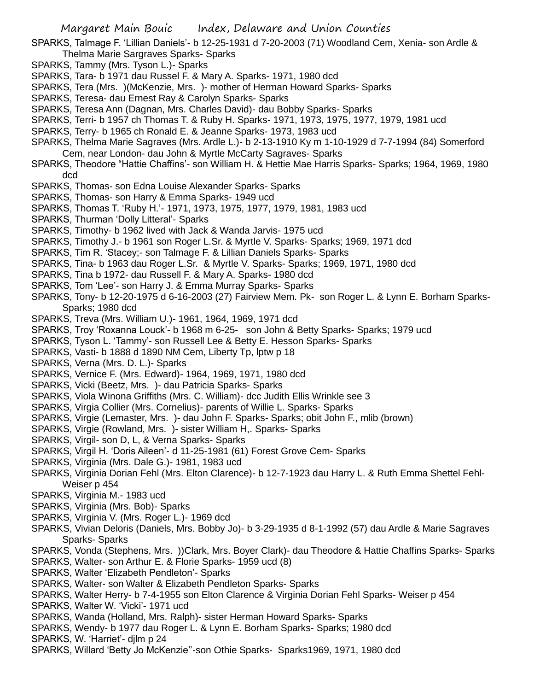SPARKS, Talmage F. 'Lillian Daniels'- b 12-25-1931 d 7-20-2003 (71) Woodland Cem, Xenia- son Ardle & Thelma Marie Sargraves Sparks- Sparks

- SPARKS, Tammy (Mrs. Tyson L.)- Sparks
- SPARKS, Tara- b 1971 dau Russel F. & Mary A. Sparks- 1971, 1980 dcd
- SPARKS, Tera (Mrs. )(McKenzie, Mrs. )- mother of Herman Howard Sparks- Sparks
- SPARKS, Teresa- dau Ernest Ray & Carolyn Sparks- Sparks
- SPARKS, Teresa Ann (Dagnan, Mrs. Charles David)- dau Bobby Sparks- Sparks
- SPARKS, Terri- b 1957 ch Thomas T. & Ruby H. Sparks- 1971, 1973, 1975, 1977, 1979, 1981 ucd
- SPARKS, Terry- b 1965 ch Ronald E. & Jeanne Sparks- 1973, 1983 ucd
- SPARKS, Thelma Marie Sagraves (Mrs. Ardle L.)- b 2-13-1910 Ky m 1-10-1929 d 7-7-1994 (84) Somerford Cem, near London- dau John & Myrtle McCarty Sagraves- Sparks
- SPARKS, Theodore "Hattie Chaffins'- son William H. & Hettie Mae Harris Sparks- Sparks; 1964, 1969, 1980 dcd
- SPARKS, Thomas- son Edna Louise Alexander Sparks- Sparks
- SPARKS, Thomas- son Harry & Emma Sparks- 1949 ucd
- SPARKS, Thomas T. 'Ruby H.'- 1971, 1973, 1975, 1977, 1979, 1981, 1983 ucd
- SPARKS, Thurman 'Dolly Litteral'- Sparks
- SPARKS, Timothy- b 1962 lived with Jack & Wanda Jarvis- 1975 ucd
- SPARKS, Timothy J.- b 1961 son Roger L.Sr. & Myrtle V. Sparks- Sparks; 1969, 1971 dcd
- SPARKS, Tim R. 'Stacey;- son Talmage F. & Lillian Daniels Sparks- Sparks
- SPARKS, Tina- b 1963 dau Roger L.Sr. & Myrtle V. Sparks- Sparks; 1969, 1971, 1980 dcd
- SPARKS, Tina b 1972- dau Russell F. & Mary A. Sparks- 1980 dcd
- SPARKS, Tom 'Lee'- son Harry J. & Emma Murray Sparks- Sparks
- SPARKS, Tony- b 12-20-1975 d 6-16-2003 (27) Fairview Mem. Pk- son Roger L. & Lynn E. Borham Sparks-Sparks; 1980 dcd
- SPARKS, Treva (Mrs. William U.)- 1961, 1964, 1969, 1971 dcd
- SPARKS, Troy 'Roxanna Louck'- b 1968 m 6-25- son John & Betty Sparks- Sparks; 1979 ucd
- SPARKS, Tyson L. 'Tammy'- son Russell Lee & Betty E. Hesson Sparks- Sparks
- SPARKS, Vasti- b 1888 d 1890 NM Cem, Liberty Tp, lptw p 18
- SPARKS, Verna (Mrs. D. L.)- Sparks
- SPARKS, Vernice F. (Mrs. Edward)- 1964, 1969, 1971, 1980 dcd
- SPARKS, Vicki (Beetz, Mrs. )- dau Patricia Sparks- Sparks
- SPARKS, Viola Winona Griffiths (Mrs. C. William)- dcc Judith Ellis Wrinkle see 3
- SPARKS, Virgia Collier (Mrs. Cornelius)- parents of Willie L. Sparks- Sparks
- SPARKS, Virgie (Lemaster, Mrs. )- dau John F. Sparks- Sparks; obit John F., mlib (brown)
- SPARKS, Virgie (Rowland, Mrs. )- sister William H,. Sparks- Sparks
- SPARKS, Virgil- son D, L, & Verna Sparks- Sparks
- SPARKS, Virgil H. 'Doris Aileen'- d 11-25-1981 (61) Forest Grove Cem- Sparks
- SPARKS, Virginia (Mrs. Dale G.)- 1981, 1983 ucd
- SPARKS, Virginia Dorian Fehl (Mrs. Elton Clarence)- b 12-7-1923 dau Harry L. & Ruth Emma Shettel Fehl-Weiser p 454
- SPARKS, Virginia M.- 1983 ucd
- SPARKS, Virginia (Mrs. Bob)- Sparks
- SPARKS, Virginia V. (Mrs. Roger L.)- 1969 dcd
- SPARKS, Vivian Deloris (Daniels, Mrs. Bobby Jo)- b 3-29-1935 d 8-1-1992 (57) dau Ardle & Marie Sagraves Sparks- Sparks
- SPARKS, Vonda (Stephens, Mrs. ))Clark, Mrs. Boyer Clark)- dau Theodore & Hattie Chaffins Sparks- Sparks
- SPARKS, Walter- son Arthur E. & Florie Sparks- 1959 ucd (8)
- SPARKS, Walter 'Elizabeth Pendleton'- Sparks
- SPARKS, Walter- son Walter & Elizabeth Pendleton Sparks- Sparks
- SPARKS, Walter Herry- b 7-4-1955 son Elton Clarence & Virginia Dorian Fehl Sparks- Weiser p 454
- SPARKS, Walter W. 'Vicki'- 1971 ucd
- SPARKS, Wanda (Holland, Mrs. Ralph)- sister Herman Howard Sparks- Sparks
- SPARKS, Wendy- b 1977 dau Roger L. & Lynn E. Borham Sparks- Sparks; 1980 dcd
- SPARKS, W. 'Harriet'- djlm p 24
- SPARKS, Willard 'Betty Jo McKenzie''-son Othie Sparks- Sparks1969, 1971, 1980 dcd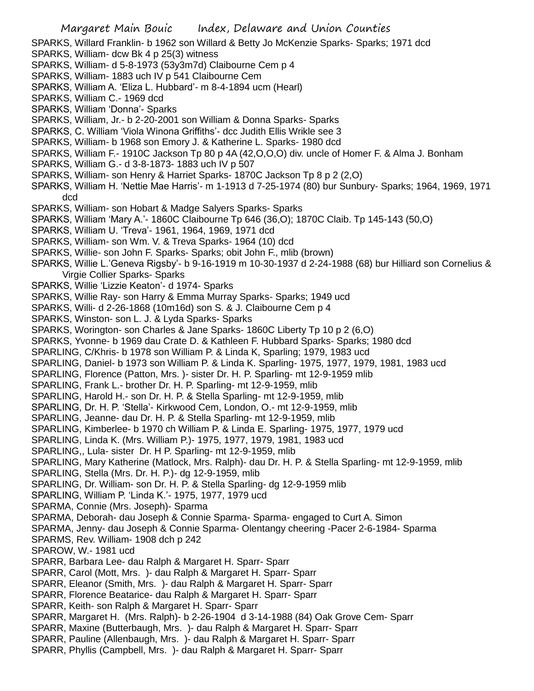SPARKS, Willard Franklin- b 1962 son Willard & Betty Jo McKenzie Sparks- Sparks; 1971 dcd

- SPARKS, William- dcw Bk 4 p 25(3) witness
- SPARKS, William- d 5-8-1973 (53y3m7d) Claibourne Cem p 4
- SPARKS, William- 1883 uch IV p 541 Claibourne Cem
- SPARKS, William A. 'Eliza L. Hubbard'- m 8-4-1894 ucm (Hearl)
- SPARKS, William C.- 1969 dcd
- SPARKS, William 'Donna'- Sparks
- SPARKS, William, Jr.- b 2-20-2001 son William & Donna Sparks- Sparks
- SPARKS, C. William 'Viola Winona Griffiths'- dcc Judith Ellis Wrikle see 3
- SPARKS, William- b 1968 son Emory J. & Katherine L. Sparks- 1980 dcd
- SPARKS, William F.- 1910C Jackson Tp 80 p 4A (42,O,O,O) div. uncle of Homer F. & Alma J. Bonham
- SPARKS, William G.- d 3-8-1873- 1883 uch IV p 507
- SPARKS, William- son Henry & Harriet Sparks- 1870C Jackson Tp 8 p 2 (2,O)
- SPARKS, William H. 'Nettie Mae Harris'- m 1-1913 d 7-25-1974 (80) bur Sunbury- Sparks; 1964, 1969, 1971 dcd
- SPARKS, William- son Hobart & Madge Salyers Sparks- Sparks
- SPARKS, William 'Mary A.'- 1860C Claibourne Tp 646 (36,O); 1870C Claib. Tp 145-143 (50,O)
- SPARKS, William U. 'Treva'- 1961, 1964, 1969, 1971 dcd
- SPARKS, William- son Wm. V. & Treva Sparks- 1964 (10) dcd
- SPARKS, Willie- son John F. Sparks- Sparks; obit John F., mlib (brown)
- SPARKS, Willie L.'Geneva Rigsby'- b 9-16-1919 m 10-30-1937 d 2-24-1988 (68) bur Hilliard son Cornelius & Virgie Collier Sparks- Sparks
- SPARKS, Willie 'Lizzie Keaton'- d 1974- Sparks
- SPARKS, Willie Ray- son Harry & Emma Murray Sparks- Sparks; 1949 ucd
- SPARKS, Willi- d 2-26-1868 (10m16d) son S. & J. Claibourne Cem p 4
- SPARKS, Winston- son L. J. & Lyda Sparks- Sparks
- SPARKS, Worington- son Charles & Jane Sparks- 1860C Liberty Tp 10 p 2 (6,O)
- SPARKS, Yvonne- b 1969 dau Crate D. & Kathleen F. Hubbard Sparks- Sparks; 1980 dcd
- SPARLING, C/Khris- b 1978 son William P. & Linda K, Sparling; 1979, 1983 ucd
- SPARLING, Daniel- b 1973 son William P. & Linda K. Sparling- 1975, 1977, 1979, 1981, 1983 ucd
- SPARLING, Florence (Patton, Mrs. )- sister Dr. H. P. Sparling- mt 12-9-1959 mlib
- SPARLING, Frank L.- brother Dr. H. P. Sparling- mt 12-9-1959, mlib
- SPARLING, Harold H.- son Dr. H. P. & Stella Sparling- mt 12-9-1959, mlib
- SPARLING, Dr. H. P. 'Stella'- Kirkwood Cem, London, O.- mt 12-9-1959, mlib
- SPARLING, Jeanne- dau Dr. H. P. & Stella Sparling- mt 12-9-1959, mlib
- SPARLING, Kimberlee- b 1970 ch William P. & Linda E. Sparling- 1975, 1977, 1979 ucd
- SPARLING, Linda K. (Mrs. William P.)- 1975, 1977, 1979, 1981, 1983 ucd
- SPARLING,, Lula- sister Dr. H P. Sparling- mt 12-9-1959, mlib
- SPARLING, Mary Katherine (Matlock, Mrs. Ralph)- dau Dr. H. P. & Stella Sparling- mt 12-9-1959, mlib
- SPARLING, Stella (Mrs. Dr. H. P.)- dg 12-9-1959, mlib
- SPARLING, Dr. William- son Dr. H. P. & Stella Sparling- dg 12-9-1959 mlib
- SPARLING, William P. 'Linda K.'- 1975, 1977, 1979 ucd
- SPARMA, Connie (Mrs. Joseph)- Sparma
- SPARMA, Deborah- dau Joseph & Connie Sparma- Sparma- engaged to Curt A. Simon
- SPARMA, Jenny- dau Joseph & Connie Sparma- Olentangy cheering -Pacer 2-6-1984- Sparma
- SPARMS, Rev. William- 1908 dch p 242
- SPAROW, W.- 1981 ucd
- SPARR, Barbara Lee- dau Ralph & Margaret H. Sparr- Sparr
- SPARR, Carol (Mott, Mrs. )- dau Ralph & Margaret H. Sparr- Sparr
- SPARR, Eleanor (Smith, Mrs. )- dau Ralph & Margaret H. Sparr- Sparr
- SPARR, Florence Beatarice- dau Ralph & Margaret H. Sparr- Sparr
- SPARR, Keith- son Ralph & Margaret H. Sparr- Sparr
- SPARR, Margaret H. (Mrs. Ralph)- b 2-26-1904 d 3-14-1988 (84) Oak Grove Cem- Sparr
- SPARR, Maxine (Butterbaugh, Mrs. )- dau Ralph & Margaret H. Sparr- Sparr
- SPARR, Pauline (Allenbaugh, Mrs. )- dau Ralph & Margaret H. Sparr- Sparr
- SPARR, Phyllis (Campbell, Mrs. )- dau Ralph & Margaret H. Sparr- Sparr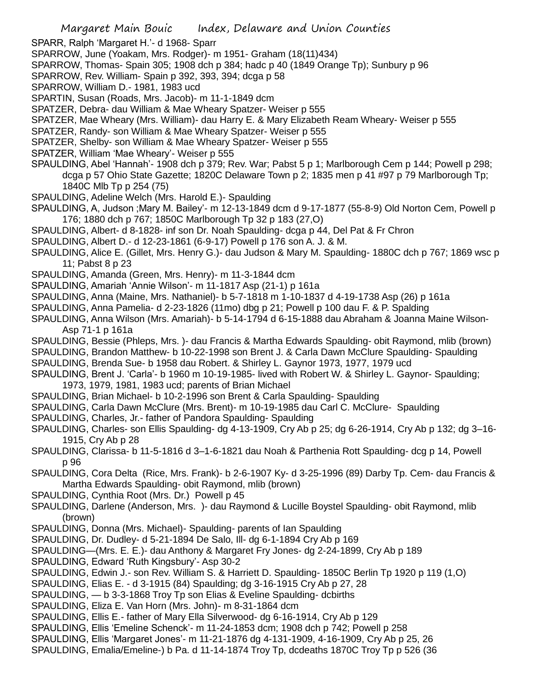SPARR, Ralph 'Margaret H.'- d 1968- Sparr

- SPARROW, June (Yoakam, Mrs. Rodger)- m 1951- Graham (18(11)434)
- SPARROW, Thomas- Spain 305; 1908 dch p 384; hadc p 40 (1849 Orange Tp); Sunbury p 96
- SPARROW, Rev. William- Spain p 392, 393, 394; dcga p 58
- SPARROW, William D.- 1981, 1983 ucd
- SPARTIN, Susan (Roads, Mrs. Jacob)- m 11-1-1849 dcm
- SPATZER, Debra- dau William & Mae Wheary Spatzer- Weiser p 555
- SPATZER, Mae Wheary (Mrs. William)- dau Harry E. & Mary Elizabeth Ream Wheary- Weiser p 555
- SPATZER, Randy- son William & Mae Wheary Spatzer- Weiser p 555
- SPATZER, Shelby- son William & Mae Wheary Spatzer- Weiser p 555
- SPATZER, William 'Mae Wheary'- Weiser p 555
- SPAULDING, Abel 'Hannah'- 1908 dch p 379; Rev. War; Pabst 5 p 1; Marlborough Cem p 144; Powell p 298; dcga p 57 Ohio State Gazette; 1820C Delaware Town p 2; 1835 men p 41 #97 p 79 Marlborough Tp; 1840C Mlb Tp p 254 (75)
- SPAULDING, Adeline Welch (Mrs. Harold E.)- Spaulding
- SPAULDING, A, Judson ;Mary M. Bailey'- m 12-13-1849 dcm d 9-17-1877 (55-8-9) Old Norton Cem, Powell p 176; 1880 dch p 767; 1850C Marlborough Tp 32 p 183 (27,O)
- SPAULDING, Albert- d 8-1828- inf son Dr. Noah Spaulding- dcga p 44, Del Pat & Fr Chron
- SPAULDING, Albert D.- d 12-23-1861 (6-9-17) Powell p 176 son A. J. & M.
- SPAULDING, Alice E. (Gillet, Mrs. Henry G.)- dau Judson & Mary M. Spaulding- 1880C dch p 767; 1869 wsc p 11; Pabst 8 p 23
- SPAULDING, Amanda (Green, Mrs. Henry)- m 11-3-1844 dcm
- SPAULDING, Amariah 'Annie Wilson'- m 11-1817 Asp (21-1) p 161a
- SPAULDING, Anna (Maine, Mrs. Nathaniel)- b 5-7-1818 m 1-10-1837 d 4-19-1738 Asp (26) p 161a
- SPAULDING, Anna Pamelia- d 2-23-1826 (11mo) dbg p 21; Powell p 100 dau F. & P. Spalding
- SPAULDING, Anna Wilson (Mrs. Amariah)- b 5-14-1794 d 6-15-1888 dau Abraham & Joanna Maine Wilson-Asp 71-1 p 161a
- SPAULDING, Bessie (Phleps, Mrs. )- dau Francis & Martha Edwards Spaulding- obit Raymond, mlib (brown)
- SPAULDING, Brandon Matthew- b 10-22-1998 son Brent J. & Carla Dawn McClure Spaulding- Spaulding
- SPAULDING, Brenda Sue- b 1958 dau Robert. & Shirley L. Gaynor 1973, 1977, 1979 ucd
- SPAULDING, Brent J. 'Carla'- b 1960 m 10-19-1985- lived with Robert W. & Shirley L. Gaynor- Spaulding; 1973, 1979, 1981, 1983 ucd; parents of Brian Michael
- SPAULDING, Brian Michael- b 10-2-1996 son Brent & Carla Spaulding- Spaulding
- SPAULDING, Carla Dawn McClure (Mrs. Brent)- m 10-19-1985 dau Carl C. McClure- Spaulding
- SPAULDING, Charles, Jr.- father of Pandora Spaulding- Spaulding
- SPAULDING, Charles- son Ellis Spaulding- dg 4-13-1909, Cry Ab p 25; dg 6-26-1914, Cry Ab p 132; dg 3–16- 1915, Cry Ab p 28
- SPAULDING, Clarissa- b 11-5-1816 d 3–1-6-1821 dau Noah & Parthenia Rott Spaulding- dcg p 14, Powell p 96
- SPAULDING, Cora Delta (Rice, Mrs. Frank)- b 2-6-1907 Ky- d 3-25-1996 (89) Darby Tp. Cem- dau Francis & Martha Edwards Spaulding- obit Raymond, mlib (brown)
- SPAULDING, Cynthia Root (Mrs. Dr.) Powell p 45
- SPAULDING, Darlene (Anderson, Mrs. )- dau Raymond & Lucille Boystel Spaulding- obit Raymond, mlib (brown)
- SPAULDING, Donna (Mrs. Michael)- Spaulding- parents of Ian Spaulding
- SPAULDING, Dr. Dudley- d 5-21-1894 De Salo, Ill- dg 6-1-1894 Cry Ab p 169
- SPAULDING—(Mrs. E. E.)- dau Anthony & Margaret Fry Jones- dg 2-24-1899, Cry Ab p 189
- SPAULDING, Edward 'Ruth Kingsbury'- Asp 30-2
- SPAULDING, Edwin J.- son Rev. William S. & Harriett D. Spaulding- 1850C Berlin Tp 1920 p 119 (1,O)
- SPAULDING, Elias E. d 3-1915 (84) Spaulding; dg 3-16-1915 Cry Ab p 27, 28
- SPAULDING, b 3-3-1868 Troy Tp son Elias & Eveline Spaulding- dcbirths
- SPAULDING, Eliza E. Van Horn (Mrs. John)- m 8-31-1864 dcm
- SPAULDING, Ellis E.- father of Mary Ella Silverwood- dg 6-16-1914, Cry Ab p 129
- SPAULDING, Ellis 'Emeline Schenck'- m 11-24-1853 dcm; 1908 dch p 742; Powell p 258
- SPAULDING, Ellis 'Margaret Jones'- m 11-21-1876 dg 4-131-1909, 4-16-1909, Cry Ab p 25, 26
- SPAULDING, Emalia/Emeline-) b Pa. d 11-14-1874 Troy Tp, dcdeaths 1870C Troy Tp p 526 (36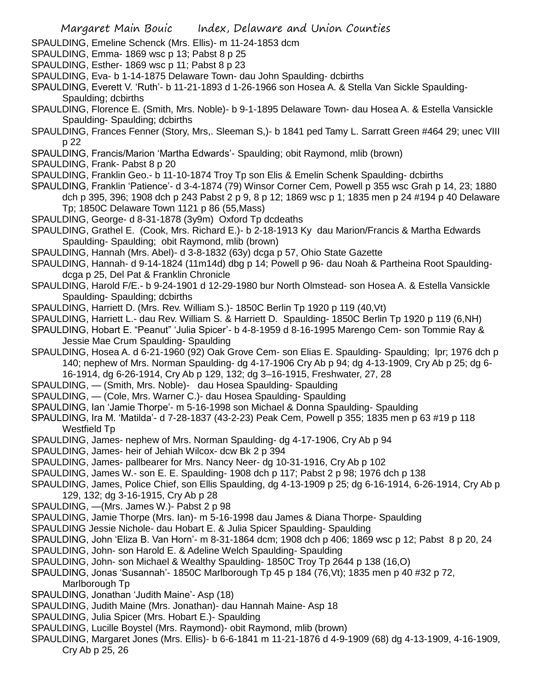- SPAULDING, Emeline Schenck (Mrs. Ellis)- m 11-24-1853 dcm
- SPAULDING, Emma- 1869 wsc p 13; Pabst 8 p 25
- SPAULDING, Esther- 1869 wsc p 11; Pabst 8 p 23
- SPAULDING, Eva- b 1-14-1875 Delaware Town- dau John Spaulding- dcbirths
- SPAULDING, Everett V. 'Ruth'- b 11-21-1893 d 1-26-1966 son Hosea A. & Stella Van Sickle Spaulding-Spaulding; dcbirths
- SPAULDING, Florence E. (Smith, Mrs. Noble)- b 9-1-1895 Delaware Town- dau Hosea A. & Estella Vansickle Spaulding- Spaulding; dcbirths
- SPAULDING, Frances Fenner (Story, Mrs,. Sleeman S,)- b 1841 ped Tamy L. Sarratt Green #464 29; unec VIII p 22
- SPAULDING, Francis/Marion 'Martha Edwards'- Spaulding; obit Raymond, mlib (brown)
- SPAULDING, Frank- Pabst 8 p 20
- SPAULDING, Franklin Geo.- b 11-10-1874 Troy Tp son Elis & Emelin Schenk Spaulding- dcbirths
- SPAULDING, Franklin 'Patience'- d 3-4-1874 (79) Winsor Corner Cem, Powell p 355 wsc Grah p 14, 23; 1880 dch p 395, 396; 1908 dch p 243 Pabst 2 p 9, 8 p 12; 1869 wsc p 1; 1835 men p 24 #194 p 40 Delaware Tp; 1850C Delaware Town 1121 p 86 (55,Mass)
- SPAULDING, George- d 8-31-1878 (3y9m) Oxford Tp dcdeaths
- SPAULDING, Grathel E. (Cook, Mrs. Richard E.)- b 2-18-1913 Ky dau Marion/Francis & Martha Edwards Spaulding- Spaulding; obit Raymond, mlib (brown)
- SPAULDING, Hannah (Mrs. Abel)- d 3-8-1832 (63y) dcga p 57, Ohio State Gazette
- SPAULDING, Hannah- d 9-14-1824 (11m14d) dbg p 14; Powell p 96- dau Noah & Partheina Root Spauldingdcga p 25, Del Pat & Franklin Chronicle
- SPAULDING, Harold F/E.- b 9-24-1901 d 12-29-1980 bur North Olmstead- son Hosea A. & Estella Vansickle Spaulding- Spaulding; dcbirths
- SPAULDING, Harriett D. (Mrs. Rev. William S.)- 1850C Berlin Tp 1920 p 119 (40,Vt)
- SPAULDING, Harriett L.- dau Rev. William S. & Harriett D. Spaulding- 1850C Berlin Tp 1920 p 119 (6,NH)
- SPAULDING, Hobart E. "Peanut" 'Julia Spicer'- b 4-8-1959 d 8-16-1995 Marengo Cem- son Tommie Ray & Jessie Mae Crum Spaulding- Spaulding
- SPAULDING, Hosea A. d 6-21-1960 (92) Oak Grove Cem- son Elias E. Spaulding- Spaulding; lpr; 1976 dch p 140; nephew of Mrs. Norman Spaulding- dg 4-17-1906 Cry Ab p 94; dg 4-13-1909, Cry Ab p 25; dg 6- 16-1914, dg 6-26-1914, Cry Ab p 129, 132; dg 3–16-1915, Freshwater, 27, 28
- SPAULDING, (Smith, Mrs. Noble)- dau Hosea Spaulding- Spaulding
- SPAULDING, (Cole, Mrs. Warner C.)- dau Hosea Spaulding- Spaulding
- SPAULDING, Ian 'Jamie Thorpe'- m 5-16-1998 son Michael & Donna Spaulding- Spaulding
- SPAULDING, Ira M. 'Matilda'- d 7-28-1837 (43-2-23) Peak Cem, Powell p 355; 1835 men p 63 #19 p 118 Westfield Tp
- SPAULDING, James- nephew of Mrs. Norman Spaulding- dg 4-17-1906, Cry Ab p 94
- SPAULDING, James- heir of Jehiah Wilcox- dcw Bk 2 p 394
- SPAULDING, James- pallbearer for Mrs. Nancy Neer- dg 10-31-1916, Cry Ab p 102
- SPAULDING, James W.- son E. E. Spaulding- 1908 dch p 117; Pabst 2 p 98; 1976 dch p 138
- SPAULDING, James, Police Chief, son Ellis Spaulding, dg 4-13-1909 p 25; dg 6-16-1914, 6-26-1914, Cry Ab p 129, 132; dg 3-16-1915, Cry Ab p 28
- SPAULDING, —(Mrs. James W.)- Pabst 2 p 98
- SPAULDING, Jamie Thorpe (Mrs. Ian)- m 5-16-1998 dau James & Diana Thorpe- Spaulding
- SPAULDING Jessie Nichole- dau Hobart E. & Julia Spicer Spaulding- Spaulding
- SPAULDING, John 'Eliza B. Van Horn'- m 8-31-1864 dcm; 1908 dch p 406; 1869 wsc p 12; Pabst 8 p 20, 24
- SPAULDING, John- son Harold E. & Adeline Welch Spaulding- Spaulding
- SPAULDING, John- son Michael & Wealthy Spaulding- 1850C Troy Tp 2644 p 138 (16,O)
- SPAULDING, Jonas 'Susannah'- 1850C Marlborough Tp 45 p 184 (76,Vt); 1835 men p 40 #32 p 72,
	- Marlborough Tp
- SPAULDING, Jonathan 'Judith Maine'- Asp (18)
- SPAULDING, Judith Maine (Mrs. Jonathan)- dau Hannah Maine- Asp 18
- SPAULDING, Julia Spicer (Mrs. Hobart E.)- Spaulding
- SPAULDING, Lucille Boystel (Mrs. Raymond)- obit Raymond, mlib (brown)
- SPAULDING, Margaret Jones (Mrs. Ellis)- b 6-6-1841 m 11-21-1876 d 4-9-1909 (68) dg 4-13-1909, 4-16-1909, Cry Ab p 25, 26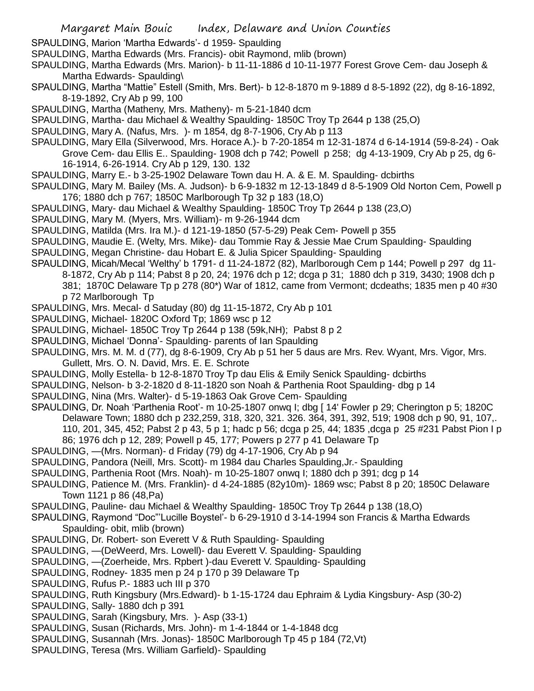SPAULDING, Marion 'Martha Edwards'- d 1959- Spaulding

- SPAULDING, Martha Edwards (Mrs. Francis)- obit Raymond, mlib (brown)
- SPAULDING, Martha Edwards (Mrs. Marion)- b 11-11-1886 d 10-11-1977 Forest Grove Cem- dau Joseph & Martha Edwards- Spaulding\
- SPAULDING, Martha "Mattie" Estell (Smith, Mrs. Bert)- b 12-8-1870 m 9-1889 d 8-5-1892 (22), dg 8-16-1892, 8-19-1892, Cry Ab p 99, 100
- SPAULDING, Martha (Matheny, Mrs. Matheny)- m 5-21-1840 dcm
- SPAULDING, Martha- dau Michael & Wealthy Spaulding- 1850C Troy Tp 2644 p 138 (25,O)
- SPAULDING, Mary A. (Nafus, Mrs. )- m 1854, dg 8-7-1906, Cry Ab p 113
- SPAULDING, Mary Ella (Silverwood, Mrs. Horace A.)- b 7-20-1854 m 12-31-1874 d 6-14-1914 (59-8-24) Oak Grove Cem- dau Ellis E.. Spaulding- 1908 dch p 742; Powell p 258; dg 4-13-1909, Cry Ab p 25, dg 6- 16-1914, 6-26-1914. Cry Ab p 129, 130. 132
- SPAULDING, Marry E.- b 3-25-1902 Delaware Town dau H. A. & E. M. Spaulding- dcbirths
- SPAULDING, Mary M. Bailey (Ms. A. Judson)- b 6-9-1832 m 12-13-1849 d 8-5-1909 Old Norton Cem, Powell p 176; 1880 dch p 767; 1850C Marlborough Tp 32 p 183 (18,O)
- SPAULDING, Mary- dau Michael & Wealthy Spaulding- 1850C Troy Tp 2644 p 138 (23,O)
- SPAULDING, Mary M. (Myers, Mrs. William)- m 9-26-1944 dcm
- SPAULDING, Matilda (Mrs. Ira M.)- d 121-19-1850 (57-5-29) Peak Cem- Powell p 355
- SPAULDING, Maudie E. (Welty, Mrs. Mike)- dau Tommie Ray & Jessie Mae Crum Spaulding- Spaulding
- SPAULDING, Megan Christine- dau Hobart E. & Julia Spicer Spaulding- Spaulding
- SPAULDING, Micah/Mecal 'Welthy' b 1791- d 11-24-1872 (82), Marlborough Cem p 144; Powell p 297 dg 11- 8-1872, Cry Ab p 114; Pabst 8 p 20, 24; 1976 dch p 12; dcga p 31; 1880 dch p 319, 3430; 1908 dch p 381; 1870C Delaware Tp p 278 (80\*) War of 1812, came from Vermont; dcdeaths; 1835 men p 40 #30 p 72 Marlborough Tp
- SPAULDING, Mrs. Mecal- d Satuday (80) dg 11-15-1872, Cry Ab p 101
- SPAULDING, Michael- 1820C Oxford Tp; 1869 wsc p 12
- SPAULDING, Michael- 1850C Troy Tp 2644 p 138 (59k,NH); Pabst 8 p 2
- SPAULDING, Michael 'Donna'- Spaulding- parents of Ian Spaulding
- SPAULDING, Mrs. M. M. d (77), dg 8-6-1909, Cry Ab p 51 her 5 daus are Mrs. Rev. Wyant, Mrs. Vigor, Mrs. Gullett, Mrs. O. N. David, Mrs. E. E. Schrote
- SPAULDING, Molly Estella- b 12-8-1870 Troy Tp dau Elis & Emily Senick Spaulding- dcbirths
- SPAULDING, Nelson- b 3-2-1820 d 8-11-1820 son Noah & Parthenia Root Spaulding- dbg p 14
- SPAULDING, Nina (Mrs. Walter)- d 5-19-1863 Oak Grove Cem- Spaulding
- SPAULDING, Dr. Noah 'Parthenia Root'- m 10-25-1807 onwq I; dbg [ 14' Fowler p 29; Cherington p 5; 1820C Delaware Town; 1880 dch p 232,259, 318, 320, 321. 326. 364, 391, 392, 519; 1908 dch p 90, 91, 107,. 110, 201, 345, 452; Pabst 2 p 43, 5 p 1; hadc p 56; dcga p 25, 44; 1835 ,dcga p 25 #231 Pabst Pion I p 86; 1976 dch p 12, 289; Powell p 45, 177; Powers p 277 p 41 Delaware Tp
- SPAULDING, —(Mrs. Norman)- d Friday (79) dg 4-17-1906, Cry Ab p 94
- SPAULDING, Pandora (Neill, Mrs. Scott)- m 1984 dau Charles Spaulding,Jr.- Spaulding
- SPAULDING, Parthenia Root (Mrs. Noah)- m 10-25-1807 onwq I; 1880 dch p 391; dcg p 14
- SPAULDING, Patience M. (Mrs. Franklin)- d 4-24-1885 (82y10m)- 1869 wsc; Pabst 8 p 20; 1850C Delaware Town 1121 p 86 (48,Pa)
- SPAULDING, Pauline- dau Michael & Wealthy Spaulding- 1850C Troy Tp 2644 p 138 (18,O)
- SPAULDING, Raymond "Doc"'Lucille Boystel'- b 6-29-1910 d 3-14-1994 son Francis & Martha Edwards Spaulding- obit, mlib (brown)
- SPAULDING, Dr. Robert- son Everett V & Ruth Spaulding- Spaulding
- SPAULDING, —(DeWeerd, Mrs. Lowell)- dau Everett V. Spaulding- Spaulding
- SPAULDING, —(Zoerheide, Mrs. Rpbert )-dau Everett V. Spaulding- Spaulding
- SPAULDING, Rodney- 1835 men p 24 p 170 p 39 Delaware Tp
- SPAULDING, Rufus P.- 1883 uch III p 370
- SPAULDING, Ruth Kingsbury (Mrs.Edward)- b 1-15-1724 dau Ephraim & Lydia Kingsbury- Asp (30-2)
- SPAULDING, Sally- 1880 dch p 391
- SPAULDING, Sarah (Kingsbury, Mrs. )- Asp (33-1)
- SPAULDING, Susan (Richards, Mrs. John)- m 1-4-1844 or 1-4-1848 dcg
- SPAULDING, Susannah (Mrs. Jonas)- 1850C Marlborough Tp 45 p 184 (72,Vt)
- SPAULDING, Teresa (Mrs. William Garfield)- Spaulding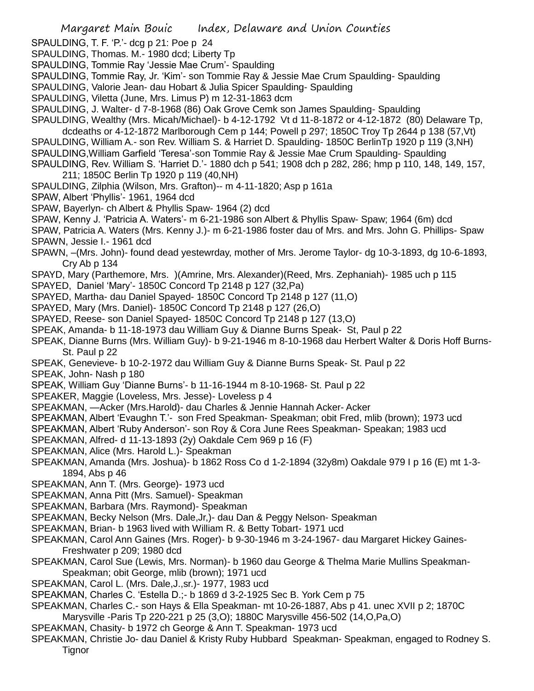- SPAULDING, T. F. 'P.'- dcg p 21: Poe p 24
- SPAULDING, Thomas. M.- 1980 dcd; Liberty Tp
- SPAULDING, Tommie Ray 'Jessie Mae Crum'- Spaulding
- SPAULDING, Tommie Ray, Jr. 'Kim'- son Tommie Ray & Jessie Mae Crum Spaulding- Spaulding
- SPAULDING, Valorie Jean- dau Hobart & Julia Spicer Spaulding- Spaulding
- SPAULDING, Viletta (June, Mrs. Limus P) m 12-31-1863 dcm
- SPAULDING, J. Walter- d 7-8-1968 (86) Oak Grove Cemk son James Spaulding- Spaulding
- SPAULDING, Wealthy (Mrs. Micah/Michael)- b 4-12-1792 Vt d 11-8-1872 or 4-12-1872 (80) Delaware Tp,
- dcdeaths or 4-12-1872 Marlborough Cem p 144; Powell p 297; 1850C Troy Tp 2644 p 138 (57,Vt) SPAULDING, William A.- son Rev. William S. & Harriet D. Spaulding- 1850C BerlinTp 1920 p 119 (3,NH) SPAULDING,William Garfield 'Teresa'-son Tommie Ray & Jessie Mae Crum Spaulding- Spaulding
- SPAULDING, Rev. William S. 'Harriet D.'- 1880 dch p 541; 1908 dch p 282, 286; hmp p 110, 148, 149, 157, 211; 1850C Berlin Tp 1920 p 119 (40,NH)
- SPAULDING, Zilphia (Wilson, Mrs. Grafton)-- m 4-11-1820; Asp p 161a
- SPAW, Albert 'Phyllis'- 1961, 1964 dcd
- SPAW, Bayerlyn- ch Albert & Phyllis Spaw- 1964 (2) dcd
- SPAW, Kenny J. 'Patricia A. Waters'- m 6-21-1986 son Albert & Phyllis Spaw- Spaw; 1964 (6m) dcd
- SPAW, Patricia A. Waters (Mrs. Kenny J.)- m 6-21-1986 foster dau of Mrs. and Mrs. John G. Phillips- Spaw SPAWN, Jessie I.- 1961 dcd
- SPAWN, –(Mrs. John)- found dead yestewrday, mother of Mrs. Jerome Taylor- dg 10-3-1893, dg 10-6-1893, Cry Ab p 134
- SPAYD, Mary (Parthemore, Mrs. )(Amrine, Mrs. Alexander)(Reed, Mrs. Zephaniah)- 1985 uch p 115
- SPAYED, Daniel 'Mary'- 1850C Concord Tp 2148 p 127 (32,Pa)
- SPAYED, Martha- dau Daniel Spayed- 1850C Concord Tp 2148 p 127 (11,O)
- SPAYED, Mary (Mrs. Daniel)- 1850C Concord Tp 2148 p 127 (26,O)
- SPAYED, Reese- son Daniel Spayed- 1850C Concord Tp 2148 p 127 (13,O)
- SPEAK, Amanda- b 11-18-1973 dau William Guy & Dianne Burns Speak- St, Paul p 22
- SPEAK, Dianne Burns (Mrs. William Guy)- b 9-21-1946 m 8-10-1968 dau Herbert Walter & Doris Hoff Burns-St. Paul p 22
- SPEAK, Genevieve- b 10-2-1972 dau William Guy & Dianne Burns Speak- St. Paul p 22
- SPEAK, John- Nash p 180
- SPEAK, William Guy 'Dianne Burns'- b 11-16-1944 m 8-10-1968- St. Paul p 22
- SPEAKER, Maggie (Loveless, Mrs. Jesse)- Loveless p 4
- SPEAKMAN, —Acker (Mrs.Harold)- dau Charles & Jennie Hannah Acker- Acker
- SPEAKMAN, Albert 'Evaughn T.'- son Fred Speakman- Speakman; obit Fred, mlib (brown); 1973 ucd
- SPEAKMAN, Albert 'Ruby Anderson'- son Roy & Cora June Rees Speakman- Speakan; 1983 ucd
- SPEAKMAN, Alfred- d 11-13-1893 (2y) Oakdale Cem 969 p 16 (F)
- SPEAKMAN, Alice (Mrs. Harold L.)- Speakman
- SPEAKMAN, Amanda (Mrs. Joshua)- b 1862 Ross Co d 1-2-1894 (32y8m) Oakdale 979 I p 16 (E) mt 1-3- 1894, Abs p 46
- SPEAKMAN, Ann T. (Mrs. George)- 1973 ucd
- SPEAKMAN, Anna Pitt (Mrs. Samuel)- Speakman
- SPEAKMAN, Barbara (Mrs. Raymond)- Speakman
- SPEAKMAN, Becky Nelson (Mrs. Dale,Jr,)- dau Dan & Peggy Nelson- Speakman
- SPEAKMAN, Brian- b 1963 lived with William R. & Betty Tobart- 1971 ucd
- SPEAKMAN, Carol Ann Gaines (Mrs. Roger)- b 9-30-1946 m 3-24-1967- dau Margaret Hickey Gaines-Freshwater p 209; 1980 dcd
- SPEAKMAN, Carol Sue (Lewis, Mrs. Norman)- b 1960 dau George & Thelma Marie Mullins Speakman-Speakman; obit George, mlib (brown); 1971 ucd
- SPEAKMAN, Carol L. (Mrs. Dale,J.,sr.)- 1977, 1983 ucd
- SPEAKMAN, Charles C. 'Estella D.;- b 1869 d 3-2-1925 Sec B. York Cem p 75
- SPEAKMAN, Charles C.- son Hays & Ella Speakman- mt 10-26-1887, Abs p 41. unec XVII p 2; 1870C Marysville -Paris Tp 220-221 p 25 (3,O); 1880C Marysville 456-502 (14,O,Pa,O)
- SPEAKMAN, Chasity- b 1972 ch George & Ann T. Speakman- 1973 ucd
- SPEAKMAN, Christie Jo- dau Daniel & Kristy Ruby Hubbard Speakman- Speakman, engaged to Rodney S. **Tignor**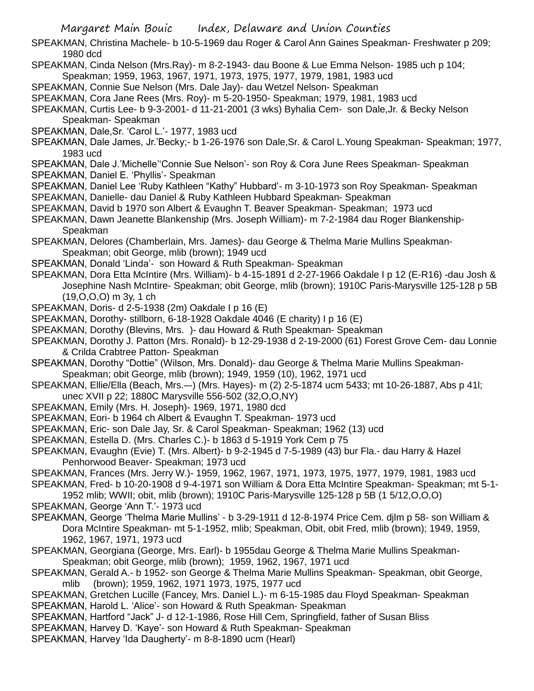- SPEAKMAN, Christina Machele- b 10-5-1969 dau Roger & Carol Ann Gaines Speakman- Freshwater p 209; 1980 dcd
- SPEAKMAN, Cinda Nelson (Mrs.Ray)- m 8-2-1943- dau Boone & Lue Emma Nelson- 1985 uch p 104;
- Speakman; 1959, 1963, 1967, 1971, 1973, 1975, 1977, 1979, 1981, 1983 ucd
- SPEAKMAN, Connie Sue Nelson (Mrs. Dale Jay)- dau Wetzel Nelson- Speakman
- SPEAKMAN, Cora Jane Rees (Mrs. Roy)- m 5-20-1950- Speakman; 1979, 1981, 1983 ucd
- SPEAKMAN, Curtis Lee- b 9-3-2001- d 11-21-2001 (3 wks) Byhalia Cem- son Dale,Jr. & Becky Nelson Speakman- Speakman
- SPEAKMAN, Dale,Sr. 'Carol L.'- 1977, 1983 ucd
- SPEAKMAN, Dale James, Jr.'Becky;- b 1-26-1976 son Dale,Sr. & Carol L.Young Speakman- Speakman; 1977, 1983 ucd
- SPEAKMAN, Dale J.'Michelle''Connie Sue Nelson'- son Roy & Cora June Rees Speakman- Speakman
- SPEAKMAN, Daniel E. 'Phyllis'- Speakman
- SPEAKMAN, Daniel Lee 'Ruby Kathleen "Kathy" Hubbard'- m 3-10-1973 son Roy Speakman- Speakman
- SPEAKMAN, Danielle- dau Daniel & Ruby Kathleen Hubbard Speakman- Speakman
- SPEAKMAN, David b 1970 son Albert & Evaughn T. Beaver Speakman- Speakman; 1973 ucd
- SPEAKMAN, Dawn Jeanette Blankenship (Mrs. Joseph William)- m 7-2-1984 dau Roger Blankenship-Speakman
- SPEAKMAN, Delores (Chamberlain, Mrs. James)- dau George & Thelma Marie Mullins Speakman-Speakman; obit George, mlib (brown); 1949 ucd
- SPEAKMAN, Donald 'Linda'- son Howard & Ruth Speakman- Speakman
- SPEAKMAN, Dora Etta McIntire (Mrs. William)- b 4-15-1891 d 2-27-1966 Oakdale I p 12 (E-R16) -dau Josh & Josephine Nash McIntire- Speakman; obit George, mlib (brown); 1910C Paris-Marysville 125-128 p 5B (19,O,O,O) m 3y, 1 ch
- SPEAKMAN, Doris- d 2-5-1938 (2m) Oakdale I p 16 (E)
- SPEAKMAN, Dorothy- stillborn, 6-18-1928 Oakdale 4046 (E charity) I p 16 (E)
- SPEAKMAN, Dorothy (Blevins, Mrs. )- dau Howard & Ruth Speakman- Speakman
- SPEAKMAN, Dorothy J. Patton (Mrs. Ronald)- b 12-29-1938 d 2-19-2000 (61) Forest Grove Cem- dau Lonnie & Crilda Crabtree Patton- Speakman
- SPEAKMAN, Dorothy "Dottie" (Wilson, Mrs. Donald)- dau George & Thelma Marie Mullins Speakman-Speakman; obit George, mlib (brown); 1949, 1959 (10), 1962, 1971 ucd
- SPEAKMAN, Ellie/Ella (Beach, Mrs.–-) (Mrs. Hayes)- m (2) 2-5-1874 ucm 5433; mt 10-26-1887, Abs p 41l; unec XVII p 22; 1880C Marysville 556-502 (32,O,O,NY)
- SPEAKMAN, Emily (Mrs. H. Joseph)- 1969, 1971, 1980 dcd
- SPEAKMAN, Eori- b 1964 ch Albert & Evaughn T. Speakman- 1973 ucd
- SPEAKMAN, Eric- son Dale Jay, Sr. & Carol Speakman- Speakman; 1962 (13) ucd
- SPEAKMAN, Estella D. (Mrs. Charles C.)- b 1863 d 5-1919 York Cem p 75
- SPEAKMAN, Evaughn (Evie) T. (Mrs. Albert)- b 9-2-1945 d 7-5-1989 (43) bur Fla.- dau Harry & Hazel Penhorwood Beaver- Speakman; 1973 ucd
- SPEAKMAN, Frances (Mrs. Jerry W.)- 1959, 1962, 1967, 1971, 1973, 1975, 1977, 1979, 1981, 1983 ucd
- SPEAKMAN, Fred- b 10-20-1908 d 9-4-1971 son William & Dora Etta McIntire Speakman- Speakman; mt 5-1-
- 1952 mlib; WWII; obit, mlib (brown); 1910C Paris-Marysville 125-128 p 5B (1 5/12,O,O,O) SPEAKMAN, George 'Ann T.'- 1973 ucd
- SPEAKMAN, George 'Thelma Marie Mullins' b 3-29-1911 d 12-8-1974 Price Cem. djlm p 58- son William & Dora McIntire Speakman- mt 5-1-1952, mlib; Speakman, Obit, obit Fred, mlib (brown); 1949, 1959, 1962, 1967, 1971, 1973 ucd
- SPEAKMAN, Georgiana (George, Mrs. Earl)- b 1955dau George & Thelma Marie Mullins Speakman-Speakman; obit George, mlib (brown); 1959, 1962, 1967, 1971 ucd
- SPEAKMAN, Gerald A.- b 1952- son George & Thelma Marie Mullins Speakman- Speakman, obit George, mlib (brown); 1959, 1962, 1971 1973, 1975, 1977 ucd
- SPEAKMAN, Gretchen Lucille (Fancey, Mrs. Daniel L.)- m 6-15-1985 dau Floyd Speakman- Speakman
- SPEAKMAN, Harold L. 'Alice'- son Howard & Ruth Speakman- Speakman
- SPEAKMAN, Hartford "Jack" J- d 12-1-1986, Rose Hill Cem, Springfield, father of Susan Bliss
- SPEAKMAN, Harvey D. 'Kaye'- son Howard & Ruth Speakman- Speakman
- SPEAKMAN, Harvey 'Ida Daugherty'- m 8-8-1890 ucm (Hearl)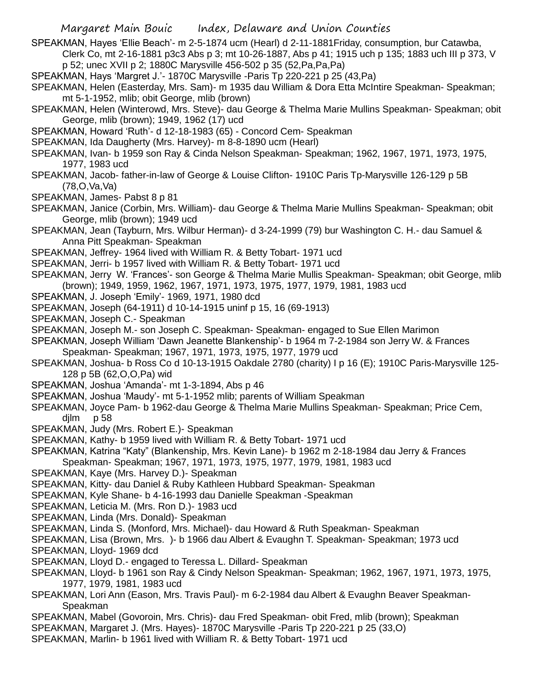- SPEAKMAN, Hayes 'Ellie Beach'- m 2-5-1874 ucm (Hearl) d 2-11-1881Friday, consumption, bur Catawba,
	- Clerk Co, mt 2-16-1881 p3c3 Abs p 3; mt 10-26-1887, Abs p 41; 1915 uch p 135; 1883 uch III p 373, V p 52; unec XVII p 2; 1880C Marysville 456-502 p 35 (52,Pa,Pa,Pa)
- SPEAKMAN, Hays 'Margret J.'- 1870C Marysville -Paris Tp 220-221 p 25 (43,Pa)
- SPEAKMAN, Helen (Easterday, Mrs. Sam)- m 1935 dau William & Dora Etta McIntire Speakman- Speakman; mt 5-1-1952, mlib; obit George, mlib (brown)
- SPEAKMAN, Helen (Winterowd, Mrs. Steve)- dau George & Thelma Marie Mullins Speakman- Speakman; obit George, mlib (brown); 1949, 1962 (17) ucd
- SPEAKMAN, Howard 'Ruth'- d 12-18-1983 (65) Concord Cem- Speakman
- SPEAKMAN, Ida Daugherty (Mrs. Harvey)- m 8-8-1890 ucm (Hearl)
- SPEAKMAN, Ivan- b 1959 son Ray & Cinda Nelson Speakman- Speakman; 1962, 1967, 1971, 1973, 1975, 1977, 1983 ucd
- SPEAKMAN, Jacob- father-in-law of George & Louise Clifton- 1910C Paris Tp-Marysville 126-129 p 5B (78,O,Va,Va)
- SPEAKMAN, James- Pabst 8 p 81
- SPEAKMAN, Janice (Corbin, Mrs. William)- dau George & Thelma Marie Mullins Speakman- Speakman; obit George, mlib (brown); 1949 ucd
- SPEAKMAN, Jean (Tayburn, Mrs. Wilbur Herman)- d 3-24-1999 (79) bur Washington C. H.- dau Samuel & Anna Pitt Speakman- Speakman
- SPEAKMAN, Jeffrey- 1964 lived with William R. & Betty Tobart- 1971 ucd
- SPEAKMAN, Jerri- b 1957 lived with William R. & Betty Tobart- 1971 ucd
- SPEAKMAN, Jerry W. 'Frances'- son George & Thelma Marie Mullis Speakman- Speakman; obit George, mlib (brown); 1949, 1959, 1962, 1967, 1971, 1973, 1975, 1977, 1979, 1981, 1983 ucd
- SPEAKMAN, J. Joseph 'Emily'- 1969, 1971, 1980 dcd
- SPEAKMAN, Joseph (64-1911) d 10-14-1915 uninf p 15, 16 (69-1913)
- SPEAKMAN, Joseph C.- Speakman
- SPEAKMAN, Joseph M.- son Joseph C. Speakman- Speakman- engaged to Sue Ellen Marimon
- SPEAKMAN, Joseph William 'Dawn Jeanette Blankenship'- b 1964 m 7-2-1984 son Jerry W. & Frances Speakman- Speakman; 1967, 1971, 1973, 1975, 1977, 1979 ucd
- SPEAKMAN, Joshua- b Ross Co d 10-13-1915 Oakdale 2780 (charity) I p 16 (E); 1910C Paris-Marysville 125- 128 p 5B (62,O,O,Pa) wid
- SPEAKMAN, Joshua 'Amanda'- mt 1-3-1894, Abs p 46
- SPEAKMAN, Joshua 'Maudy'- mt 5-1-1952 mlib; parents of William Speakman
- SPEAKMAN, Joyce Pam- b 1962-dau George & Thelma Marie Mullins Speakman- Speakman; Price Cem, djlm p 58
- SPEAKMAN, Judy (Mrs. Robert E.)- Speakman
- SPEAKMAN, Kathy- b 1959 lived with William R. & Betty Tobart- 1971 ucd
- SPEAKMAN, Katrina "Katy" (Blankenship, Mrs. Kevin Lane)- b 1962 m 2-18-1984 dau Jerry & Frances Speakman- Speakman; 1967, 1971, 1973, 1975, 1977, 1979, 1981, 1983 ucd
- SPEAKMAN, Kaye (Mrs. Harvey D.)- Speakman
- SPEAKMAN, Kitty- dau Daniel & Ruby Kathleen Hubbard Speakman- Speakman
- SPEAKMAN, Kyle Shane- b 4-16-1993 dau Danielle Speakman -Speakman
- SPEAKMAN, Leticia M. (Mrs. Ron D.)- 1983 ucd
- SPEAKMAN, Linda (Mrs. Donald)- Speakman
- SPEAKMAN, Linda S. (Monford, Mrs. Michael)- dau Howard & Ruth Speakman- Speakman
- SPEAKMAN, Lisa (Brown, Mrs. )- b 1966 dau Albert & Evaughn T. Speakman- Speakman; 1973 ucd SPEAKMAN, Lloyd- 1969 dcd
- SPEAKMAN, Lloyd D.- engaged to Teressa L. Dillard- Speakman
- SPEAKMAN, Lloyd- b 1961 son Ray & Cindy Nelson Speakman- Speakman; 1962, 1967, 1971, 1973, 1975, 1977, 1979, 1981, 1983 ucd
- SPEAKMAN, Lori Ann (Eason, Mrs. Travis Paul)- m 6-2-1984 dau Albert & Evaughn Beaver Speakman-Speakman
- SPEAKMAN, Mabel (Govoroin, Mrs. Chris)- dau Fred Speakman- obit Fred, mlib (brown); Speakman
- SPEAKMAN, Margaret J. (Mrs. Hayes)- 1870C Marysville -Paris Tp 220-221 p 25 (33,O)
- SPEAKMAN, Marlin- b 1961 lived with William R. & Betty Tobart- 1971 ucd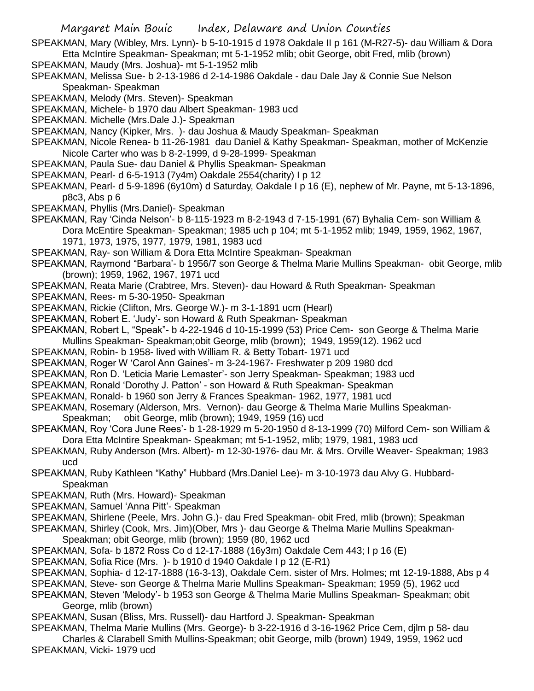SPEAKMAN, Mary (Wibley, Mrs. Lynn)- b 5-10-1915 d 1978 Oakdale II p 161 (M-R27-5)- dau William & Dora Etta McIntire Speakman- Speakman; mt 5-1-1952 mlib; obit George, obit Fred, mlib (brown)

- SPEAKMAN, Maudy (Mrs. Joshua)- mt 5-1-1952 mlib
- SPEAKMAN, Melissa Sue- b 2-13-1986 d 2-14-1986 Oakdale dau Dale Jay & Connie Sue Nelson Speakman- Speakman

SPEAKMAN, Melody (Mrs. Steven)- Speakman

SPEAKMAN, Michele- b 1970 dau Albert Speakman- 1983 ucd

SPEAKMAN. Michelle (Mrs.Dale J.)- Speakman

SPEAKMAN, Nancy (Kipker, Mrs. )- dau Joshua & Maudy Speakman- Speakman

- SPEAKMAN, Nicole Renea- b 11-26-1981 dau Daniel & Kathy Speakman- Speakman, mother of McKenzie Nicole Carter who was b 8-2-1999, d 9-28-1999- Speakman
- SPEAKMAN, Paula Sue- dau Daniel & Phyllis Speakman- Speakman
- SPEAKMAN, Pearl- d 6-5-1913 (7y4m) Oakdale 2554(charity) I p 12
- SPEAKMAN, Pearl- d 5-9-1896 (6y10m) d Saturday, Oakdale I p 16 (E), nephew of Mr. Payne, mt 5-13-1896, p8c3, Abs p 6
- SPEAKMAN, Phyllis (Mrs.Daniel)- Speakman

SPEAKMAN, Ray 'Cinda Nelson'- b 8-115-1923 m 8-2-1943 d 7-15-1991 (67) Byhalia Cem- son William & Dora McEntire Speakman- Speakman; 1985 uch p 104; mt 5-1-1952 mlib; 1949, 1959, 1962, 1967, 1971, 1973, 1975, 1977, 1979, 1981, 1983 ucd

SPEAKMAN, Ray- son William & Dora Etta McIntire Speakman- Speakman

- SPEAKMAN, Raymond "Barbara'- b 1956/7 son George & Thelma Marie Mullins Speakman- obit George, mlib (brown); 1959, 1962, 1967, 1971 ucd
- SPEAKMAN, Reata Marie (Crabtree, Mrs. Steven)- dau Howard & Ruth Speakman- Speakman
- SPEAKMAN, Rees- m 5-30-1950- Speakman
- SPEAKMAN, Rickie (Clifton, Mrs. George W.)- m 3-1-1891 ucm (Hearl)
- SPEAKMAN, Robert E. 'Judy'- son Howard & Ruth Speakman- Speakman
- SPEAKMAN, Robert L, "Speak"- b 4-22-1946 d 10-15-1999 (53) Price Cem- son George & Thelma Marie

Mullins Speakman- Speakman;obit George, mlib (brown); 1949, 1959(12). 1962 ucd

- SPEAKMAN, Robin- b 1958- lived with William R. & Betty Tobart- 1971 ucd
- SPEAKMAN, Roger W 'Carol Ann Gaines'- m 3-24-1967- Freshwater p 209 1980 dcd
- SPEAKMAN, Ron D. 'Leticia Marie Lemaster'- son Jerry Speakman- Speakman; 1983 ucd
- SPEAKMAN, Ronald 'Dorothy J. Patton' son Howard & Ruth Speakman- Speakman
- SPEAKMAN, Ronald- b 1960 son Jerry & Frances Speakman- 1962, 1977, 1981 ucd
- SPEAKMAN, Rosemary (Alderson, Mrs. Vernon)- dau George & Thelma Marie Mullins Speakman-
- Speakman; obit George, mlib (brown); 1949, 1959 (16) ucd
- SPEAKMAN, Roy 'Cora June Rees'- b 1-28-1929 m 5-20-1950 d 8-13-1999 (70) Milford Cem- son William & Dora Etta McIntire Speakman- Speakman; mt 5-1-1952, mlib; 1979, 1981, 1983 ucd
- SPEAKMAN, Ruby Anderson (Mrs. Albert)- m 12-30-1976- dau Mr. & Mrs. Orville Weaver- Speakman; 1983 ucd
- SPEAKMAN, Ruby Kathleen "Kathy" Hubbard (Mrs.Daniel Lee)- m 3-10-1973 dau Alvy G. Hubbard-Speakman
- SPEAKMAN, Ruth (Mrs. Howard)- Speakman
- SPEAKMAN, Samuel 'Anna Pitt'- Speakman
- SPEAKMAN, Shirlene (Peele, Mrs. John G.)- dau Fred Speakman- obit Fred, mlib (brown); Speakman

SPEAKMAN, Shirley (Cook, Mrs. Jim)(Ober, Mrs )- dau George & Thelma Marie Mullins Speakman-Speakman; obit George, mlib (brown); 1959 (80, 1962 ucd

SPEAKMAN, Sofa- b 1872 Ross Co d 12-17-1888 (16y3m) Oakdale Cem 443; I p 16 (E)

SPEAKMAN, Sofia Rice (Mrs. )- b 1910 d 1940 Oakdale I p 12 (E-R1)

SPEAKMAN, Sophia- d 12-17-1888 (16-3-13), Oakdale Cem. sister of Mrs. Holmes; mt 12-19-1888, Abs p 4

SPEAKMAN, Steve- son George & Thelma Marie Mullins Speakman- Speakman; 1959 (5), 1962 ucd

- SPEAKMAN, Steven 'Melody'- b 1953 son George & Thelma Marie Mullins Speakman- Speakman; obit George, mlib (brown)
- SPEAKMAN, Susan (Bliss, Mrs. Russell)- dau Hartford J. Speakman- Speakman

SPEAKMAN, Thelma Marie Mullins (Mrs. George)- b 3-22-1916 d 3-16-1962 Price Cem, djlm p 58- dau Charles & Clarabell Smith Mullins-Speakman; obit George, milb (brown) 1949, 1959, 1962 ucd SPEAKMAN, Vicki- 1979 ucd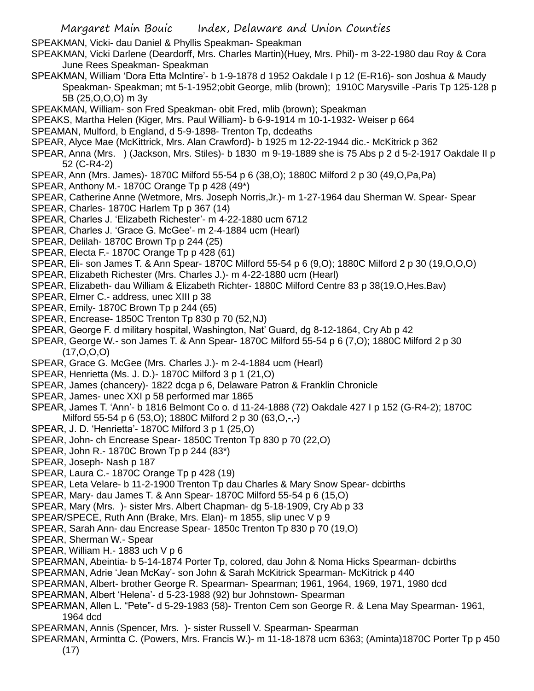SPEAKMAN, Vicki- dau Daniel & Phyllis Speakman- Speakman

- SPEAKMAN, Vicki Darlene (Deardorff, Mrs. Charles Martin)(Huey, Mrs. Phil)- m 3-22-1980 dau Roy & Cora June Rees Speakman- Speakman
- SPEAKMAN, William 'Dora Etta McIntire'- b 1-9-1878 d 1952 Oakdale I p 12 (E-R16)- son Joshua & Maudy Speakman- Speakman; mt 5-1-1952;obit George, mlib (brown); 1910C Marysville -Paris Tp 125-128 p 5B (25,O,O,O) m 3y
- SPEAKMAN, William- son Fred Speakman- obit Fred, mlib (brown); Speakman
- SPEAKS, Martha Helen (Kiger, Mrs. Paul William)- b 6-9-1914 m 10-1-1932- Weiser p 664
- SPEAMAN, Mulford, b England, d 5-9-1898- Trenton Tp, dcdeaths
- SPEAR, Alyce Mae (McKittrick, Mrs. Alan Crawford)- b 1925 m 12-22-1944 dic.- McKitrick p 362
- SPEAR, Anna (Mrs. ) (Jackson, Mrs. Stiles)- b 1830 m 9-19-1889 she is 75 Abs p 2 d 5-2-1917 Oakdale II p 52 (C-R4-2)
- SPEAR, Ann (Mrs. James)- 1870C Milford 55-54 p 6 (38,O); 1880C Milford 2 p 30 (49,O,Pa,Pa)
- SPEAR, Anthony M.- 1870C Orange Tp p 428 (49\*)
- SPEAR, Catherine Anne (Wetmore, Mrs. Joseph Norris,Jr.)- m 1-27-1964 dau Sherman W. Spear- Spear
- SPEAR, Charles- 1870C Harlem Tp p 367 (14)
- SPEAR, Charles J. 'Elizabeth Richester'- m 4-22-1880 ucm 6712
- SPEAR, Charles J. 'Grace G. McGee'- m 2-4-1884 ucm (Hearl)
- SPEAR, Delilah- 1870C Brown Tp p 244 (25)
- SPEAR, Electa F.- 1870C Orange Tp p 428 (61)
- SPEAR, Eli- son James T. & Ann Spear- 1870C Milford 55-54 p 6 (9,O); 1880C Milford 2 p 30 (19,O,O,O)
- SPEAR, Elizabeth Richester (Mrs. Charles J.)- m 4-22-1880 ucm (Hearl)
- SPEAR, Elizabeth- dau William & Elizabeth Richter- 1880C Milford Centre 83 p 38(19.O,Hes.Bav)
- SPEAR, Elmer C.- address, unec XIII p 38
- SPEAR, Emily- 1870C Brown Tp p 244 (65)
- SPEAR, Encrease- 1850C Trenton Tp 830 p 70 (52,NJ)
- SPEAR, George F. d military hospital, Washington, Nat' Guard, dg 8-12-1864, Cry Ab p 42
- SPEAR, George W.- son James T. & Ann Spear- 1870C Milford 55-54 p 6 (7,O); 1880C Milford 2 p 30  $(17, 0.0, 0)$
- SPEAR, Grace G. McGee (Mrs. Charles J.)- m 2-4-1884 ucm (Hearl)
- SPEAR, Henrietta (Ms. J. D.)- 1870C Milford 3 p 1 (21,O)
- SPEAR, James (chancery)- 1822 dcga p 6, Delaware Patron & Franklin Chronicle
- SPEAR, James- unec XXI p 58 performed mar 1865
- SPEAR, James T. 'Ann'- b 1816 Belmont Co o. d 11-24-1888 (72) Oakdale 427 I p 152 (G-R4-2); 1870C Milford 55-54 p 6 (53,O); 1880C Milford 2 p 30 (63,O,-,-)
- SPEAR, J. D. 'Henrietta'- 1870C Milford 3 p 1 (25,O)
- SPEAR, John- ch Encrease Spear- 1850C Trenton Tp 830 p 70 (22,O)
- SPEAR, John R.- 1870C Brown Tp p 244 (83\*)
- SPEAR, Joseph- Nash p 187
- SPEAR, Laura C.- 1870C Orange Tp p 428 (19)
- SPEAR, Leta Velare- b 11-2-1900 Trenton Tp dau Charles & Mary Snow Spear- dcbirths
- SPEAR, Mary- dau James T. & Ann Spear- 1870C Milford 55-54 p 6 (15,O)
- SPEAR, Mary (Mrs. )- sister Mrs. Albert Chapman- dg 5-18-1909, Cry Ab p 33
- SPEAR/SPECE, Ruth Ann (Brake, Mrs. Elan)- m 1855, slip unec V p 9
- SPEAR, Sarah Ann- dau Encrease Spear- 1850c Trenton Tp 830 p 70 (19,O)
- SPEAR, Sherman W.- Spear
- SPEAR, William H.- 1883 uch V p 6
- SPEARMAN, Abeintia- b 5-14-1874 Porter Tp, colored, dau John & Noma Hicks Spearman- dcbirths
- SPEARMAN, Adrie 'Jean McKay'- son John & Sarah McKitrick Spearman- McKitrick p 440
- SPEARMAN, Albert- brother George R. Spearman- Spearman; 1961, 1964, 1969, 1971, 1980 dcd
- SPEARMAN, Albert 'Helena'- d 5-23-1988 (92) bur Johnstown- Spearman
- SPEARMAN, Allen L. "Pete"- d 5-29-1983 (58)- Trenton Cem son George R. & Lena May Spearman- 1961, 1964 dcd
- SPEARMAN, Annis (Spencer, Mrs. )- sister Russell V. Spearman- Spearman
- SPEARMAN, Armintta C. (Powers, Mrs. Francis W.)- m 11-18-1878 ucm 6363; (Aminta)1870C Porter Tp p 450 (17)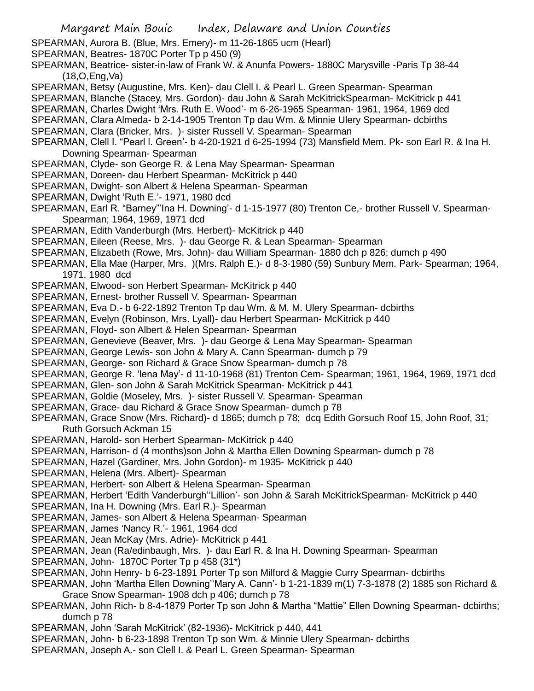Margaret Main Bouic Index, Delaware and Union Counties SPEARMAN, Aurora B. (Blue, Mrs. Emery)- m 11-26-1865 ucm (Hearl) SPEARMAN, Beatres- 1870C Porter Tp p 450 (9) SPEARMAN, Beatrice- sister-in-law of Frank W. & Anunfa Powers- 1880C Marysville -Paris Tp 38-44 (18,O,Eng,Va) SPEARMAN, Betsy (Augustine, Mrs. Ken)- dau Clell I. & Pearl L. Green Spearman- Spearman SPEARMAN, Blanche (Stacey, Mrs. Gordon)- dau John & Sarah McKitrickSpearman- McKitrick p 441 SPEARMAN, Charles Dwight 'Mrs. Ruth E. Wood'- m 6-26-1965 Spearman- 1961, 1964, 1969 dcd SPEARMAN, Clara Almeda- b 2-14-1905 Trenton Tp dau Wm. & Minnie Ulery Spearman- dcbirths SPEARMAN, Clara (Bricker, Mrs. )- sister Russell V. Spearman- Spearman SPEARMAN, Clell I. "Pearl l. Green'- b 4-20-1921 d 6-25-1994 (73) Mansfield Mem. Pk- son Earl R. & Ina H. Downing Spearman- Spearman SPEARMAN, Clyde- son George R. & Lena May Spearman- Spearman SPEARMAN, Doreen- dau Herbert Spearman- McKitrick p 440 SPEARMAN, Dwight- son Albert & Helena Spearman- Spearman SPEARMAN, Dwight 'Ruth E.'- 1971, 1980 dcd SPEARMAN, Earl R. "Barney"'Ina H. Downing'- d 1-15-1977 (80) Trenton Ce,- brother Russell V. Spearman-Spearman; 1964, 1969, 1971 dcd SPEARMAN, Edith Vanderburgh (Mrs. Herbert)- McKitrick p 440 SPEARMAN, Eileen (Reese, Mrs. )- dau George R. & Lean Spearman- Spearman SPEARMAN, Elizabeth (Rowe, Mrs. John)- dau William Spearman- 1880 dch p 826; dumch p 490 SPEARMAN, Ella Mae (Harper, Mrs. )(Mrs. Ralph E.)- d 8-3-1980 (59) Sunbury Mem. Park- Spearman; 1964, 1971, 1980 dcd SPEARMAN, Elwood- son Herbert Spearman- McKitrick p 440 SPEARMAN, Ernest- brother Russell V. Spearman- Spearman SPEARMAN, Eva D.- b 6-22-1892 Trenton Tp dau Wm. & M. M. Ulery Spearman- dcbirths SPEARMAN, Evelyn (Robinson, Mrs. Lyall)- dau Herbert Spearman- McKitrick p 440 SPEARMAN, Floyd- son Albert & Helen Spearman- Spearman SPEARMAN, Genevieve (Beaver, Mrs. )- dau George & Lena May Spearman- Spearman SPEARMAN, George Lewis- son John & Mary A. Cann Spearman- dumch p 79 SPEARMAN, George- son Richard & Grace Snow Spearman- dumch p 78 SPEARMAN, George R. 'lena May'- d 11-10-1968 (81) Trenton Cem- Spearman; 1961, 1964, 1969, 1971 dcd SPEARMAN, Glen- son John & Sarah McKitrick Spearman- McKitrick p 441 SPEARMAN, Goldie (Moseley, Mrs. )- sister Russell V. Spearman- Spearman SPEARMAN, Grace- dau Richard & Grace Snow Spearman- dumch p 78 SPEARMAN, Grace Snow (Mrs. Richard)- d 1865; dumch p 78; dcq Edith Gorsuch Roof 15, John Roof, 31; Ruth Gorsuch Ackman 15 SPEARMAN, Harold- son Herbert Spearman- McKitrick p 440 SPEARMAN, Harrison- d (4 months)son John & Martha Ellen Downing Spearman- dumch p 78 SPEARMAN, Hazel (Gardiner, Mrs. John Gordon)- m 1935- McKitrick p 440 SPEARMAN, Helena (Mrs. Albert)- Spearman SPEARMAN, Herbert- son Albert & Helena Spearman- Spearman SPEARMAN, Herbert 'Edith Vanderburgh''Lillion'- son John & Sarah McKitrickSpearman- McKitrick p 440 SPEARMAN, Ina H. Downing (Mrs. Earl R.)- Spearman SPEARMAN, James- son Albert & Helena Spearman- Spearman SPEARMAN, James 'Nancy R.'- 1961, 1964 dcd SPEARMAN, Jean McKay (Mrs. Adrie)- McKitrick p 441 SPEARMAN, Jean (Ra/edinbaugh, Mrs. )- dau Earl R. & Ina H. Downing Spearman- Spearman SPEARMAN, John- 1870C Porter Tp p 458 (31\*) SPEARMAN, John Henry- b 6-23-1891 Porter Tp son Milford & Maggie Curry Spearman- dcbirths SPEARMAN, John 'Martha Ellen Downing''Mary A. Cann'- b 1-21-1839 m(1) 7-3-1878 (2) 1885 son Richard & Grace Snow Spearman- 1908 dch p 406; dumch p 78 SPEARMAN, John Rich- b 8-4-1879 Porter Tp son John & Martha "Mattie" Ellen Downing Spearman- dcbirths; dumch p 78 SPEARMAN, John 'Sarah McKitrick' (82-1936)- McKitrick p 440, 441 SPEARMAN, John- b 6-23-1898 Trenton Tp son Wm. & Minnie Ulery Spearman- dcbirths SPEARMAN, Joseph A.- son Clell I. & Pearl L. Green Spearman- Spearman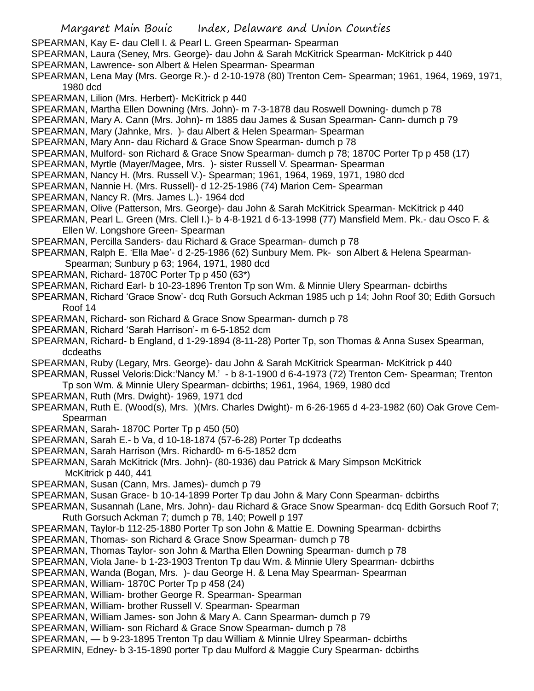- Margaret Main Bouic Index, Delaware and Union Counties SPEARMAN, Kay E- dau Clell I. & Pearl L. Green Spearman- Spearman SPEARMAN, Laura (Seney, Mrs. George)- dau John & Sarah McKitrick Spearman- McKitrick p 440 SPEARMAN, Lawrence- son Albert & Helen Spearman- Spearman SPEARMAN, Lena May (Mrs. George R.)- d 2-10-1978 (80) Trenton Cem- Spearman; 1961, 1964, 1969, 1971, 1980 dcd SPEARMAN, Lilion (Mrs. Herbert)- McKitrick p 440 SPEARMAN, Martha Ellen Downing (Mrs. John)- m 7-3-1878 dau Roswell Downing- dumch p 78 SPEARMAN, Mary A. Cann (Mrs. John)- m 1885 dau James & Susan Spearman- Cann- dumch p 79 SPEARMAN, Mary (Jahnke, Mrs. )- dau Albert & Helen Spearman- Spearman SPEARMAN, Mary Ann- dau Richard & Grace Snow Spearman- dumch p 78 SPEARMAN, Mulford- son Richard & Grace Snow Spearman- dumch p 78; 1870C Porter Tp p 458 (17) SPEARMAN, Myrtle (Mayer/Magee, Mrs. )- sister Russell V. Spearman- Spearman SPEARMAN, Nancy H. (Mrs. Russell V.)- Spearman; 1961, 1964, 1969, 1971, 1980 dcd SPEARMAN, Nannie H. (Mrs. Russell)- d 12-25-1986 (74) Marion Cem- Spearman SPEARMAN, Nancy R. (Mrs. James L.)- 1964 dcd SPEARMAN, Olive (Patterson, Mrs. George)- dau John & Sarah McKitrick Spearman- McKitrick p 440 SPEARMAN, Pearl L. Green (Mrs. Clell I.)- b 4-8-1921 d 6-13-1998 (77) Mansfield Mem. Pk.- dau Osco F. & Ellen W. Longshore Green- Spearman SPEARMAN, Percilla Sanders- dau Richard & Grace Spearman- dumch p 78 SPEARMAN, Ralph E. 'Ella Mae'- d 2-25-1986 (62) Sunbury Mem. Pk- son Albert & Helena Spearman-Spearman; Sunbury p 63; 1964, 1971, 1980 dcd SPEARMAN, Richard- 1870C Porter Tp p 450 (63\*) SPEARMAN, Richard Earl- b 10-23-1896 Trenton Tp son Wm. & Minnie Ulery Spearman- dcbirths SPEARMAN, Richard 'Grace Snow'- dcq Ruth Gorsuch Ackman 1985 uch p 14; John Roof 30; Edith Gorsuch Roof 14 SPEARMAN, Richard- son Richard & Grace Snow Spearman- dumch p 78 SPEARMAN, Richard 'Sarah Harrison'- m 6-5-1852 dcm SPEARMAN, Richard- b England, d 1-29-1894 (8-11-28) Porter Tp, son Thomas & Anna Susex Spearman, dcdeaths SPEARMAN, Ruby (Legary, Mrs. George)- dau John & Sarah McKitrick Spearman- McKitrick p 440 SPEARMAN, Russel Veloris:Dick:'Nancy M.' - b 8-1-1900 d 6-4-1973 (72) Trenton Cem- Spearman; Trenton Tp son Wm. & Minnie Ulery Spearman- dcbirths; 1961, 1964, 1969, 1980 dcd SPEARMAN, Ruth (Mrs. Dwight)- 1969, 1971 dcd SPEARMAN, Ruth E. (Wood(s), Mrs. )(Mrs. Charles Dwight)- m 6-26-1965 d 4-23-1982 (60) Oak Grove Cem-Spearman SPEARMAN, Sarah- 1870C Porter Tp p 450 (50) SPEARMAN, Sarah E.- b Va, d 10-18-1874 (57-6-28) Porter Tp dcdeaths SPEARMAN, Sarah Harrison (Mrs. Richard0- m 6-5-1852 dcm SPEARMAN, Sarah McKitrick (Mrs. John)- (80-1936) dau Patrick & Mary Simpson McKitrick McKitrick p 440, 441 SPEARMAN, Susan (Cann, Mrs. James)- dumch p 79 SPEARMAN, Susan Grace- b 10-14-1899 Porter Tp dau John & Mary Conn Spearman- dcbirths SPEARMAN, Susannah (Lane, Mrs. John)- dau Richard & Grace Snow Spearman- dcq Edith Gorsuch Roof 7; Ruth Gorsuch Ackman 7; dumch p 78, 140; Powell p 197 SPEARMAN, Taylor-b 112-25-1880 Porter Tp son John & Mattie E. Downing Spearman- dcbirths SPEARMAN, Thomas- son Richard & Grace Snow Spearman- dumch p 78 SPEARMAN, Thomas Taylor- son John & Martha Ellen Downing Spearman- dumch p 78 SPEARMAN, Viola Jane- b 1-23-1903 Trenton Tp dau Wm. & Minnie Ulery Spearman- dcbirths SPEARMAN, Wanda (Bogan, Mrs. )- dau George H. & Lena May Spearman- Spearman SPEARMAN, William- 1870C Porter Tp p 458 (24) SPEARMAN, William- brother George R. Spearman- Spearman SPEARMAN, William- brother Russell V. Spearman- Spearman SPEARMAN, William James- son John & Mary A. Cann Spearman- dumch p 79
- SPEARMAN, William- son Richard & Grace Snow Spearman- dumch p 78
- SPEARMAN, b 9-23-1895 Trenton Tp dau William & Minnie Ulrey Spearman- dcbirths
- SPEARMIN, Edney- b 3-15-1890 porter Tp dau Mulford & Maggie Cury Spearman- dcbirths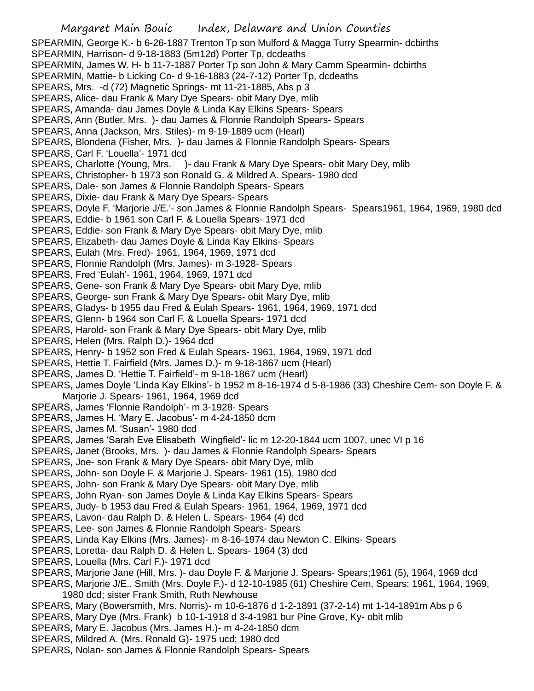SPEARMIN, George K.- b 6-26-1887 Trenton Tp son Mulford & Magga Turry Spearmin- dcbirths SPEARMIN, Harrison- d 9-18-1883 (5m12d) Porter Tp, dcdeaths SPEARMIN, James W. H- b 11-7-1887 Porter Tp son John & Mary Camm Spearmin- dcbirths SPEARMIN, Mattie- b Licking Co- d 9-16-1883 (24-7-12) Porter Tp, dcdeaths SPEARS, Mrs. -d (72) Magnetic Springs- mt 11-21-1885, Abs p 3 SPEARS, Alice- dau Frank & Mary Dye Spears- obit Mary Dye, mlib SPEARS, Amanda- dau James Doyle & Linda Kay Elkins Spears- Spears SPEARS, Ann (Butler, Mrs. )- dau James & Flonnie Randolph Spears- Spears SPEARS, Anna (Jackson, Mrs. Stiles)- m 9-19-1889 ucm (Hearl) SPEARS, Blondena (Fisher, Mrs. )- dau James & Flonnie Randolph Spears- Spears SPEARS, Carl F. 'Louella'- 1971 dcd SPEARS, Charlotte (Young, Mrs. )- dau Frank & Mary Dye Spears- obit Mary Dey, mlib SPEARS, Christopher- b 1973 son Ronald G. & Mildred A. Spears- 1980 dcd SPEARS, Dale- son James & Flonnie Randolph Spears- Spears SPEARS, Dixie- dau Frank & Mary Dye Spears- Spears SPEARS, Doyle F. 'Marjorie J/E.'- son James & Flonnie Randolph Spears- Spears1961, 1964, 1969, 1980 dcd SPEARS, Eddie- b 1961 son Carl F. & Louella Spears- 1971 dcd SPEARS, Eddie- son Frank & Mary Dye Spears- obit Mary Dye, mlib SPEARS, Elizabeth- dau James Doyle & Linda Kay Elkins- Spears SPEARS, Eulah (Mrs. Fred)- 1961, 1964, 1969, 1971 dcd SPEARS, Flonnie Randolph (Mrs. James)- m 3-1928- Spears SPEARS, Fred 'Eulah'- 1961, 1964, 1969, 1971 dcd SPEARS, Gene- son Frank & Mary Dye Spears- obit Mary Dye, mlib SPEARS, George- son Frank & Mary Dye Spears- obit Mary Dye, mlib SPEARS, Gladys- b 1955 dau Fred & Eulah Spears- 1961, 1964, 1969, 1971 dcd SPEARS, Glenn- b 1964 son Carl F. & Louella Spears- 1971 dcd SPEARS, Harold- son Frank & Mary Dye Spears- obit Mary Dye, mlib SPEARS, Helen (Mrs. Ralph D.)- 1964 dcd SPEARS, Henry- b 1952 son Fred & Eulah Spears- 1961, 1964, 1969, 1971 dcd SPEARS, Hettie T. Fairfield (Mrs. James D.)- m 9-18-1867 ucm (Hearl) SPEARS, James D. 'Hettie T. Fairfield'- m 9-18-1867 ucm (Hearl) SPEARS, James Doyle 'Linda Kay Elkins'- b 1952 m 8-16-1974 d 5-8-1986 (33) Cheshire Cem- son Doyle F. & Marjorie J. Spears- 1961, 1964, 1969 dcd SPEARS, James 'Flonnie Randolph'- m 3-1928- Spears SPEARS, James H. 'Mary E. Jacobus'- m 4-24-1850 dcm SPEARS, James M. 'Susan'- 1980 dcd SPEARS, James 'Sarah Eve Elisabeth Wingfield'- lic m 12-20-1844 ucm 1007, unec VI p 16 SPEARS, Janet (Brooks, Mrs. )- dau James & Flonnie Randolph Spears- Spears

- SPEARS, Joe- son Frank & Mary Dye Spears- obit Mary Dye, mlib
- SPEARS, John- son Doyle F. & Marjorie J. Spears- 1961 (15), 1980 dcd
- SPEARS, John- son Frank & Mary Dye Spears- obit Mary Dye, mlib
- SPEARS, John Ryan- son James Doyle & Linda Kay Elkins Spears- Spears
- SPEARS, Judy- b 1953 dau Fred & Eulah Spears- 1961, 1964, 1969, 1971 dcd
- SPEARS, Lavon- dau Ralph D. & Helen L. Spears- 1964 (4) dcd
- SPEARS, Lee- son James & Flonnie Randolph Spears- Spears
- SPEARS, Linda Kay Elkins (Mrs. James)- m 8-16-1974 dau Newton C. Elkins- Spears
- SPEARS, Loretta- dau Ralph D. & Helen L. Spears- 1964 (3) dcd
- SPEARS, Louella (Mrs. Carl F.)- 1971 dcd
- SPEARS, Marjorie Jane (Hill, Mrs. )- dau Doyle F. & Marjorie J. Spears- Spears;1961 (5), 1964, 1969 dcd
- SPEARS, Marjorie J/E.. Smith (Mrs. Doyle F.)- d 12-10-1985 (61) Cheshire Cem, Spears; 1961, 1964, 1969, 1980 dcd; sister Frank Smith, Ruth Newhouse
- SPEARS, Mary (Bowersmith, Mrs. Norris)- m 10-6-1876 d 1-2-1891 (37-2-14) mt 1-14-1891m Abs p 6
- SPEARS, Mary Dye (Mrs. Frank) b 10-1-1918 d 3-4-1981 bur Pine Grove, Ky- obit mlib
- SPEARS, Mary E. Jacobus (Mrs. James H.)- m 4-24-1850 dcm
- SPEARS, Mildred A. (Mrs. Ronald G)- 1975 ucd; 1980 dcd
- SPEARS, Nolan- son James & Flonnie Randolph Spears- Spears